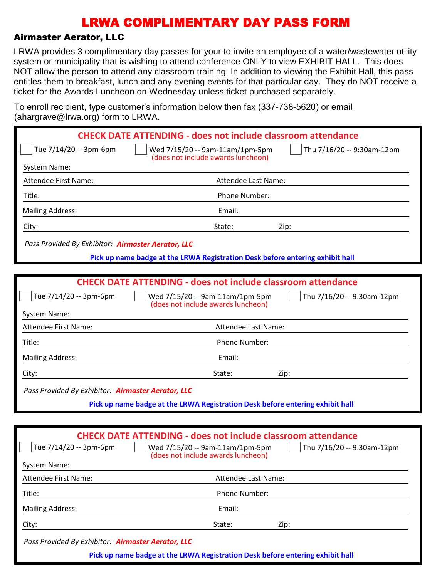### Airmaster Aerator, LLC

LRWA provides 3 complimentary day passes for your to invite an employee of a water/wastewater utility system or municipality that is wishing to attend conference ONLY to view EXHIBIT HALL. This does NOT allow the person to attend any classroom training. In addition to viewing the Exhibit Hall, this pass entitles them to breakfast, lunch and any evening events for that particular day. They do NOT receive a ticket for the Awards Luncheon on Wednesday unless ticket purchased separately.

To enroll recipient, type customer's information below then fax (337-738-5620) or email (ahargrave@lrwa.org) form to LRWA

| $1.141$ grave $\cup$ $\ldots$ $1.01$ graves $\cup$ |                                                                                                      |                            |
|----------------------------------------------------|------------------------------------------------------------------------------------------------------|----------------------------|
|                                                    | <b>CHECK DATE ATTENDING - does not include classroom attendance</b>                                  |                            |
| Tue 7/14/20 -- 3pm-6pm                             | Wed 7/15/20 -- 9am-11am/1pm-5pm<br>(does not include awards luncheon)                                | Thu 7/16/20 -- 9:30am-12pm |
| System Name:                                       |                                                                                                      |                            |
| Attendee First Name:                               | Attendee Last Name:                                                                                  |                            |
| Title:                                             | Phone Number:                                                                                        |                            |
| <b>Mailing Address:</b>                            | Email:                                                                                               |                            |
| City:                                              | State:                                                                                               | Zip:                       |
| Pass Provided By Exhibitor: Airmaster Aerator, LLC |                                                                                                      |                            |
|                                                    | Pick up name badge at the LRWA Registration Desk before entering exhibit hall                        |                            |
|                                                    |                                                                                                      |                            |
|                                                    | <b>CHECK DATE ATTENDING - does not include classroom attendance</b>                                  |                            |
| Tue 7/14/20 -- 3pm-6pm                             | Wed 7/15/20 -- 9am-11am/1pm-5pm<br>(does not include awards luncheon)                                | Thu 7/16/20 -- 9:30am-12pm |
| System Name:                                       |                                                                                                      |                            |
| <b>Attendee First Name:</b>                        | Attendee Last Name:                                                                                  |                            |
| Title:                                             | Phone Number:                                                                                        |                            |
| <b>Mailing Address:</b>                            | Email:                                                                                               |                            |
| City:                                              | State:                                                                                               | Zip:                       |
| Pass Provided By Exhibitor: Airmaster Aerator, LLC |                                                                                                      |                            |
|                                                    | Pick up name badge at the LRWA Registration Desk before entering exhibit hall                        |                            |
|                                                    |                                                                                                      |                            |
|                                                    | <b>CHECK DATE ATTENDING - does not include classroom attendance</b>                                  |                            |
| Tue 7/14/20 -- 3pm-6pm                             | Wed 7/15/20 -- 9am-11am/1pm-5pm     Thu 7/16/20 -- 9:30am-12pm<br>(does not include awards luncheon) |                            |
| <b>System Name:</b>                                |                                                                                                      |                            |
| Attendee First Name:                               | Attendee Last Name:                                                                                  |                            |
| Title:                                             | Phone Number:                                                                                        |                            |
| <b>Mailing Address:</b>                            | Email:                                                                                               |                            |
| City:                                              | State:                                                                                               | Zip:                       |
|                                                    |                                                                                                      |                            |

*Pass Provided By Exhibitor: Airmaster Aerator, LLC*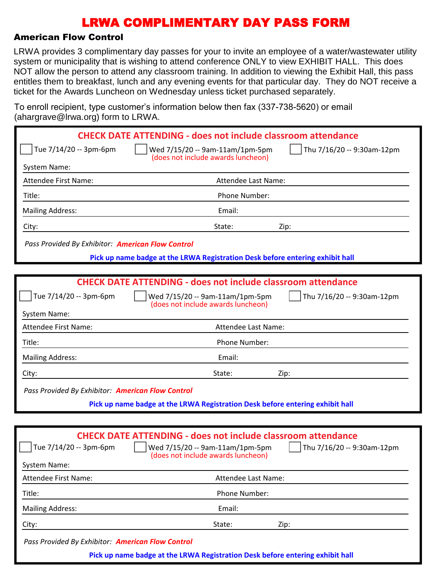### American Flow Control

LRWA provides 3 complimentary day passes for your to invite an employee of a water/wastewater utility system or municipality that is wishing to attend conference ONLY to view EXHIBIT HALL. This does NOT allow the person to attend any classroom training. In addition to viewing the Exhibit Hall, this pass entitles them to breakfast, lunch and any evening events for that particular day. They do NOT receive a ticket for the Awards Luncheon on Wednesday unless ticket purchased separately.

To enroll recipient, type customer's information below then fax (337-738-5620) or email (abargrave@lrwa.org) form to LRWA

| $($ unurgruv $\in$ $\cong$ n wa.org $\prime$ romm $\infty$ |                                                                                                     |
|------------------------------------------------------------|-----------------------------------------------------------------------------------------------------|
|                                                            | <b>CHECK DATE ATTENDING - does not include classroom attendance</b>                                 |
| Tue 7/14/20 -- 3pm-6pm                                     | Wed 7/15/20 -- 9am-11am/1pm-5pm<br>Thu 7/16/20 -- 9:30am-12pm<br>(does not include awards luncheon) |
| System Name:                                               |                                                                                                     |
| <b>Attendee First Name:</b>                                | Attendee Last Name:                                                                                 |
| Title:                                                     | Phone Number:                                                                                       |
| <b>Mailing Address:</b>                                    | Email:                                                                                              |
| City:                                                      | State:<br>Zip:                                                                                      |
| Pass Provided By Exhibitor: American Flow Control          |                                                                                                     |
|                                                            | Pick up name badge at the LRWA Registration Desk before entering exhibit hall                       |
|                                                            |                                                                                                     |
|                                                            | <b>CHECK DATE ATTENDING - does not include classroom attendance</b>                                 |
| Tue 7/14/20 -- 3pm-6pm                                     | Thu 7/16/20 -- 9:30am-12pm<br>Wed 7/15/20 -- 9am-11am/1pm-5pm<br>(does not include awards luncheon) |
| System Name:                                               |                                                                                                     |
| <b>Attendee First Name:</b>                                | Attendee Last Name:                                                                                 |
| Title:                                                     | Phone Number:                                                                                       |
| <b>Mailing Address:</b>                                    | Email:                                                                                              |
| City:                                                      | State:<br>Zip:                                                                                      |
| Pass Provided By Exhibitor: American Flow Control          |                                                                                                     |
|                                                            | Pick up name badge at the LRWA Registration Desk before entering exhibit hall                       |
|                                                            |                                                                                                     |
|                                                            | <b>CHECK DATE ATTENDING - does not include classroom attendance</b>                                 |
| Tue 7/14/20 -- 3pm-6pm                                     | Wed 7/15/20 -- 9am-11am/1pm-5pm<br>Thu 7/16/20 -- 9:30am-12pm<br>(does not include awards luncheon) |
| System Name:                                               |                                                                                                     |
| <b>Attendee First Name:</b>                                | Attendee Last Name:                                                                                 |
| Title:                                                     | Phone Number:                                                                                       |

City: State: Zip:

*Pass Provided By Exhibitor: American Flow Control*

Mailing Address: Email: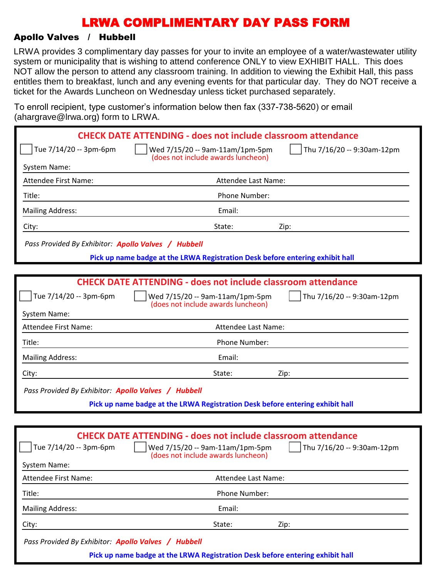#### Apollo Valves / Hubbell

LRWA provides 3 complimentary day passes for your to invite an employee of a water/wastewater utility system or municipality that is wishing to attend conference ONLY to view EXHIBIT HALL. This does NOT allow the person to attend any classroom training. In addition to viewing the Exhibit Hall, this pass entitles them to breakfast, lunch and any evening events for that particular day. They do NOT receive a ticket for the Awards Luncheon on Wednesday unless ticket purchased separately.

To enroll recipient, type customer's information below then fax (337-738-5620) or email (ahargrave@lrwa.org) form to LRWA

| $arcs$ and $arcs$ is matter go to the $arcs$        |                                                                                       |                            |
|-----------------------------------------------------|---------------------------------------------------------------------------------------|----------------------------|
|                                                     | <b>CHECK DATE ATTENDING - does not include classroom attendance</b>                   |                            |
| Tue 7/14/20 -- 3pm-6pm                              | Wed 7/15/20 -- 9am-11am/1pm-5pm<br>(does not include awards luncheon)                 | Thu 7/16/20 -- 9:30am-12pm |
| System Name:                                        |                                                                                       |                            |
| <b>Attendee First Name:</b>                         | Attendee Last Name:                                                                   |                            |
| Title:                                              | Phone Number:                                                                         |                            |
| <b>Mailing Address:</b>                             | Email:                                                                                |                            |
| City:                                               | State:                                                                                | Zip:                       |
| Pass Provided By Exhibitor: Apollo Valves / Hubbell |                                                                                       |                            |
|                                                     | Pick up name badge at the LRWA Registration Desk before entering exhibit hall         |                            |
|                                                     |                                                                                       |                            |
|                                                     | <b>CHECK DATE ATTENDING - does not include classroom attendance</b>                   |                            |
| Tue 7/14/20 -- 3pm-6pm                              | Wed 7/15/20 -- 9am-11am/1pm-5pm<br>(does not include awards luncheon)                 | Thu 7/16/20 -- 9:30am-12pm |
| <b>System Name:</b>                                 |                                                                                       |                            |
| Attendee First Name:                                | Attendee Last Name:                                                                   |                            |
| Title:                                              | Phone Number:                                                                         |                            |
| <b>Mailing Address:</b>                             | Email:                                                                                |                            |
| City:                                               | State:                                                                                | Zip:                       |
| Pass Provided By Exhibitor: Apollo Valves / Hubbell |                                                                                       |                            |
|                                                     | Pick up name badge at the LRWA Registration Desk before entering exhibit hall         |                            |
|                                                     |                                                                                       |                            |
|                                                     | <b>CHECK DATE ATTENDING - does not include classroom attendance</b>                   |                            |
| Tue 7/14/20 -- 3pm-6pm                              | $\vert$ $\vert$ Wed 7/15/20 -- 9am-11am/1pm-5pm<br>(does not include awards luncheon) | Thu 7/16/20 -- 9:30am-12pm |
| <b>System Name:</b>                                 |                                                                                       |                            |
| Attendee First Name:                                | Attendee Last Name:                                                                   |                            |
| Title:                                              | Phone Number:                                                                         |                            |
| <b>Mailing Address:</b>                             | Email:                                                                                |                            |
| City:                                               | State:                                                                                | Zip:                       |
| Pass Provided By Exhibitor: Apollo Valves / Hubbell |                                                                                       |                            |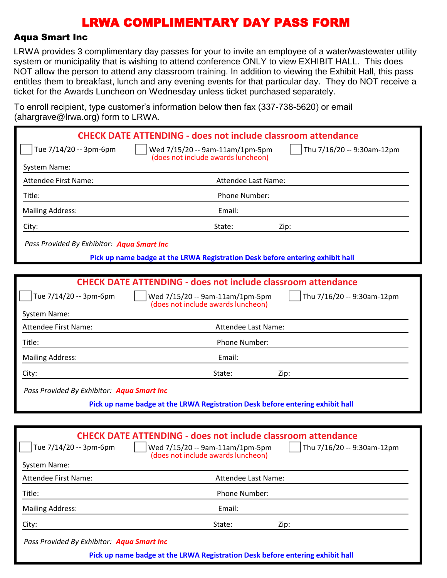#### Aqua Smart Inc

LRWA provides 3 complimentary day passes for your to invite an employee of a water/wastewater utility system or municipality that is wishing to attend conference ONLY to view EXHIBIT HALL. This does NOT allow the person to attend any classroom training. In addition to viewing the Exhibit Hall, this pass entitles them to breakfast, lunch and any evening events for that particular day. They do NOT receive a ticket for the Awards Luncheon on Wednesday unless ticket purchased separately.

To enroll recipient, type customer's information below then fax (337-738-5620) or email (abargrave@lrwa.org) form to LRWA

| $($ anargrave $\otimes$ n wa.org $)$ rommto Erv $n$ . |                                                                                                        |
|-------------------------------------------------------|--------------------------------------------------------------------------------------------------------|
|                                                       | <b>CHECK DATE ATTENDING - does not include classroom attendance</b>                                    |
| Tue 7/14/20 -- 3pm-6pm                                | Wed 7/15/20 -- 9am-11am/1pm-5pm<br>Thu 7/16/20 -- 9:30am-12pm<br>(does not include awards luncheon)    |
| System Name:                                          |                                                                                                        |
| <b>Attendee First Name:</b>                           | Attendee Last Name:                                                                                    |
| Title:                                                | Phone Number:                                                                                          |
| <b>Mailing Address:</b>                               | Email:                                                                                                 |
| City:                                                 | State:<br>Zip:                                                                                         |
| Pass Provided By Exhibitor: Aqua Smart Inc            |                                                                                                        |
|                                                       | Pick up name badge at the LRWA Registration Desk before entering exhibit hall                          |
|                                                       |                                                                                                        |
|                                                       | <b>CHECK DATE ATTENDING - does not include classroom attendance</b>                                    |
| Tue 7/14/20 -- 3pm-6pm                                | Thu 7/16/20 -- 9:30am-12pm<br>Wed 7/15/20 -- 9am-11am/1pm-5pm<br>(does not include awards luncheon)    |
| System Name:                                          |                                                                                                        |
| <b>Attendee First Name:</b>                           | Attendee Last Name:                                                                                    |
| Title:                                                | Phone Number:                                                                                          |
| <b>Mailing Address:</b>                               | Email:                                                                                                 |
| City:                                                 | State:<br>Zip:                                                                                         |
| Pass Provided By Exhibitor: Aqua Smart Inc            |                                                                                                        |
|                                                       | Pick up name badge at the LRWA Registration Desk before entering exhibit hall                          |
|                                                       |                                                                                                        |
| Tue 7/14/20 -- 3pm-6pm                                | <b>CHECK DATE ATTENDING - does not include classroom attendance</b><br>Wed 7/15/20 -- 9am-11am/1pm-5pm |
|                                                       | Thu 7/16/20 -- 9:30am-12pm<br>(does not include awards luncheon)                                       |
| <b>System Name:</b>                                   |                                                                                                        |
| Attendee First Name:                                  | Attendee Last Name:                                                                                    |
| Title:                                                | Phone Number:                                                                                          |
| <b>Mailing Address:</b>                               | Email:                                                                                                 |
|                                                       |                                                                                                        |

City: State: Zip:

*Pass Provided By Exhibitor: Aqua Smart Inc*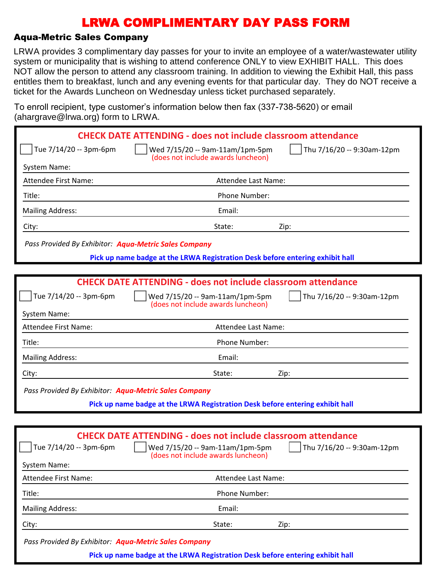### Aqua-Metric Sales Company

LRWA provides 3 complimentary day passes for your to invite an employee of a water/wastewater utility system or municipality that is wishing to attend conference ONLY to view EXHIBIT HALL. This does NOT allow the person to attend any classroom training. In addition to viewing the Exhibit Hall, this pass entitles them to breakfast, lunch and any evening events for that particular day. They do NOT receive a ticket for the Awards Luncheon on Wednesday unless ticket purchased separately.

To enroll recipient, type customer's information below then fax (337-738-5620) or email (ahargrave@lrwa.org) form to LRWA

|                                                       | <b>CHECK DATE ATTENDING - does not include classroom attendance</b>                                                                              |                                    |
|-------------------------------------------------------|--------------------------------------------------------------------------------------------------------------------------------------------------|------------------------------------|
| Tue 7/14/20 -- 3pm-6pm                                | Wed 7/15/20 -- 9am-11am/1pm-5pm                                                                                                                  | Thu 7/16/20 -- 9:30am-12pm         |
| System Name:                                          | (does not include awards luncheon)                                                                                                               |                                    |
| <b>Attendee First Name:</b>                           | Attendee Last Name:                                                                                                                              |                                    |
| Title:                                                | Phone Number:                                                                                                                                    |                                    |
| <b>Mailing Address:</b>                               | Email:                                                                                                                                           |                                    |
| City:                                                 | State:                                                                                                                                           | Zip:                               |
| Pass Provided By Exhibitor: Aqua-Metric Sales Company |                                                                                                                                                  |                                    |
|                                                       | Pick up name badge at the LRWA Registration Desk before entering exhibit hall                                                                    |                                    |
|                                                       |                                                                                                                                                  |                                    |
|                                                       | <b>CHECK DATE ATTENDING - does not include classroom attendance</b>                                                                              |                                    |
| Tue 7/14/20 -- 3pm-6pm                                | Wed 7/15/20 -- 9am-11am/1pm-5pm<br>(does not include awards luncheon)                                                                            | Thu 7/16/20 -- 9:30am-12pm         |
| System Name:                                          |                                                                                                                                                  |                                    |
| <b>Attendee First Name:</b>                           | Attendee Last Name:                                                                                                                              |                                    |
| Title:                                                | Phone Number:                                                                                                                                    |                                    |
| <b>Mailing Address:</b>                               | Email:                                                                                                                                           |                                    |
| City:                                                 | State:                                                                                                                                           | Zip:                               |
| Pass Provided By Exhibitor: Aqua-Metric Sales Company |                                                                                                                                                  |                                    |
|                                                       | Pick up name badge at the LRWA Registration Desk before entering exhibit hall                                                                    |                                    |
|                                                       |                                                                                                                                                  |                                    |
| Tue 7/14/20 -- 3pm-6pm<br>System Name:                | <b>CHECK DATE ATTENDING - does not include classroom attendance</b><br>    Wed 7/15/20 -- 9am-11am/1pm-5pm<br>(does not include awards luncheon) | $\vert$ Thu 7/16/20 -- 9:30am-12pm |
| Attendee First Name:                                  | Attendee Last Name:                                                                                                                              |                                    |
| Title:                                                | Phone Number:                                                                                                                                    |                                    |
| <b>Mailing Address:</b>                               | Email:                                                                                                                                           |                                    |
| City:                                                 | State:                                                                                                                                           | Zip:                               |

*Pass Provided By Exhibitor: Aqua-Metric Sales Company*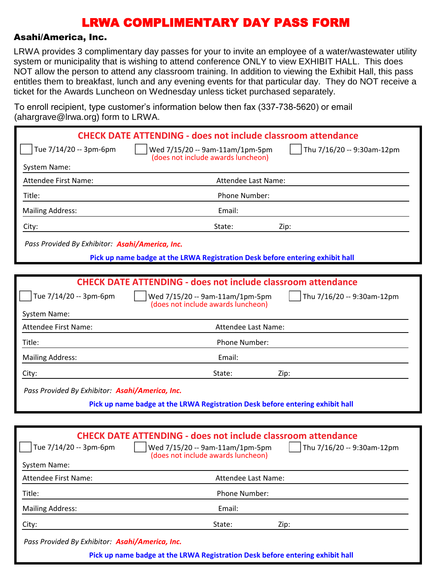#### Asahi/America, Inc.

LRWA provides 3 complimentary day passes for your to invite an employee of a water/wastewater utility system or municipality that is wishing to attend conference ONLY to view EXHIBIT HALL. This does NOT allow the person to attend any classroom training. In addition to viewing the Exhibit Hall, this pass entitles them to breakfast, lunch and any evening events for that particular day. They do NOT receive a ticket for the Awards Luncheon on Wednesday unless ticket purchased separately.

To enroll recipient, type customer's information below then fax (337-738-5620) or email (abargrave@lrwa.org) form to LRWA

| $\alpha$ and $\alpha$ are $\approx$ $\alpha$ watch $\alpha$ , form to Erving |                                                                                                                                                  |                            |
|------------------------------------------------------------------------------|--------------------------------------------------------------------------------------------------------------------------------------------------|----------------------------|
|                                                                              | <b>CHECK DATE ATTENDING - does not include classroom attendance</b>                                                                              |                            |
| Tue 7/14/20 -- 3pm-6pm                                                       | Wed 7/15/20 -- 9am-11am/1pm-5pm                                                                                                                  | Thu 7/16/20 -- 9:30am-12pm |
| System Name:                                                                 | (does not include awards luncheon)                                                                                                               |                            |
| Attendee First Name:                                                         | Attendee Last Name:                                                                                                                              |                            |
| Title:                                                                       | Phone Number:                                                                                                                                    |                            |
| <b>Mailing Address:</b>                                                      | Email:                                                                                                                                           |                            |
| City:                                                                        | State:                                                                                                                                           | Zip:                       |
| Pass Provided By Exhibitor: Asahi/America, Inc.                              |                                                                                                                                                  |                            |
|                                                                              | Pick up name badge at the LRWA Registration Desk before entering exhibit hall                                                                    |                            |
|                                                                              |                                                                                                                                                  |                            |
|                                                                              | <b>CHECK DATE ATTENDING - does not include classroom attendance</b>                                                                              |                            |
| Tue 7/14/20 -- 3pm-6pm                                                       | Wed 7/15/20 -- 9am-11am/1pm-5pm<br>(does not include awards luncheon)                                                                            | Thu 7/16/20 -- 9:30am-12pm |
| System Name:                                                                 |                                                                                                                                                  |                            |
| Attendee First Name:                                                         | Attendee Last Name:                                                                                                                              |                            |
| Title:                                                                       | Phone Number:                                                                                                                                    |                            |
| <b>Mailing Address:</b>                                                      | Email:                                                                                                                                           |                            |
| City:                                                                        | State:                                                                                                                                           | Zip:                       |
| Pass Provided By Exhibitor: Asahi/America, Inc.                              |                                                                                                                                                  |                            |
|                                                                              | Pick up name badge at the LRWA Registration Desk before entering exhibit hall                                                                    |                            |
|                                                                              |                                                                                                                                                  |                            |
| Tue 7/14/20 -- 3pm-6pm<br><b>System Name:</b>                                | <b>CHECK DATE ATTENDING - does not include classroom attendance</b><br>    Wed 7/15/20 -- 9am-11am/1pm-5pm<br>(does not include awards luncheon) | Thu 7/16/20 -- 9:30am-12pm |
| Attendee First Name:                                                         | Attendee Last Name:                                                                                                                              |                            |
| Title:                                                                       | Phone Number:                                                                                                                                    |                            |
| <b>Mailing Address:</b>                                                      | Email:                                                                                                                                           |                            |
| City:                                                                        | State:                                                                                                                                           | Zip:                       |
|                                                                              |                                                                                                                                                  |                            |

*Pass Provided By Exhibitor: Asahi/America, Inc.*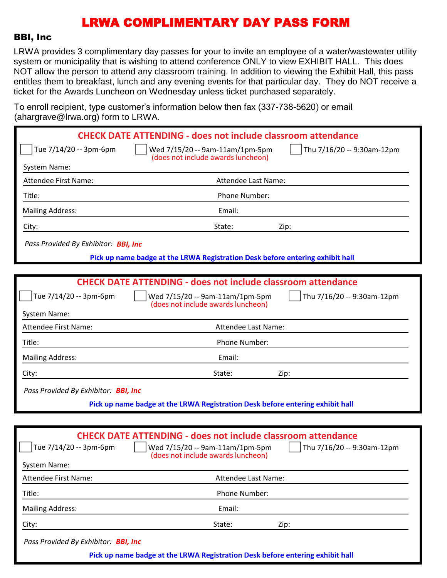#### BBI, Inc

LRWA provides 3 complimentary day passes for your to invite an employee of a water/wastewater utility system or municipality that is wishing to attend conference ONLY to view EXHIBIT HALL. This does NOT allow the person to attend any classroom training. In addition to viewing the Exhibit Hall, this pass entitles them to breakfast, lunch and any evening events for that particular day. They do NOT receive a ticket for the Awards Luncheon on Wednesday unless ticket purchased separately.

To enroll recipient, type customer's information below then fax (337-738-5620) or email (ahargrave@lrwa.org) form to LRWA.

|                                             | <b>CHECK DATE ATTENDING - does not include classroom attendance</b>                                 |
|---------------------------------------------|-----------------------------------------------------------------------------------------------------|
| Tue 7/14/20 -- 3pm-6pm                      | Wed 7/15/20 -- 9am-11am/1pm-5pm<br>Thu 7/16/20 -- 9:30am-12pm<br>(does not include awards luncheon) |
| System Name:                                |                                                                                                     |
| Attendee First Name:                        | Attendee Last Name:                                                                                 |
| Title:                                      | Phone Number:                                                                                       |
| <b>Mailing Address:</b>                     | Email:                                                                                              |
| City:                                       | State:<br>Zip:                                                                                      |
| Pass Provided By Exhibitor: <b>BBI, Inc</b> |                                                                                                     |
|                                             | Pick up name badge at the LRWA Registration Desk before entering exhibit hall                       |
|                                             |                                                                                                     |
|                                             | <b>CHECK DATE ATTENDING - does not include classroom attendance</b>                                 |
| Tue 7/14/20 -- 3pm-6pm                      | Wed 7/15/20 -- 9am-11am/1pm-5pm<br>Thu 7/16/20 -- 9:30am-12pm<br>(does not include awards luncheon) |
| System Name:                                |                                                                                                     |
| <b>Attendee First Name:</b>                 | Attendee Last Name:                                                                                 |
| Title:                                      | Phone Number:                                                                                       |
| <b>Mailing Address:</b>                     | Email:                                                                                              |
| City:                                       | State:<br>Zip:                                                                                      |
| Pass Provided By Exhibitor: BBI, Inc        |                                                                                                     |
|                                             | Pick up name badge at the LRWA Registration Desk before entering exhibit hall                       |
|                                             |                                                                                                     |
|                                             | <b>CHECK DATE ATTENDING - does not include classroom attendance</b>                                 |
| Tue 7/14/20 -- 3pm-6pm                      | Wed 7/15/20 -- 9am-11am/1pm-5pm<br>Thu 7/16/20 -- 9:30am-12pm                                       |

| System Name:<br>Attendee First Name: | Attendee Last Name:                                                           |      |  |
|--------------------------------------|-------------------------------------------------------------------------------|------|--|
| Title:                               | <b>Phone Number:</b>                                                          |      |  |
| <b>Mailing Address:</b>              | Email:                                                                        |      |  |
| City:                                | State:                                                                        | Zip: |  |
| Pass Provided By Exhibitor: BBI, Inc |                                                                               |      |  |
|                                      | Pick up name badge at the LRWA Registration Desk before entering exhibit hall |      |  |

(does not include awards luncheon)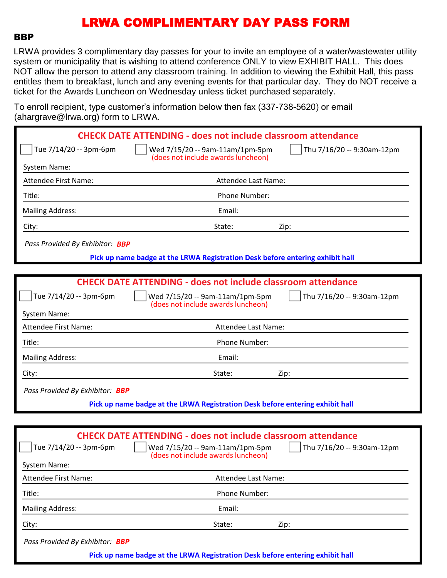#### **BBP**

LRWA provides 3 complimentary day passes for your to invite an employee of a water/wastewater utility system or municipality that is wishing to attend conference ONLY to view EXHIBIT HALL. This does NOT allow the person to attend any classroom training. In addition to viewing the Exhibit Hall, this pass entitles them to breakfast, lunch and any evening events for that particular day. They do NOT receive a ticket for the Awards Luncheon on Wednesday unless ticket purchased separately.

To enroll recipient, type customer's information below then fax (337-738-5620) or email (abargrave@lrwa.org) form to LRWA

|                                               | $($ anargiavo $\otimes$ inwa.org/ rominio Erve $\alpha$ .                                                                                                                  |
|-----------------------------------------------|----------------------------------------------------------------------------------------------------------------------------------------------------------------------------|
|                                               | <b>CHECK DATE ATTENDING - does not include classroom attendance</b>                                                                                                        |
| Tue 7/14/20 -- 3pm-6pm                        | Thu 7/16/20 -- 9:30am-12pm<br>Wed 7/15/20 -- 9am-11am/1pm-5pm<br>(does not include awards luncheon)                                                                        |
| System Name:                                  |                                                                                                                                                                            |
| <b>Attendee First Name:</b>                   | Attendee Last Name:                                                                                                                                                        |
| Title:                                        | Phone Number:                                                                                                                                                              |
| <b>Mailing Address:</b>                       | Email:                                                                                                                                                                     |
| City:                                         | State:<br>Zip:                                                                                                                                                             |
| Pass Provided By Exhibitor: BBP               |                                                                                                                                                                            |
|                                               | Pick up name badge at the LRWA Registration Desk before entering exhibit hall                                                                                              |
|                                               |                                                                                                                                                                            |
|                                               | <b>CHECK DATE ATTENDING - does not include classroom attendance</b>                                                                                                        |
| Tue 7/14/20 -- 3pm-6pm                        | Wed 7/15/20 -- 9am-11am/1pm-5pm<br>Thu 7/16/20 -- 9:30am-12pm<br>(does not include awards luncheon)                                                                        |
| System Name:                                  |                                                                                                                                                                            |
| <b>Attendee First Name:</b>                   | Attendee Last Name:                                                                                                                                                        |
| Title:                                        | Phone Number:                                                                                                                                                              |
| <b>Mailing Address:</b>                       | Email:                                                                                                                                                                     |
| City:                                         | State:<br>Zip:                                                                                                                                                             |
| Pass Provided By Exhibitor: BBP               |                                                                                                                                                                            |
|                                               | Pick up name badge at the LRWA Registration Desk before entering exhibit hall                                                                                              |
|                                               |                                                                                                                                                                            |
| Tue 7/14/20 -- 3pm-6pm<br><b>System Name:</b> | <b>CHECK DATE ATTENDING - does not include classroom attendance</b><br>Wed 7/15/20 -- 9am-11am/1pm-5pm<br>Thu 7/16/20 -- 9:30am-12pm<br>(does not include awards luncheon) |

Attendee First Name: Attendee Last Name: Title: Phone Number: Mailing Address: The Contract of the Contract of the Email: City: State: Zip: *Pass Provided By Exhibitor: BBP* **Pick up name badge at the LRWA Registration Desk before entering exhibit hall**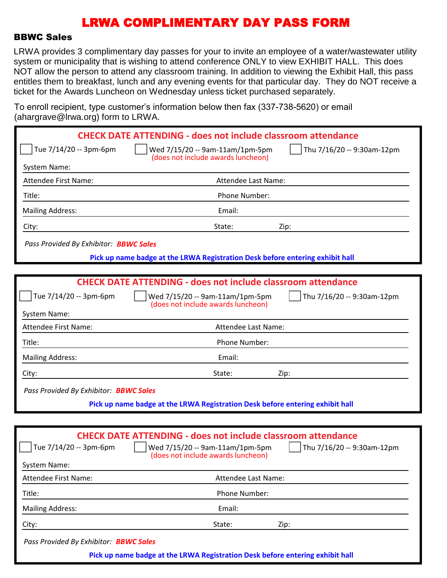#### BBWC Sales

LRWA provides 3 complimentary day passes for your to invite an employee of a water/wastewater utility system or municipality that is wishing to attend conference ONLY to view EXHIBIT HALL. This does NOT allow the person to attend any classroom training. In addition to viewing the Exhibit Hall, this pass entitles them to breakfast, lunch and any evening events for that particular day. They do NOT receive a ticket for the Awards Luncheon on Wednesday unless ticket purchased separately.

To enroll recipient, type customer's information below then fax (337-738-5620) or email (abargrave@lrwa.org) form to LRWA

| $\alpha$ and $\alpha$ are $\approx$ $\alpha$ watch $\alpha$ , form to Erving |                                                                                                                                                  |                                    |
|------------------------------------------------------------------------------|--------------------------------------------------------------------------------------------------------------------------------------------------|------------------------------------|
|                                                                              | <b>CHECK DATE ATTENDING - does not include classroom attendance</b>                                                                              |                                    |
| Tue 7/14/20 -- 3pm-6pm                                                       | Wed 7/15/20 -- 9am-11am/1pm-5pm<br>(does not include awards luncheon)                                                                            | Thu 7/16/20 -- 9:30am-12pm         |
| System Name:                                                                 |                                                                                                                                                  |                                    |
| <b>Attendee First Name:</b>                                                  | Attendee Last Name:                                                                                                                              |                                    |
| Title:                                                                       | Phone Number:                                                                                                                                    |                                    |
| <b>Mailing Address:</b>                                                      | Email:                                                                                                                                           |                                    |
| City:                                                                        | State:                                                                                                                                           | Zip:                               |
| Pass Provided By Exhibitor: <b>BBWC Sales</b>                                |                                                                                                                                                  |                                    |
|                                                                              | Pick up name badge at the LRWA Registration Desk before entering exhibit hall                                                                    |                                    |
|                                                                              |                                                                                                                                                  |                                    |
|                                                                              | <b>CHECK DATE ATTENDING - does not include classroom attendance</b>                                                                              |                                    |
| Tue 7/14/20 -- 3pm-6pm                                                       | Wed 7/15/20 -- 9am-11am/1pm-5pm<br>(does not include awards luncheon)                                                                            | Thu 7/16/20 -- 9:30am-12pm         |
| System Name:                                                                 |                                                                                                                                                  |                                    |
| <b>Attendee First Name:</b>                                                  | Attendee Last Name:                                                                                                                              |                                    |
| Title:                                                                       | Phone Number:                                                                                                                                    |                                    |
| <b>Mailing Address:</b>                                                      | Email:                                                                                                                                           |                                    |
| City:                                                                        | State:                                                                                                                                           | Zip:                               |
| Pass Provided By Exhibitor: <b>BBWC Sales</b>                                |                                                                                                                                                  |                                    |
|                                                                              | Pick up name badge at the LRWA Registration Desk before entering exhibit hall                                                                    |                                    |
|                                                                              |                                                                                                                                                  |                                    |
| Tue 7/14/20 -- 3pm-6pm<br>System Name:                                       | <b>CHECK DATE ATTENDING - does not include classroom attendance</b><br>    Wed 7/15/20 -- 9am-11am/1pm-5pm<br>(does not include awards luncheon) | $\vert$ Thu 7/16/20 -- 9:30am-12pm |
| Attendee First Name:                                                         | Attendee Last Name:                                                                                                                              |                                    |
| Title:                                                                       | Phone Number:                                                                                                                                    |                                    |
| <b>Mailing Address:</b>                                                      | Email:                                                                                                                                           |                                    |
| City:                                                                        | State:                                                                                                                                           | Zip:                               |

*Pass Provided By Exhibitor: BBWC Sales*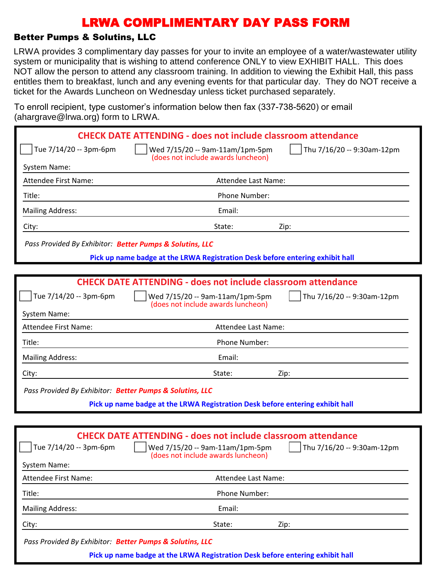### Better Pumps & Solutins, LLC

LRWA provides 3 complimentary day passes for your to invite an employee of a water/wastewater utility system or municipality that is wishing to attend conference ONLY to view EXHIBIT HALL. This does NOT allow the person to attend any classroom training. In addition to viewing the Exhibit Hall, this pass entitles them to breakfast, lunch and any evening events for that particular day. They do NOT receive a ticket for the Awards Luncheon on Wednesday unless ticket purchased separately.

To enroll recipient, type customer's information below then fax (337-738-5620) or email (ahargrave@lrwa.org) form to LRWA.

|                                                          | <b>CHECK DATE ATTENDING - does not include classroom attendance</b>           |                                    |
|----------------------------------------------------------|-------------------------------------------------------------------------------|------------------------------------|
| Tue 7/14/20 -- 3pm-6pm                                   | Wed 7/15/20 -- 9am-11am/1pm-5pm<br>(does not include awards luncheon)         | Thu 7/16/20 -- 9:30am-12pm         |
| System Name:                                             |                                                                               |                                    |
| <b>Attendee First Name:</b>                              | Attendee Last Name:                                                           |                                    |
| Title:                                                   | Phone Number:                                                                 |                                    |
| <b>Mailing Address:</b>                                  | Email:                                                                        |                                    |
| City:                                                    | State:                                                                        | Zip:                               |
| Pass Provided By Exhibitor: Better Pumps & Solutins, LLC |                                                                               |                                    |
|                                                          | Pick up name badge at the LRWA Registration Desk before entering exhibit hall |                                    |
|                                                          |                                                                               |                                    |
|                                                          | <b>CHECK DATE ATTENDING - does not include classroom attendance</b>           |                                    |
| Tue 7/14/20 -- 3pm-6pm                                   | Wed 7/15/20 -- 9am-11am/1pm-5pm<br>(does not include awards luncheon)         | Thu 7/16/20 -- 9:30am-12pm         |
| System Name:                                             |                                                                               |                                    |
| Attendee First Name:                                     | Attendee Last Name:                                                           |                                    |
| Title:                                                   | Phone Number:                                                                 |                                    |
| <b>Mailing Address:</b>                                  | Email:                                                                        |                                    |
| City:                                                    | State:                                                                        | Zip:                               |
| Pass Provided By Exhibitor: Better Pumps & Solutins, LLC |                                                                               |                                    |
|                                                          | Pick up name badge at the LRWA Registration Desk before entering exhibit hall |                                    |
|                                                          |                                                                               |                                    |
|                                                          | <b>CHECK DATE ATTENDING - does not include classroom attendance</b>           |                                    |
| Tue 7/14/20 -- 3pm-6pm                                   | Wed 7/15/20 -- 9am-11am/1pm-5pm<br>(does not include awards luncheon)         | $\vert$ Thu 7/16/20 -- 9:30am-12pm |
| System Name:                                             |                                                                               |                                    |
| <b>Attendee First Name:</b>                              | Attendee Last Name:                                                           |                                    |
| Title:                                                   | Phone Number:                                                                 |                                    |
| <b>Mailing Address:</b>                                  | Email:                                                                        |                                    |
| City:                                                    | State:                                                                        | Zip:                               |
| Pass Provided By Exhibitor: Better Pumps & Solutins, LLC |                                                                               |                                    |
|                                                          | Pick up name badge at the LRWA Registration Desk before entering exhibit hall |                                    |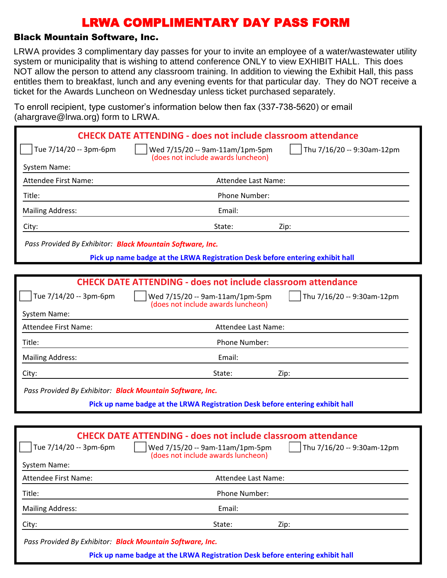#### Black Mountain Software, Inc.

LRWA provides 3 complimentary day passes for your to invite an employee of a water/wastewater utility system or municipality that is wishing to attend conference ONLY to view EXHIBIT HALL. This does NOT allow the person to attend any classroom training. In addition to viewing the Exhibit Hall, this pass entitles them to breakfast, lunch and any evening events for that particular day. They do NOT receive a ticket for the Awards Luncheon on Wednesday unless ticket purchased separately.

To enroll recipient, type customer's information below then fax (337-738-5620) or email (abargrave@lrwa.org) form to LRWA

| $($ anargiavo $\otimes$ irwa.org/Tonn to Erversity        |                                                                                                                                                                                             |
|-----------------------------------------------------------|---------------------------------------------------------------------------------------------------------------------------------------------------------------------------------------------|
|                                                           | <b>CHECK DATE ATTENDING - does not include classroom attendance</b>                                                                                                                         |
| Tue 7/14/20 -- 3pm-6pm                                    | Thu 7/16/20 -- 9:30am-12pm<br>Wed 7/15/20 -- 9am-11am/1pm-5pm<br>(does not include awards luncheon)                                                                                         |
| System Name:                                              |                                                                                                                                                                                             |
| <b>Attendee First Name:</b>                               | Attendee Last Name:                                                                                                                                                                         |
| Title:                                                    | Phone Number:                                                                                                                                                                               |
| <b>Mailing Address:</b>                                   | Email:                                                                                                                                                                                      |
| City:                                                     | State:<br>Zip:                                                                                                                                                                              |
| Pass Provided By Exhibitor: Black Mountain Software, Inc. |                                                                                                                                                                                             |
|                                                           | Pick up name badge at the LRWA Registration Desk before entering exhibit hall                                                                                                               |
|                                                           |                                                                                                                                                                                             |
|                                                           | <b>CHECK DATE ATTENDING - does not include classroom attendance</b>                                                                                                                         |
| Tue 7/14/20 -- 3pm-6pm                                    | Wed 7/15/20 -- 9am-11am/1pm-5pm<br>Thu 7/16/20 -- 9:30am-12pm<br>(does not include awards luncheon)                                                                                         |
| System Name:                                              |                                                                                                                                                                                             |
| <b>Attendee First Name:</b>                               | Attendee Last Name:                                                                                                                                                                         |
| Title:                                                    | Phone Number:                                                                                                                                                                               |
| <b>Mailing Address:</b>                                   | Email:                                                                                                                                                                                      |
| City:                                                     | State:<br>Zip:                                                                                                                                                                              |
| Pass Provided By Exhibitor: Black Mountain Software, Inc. |                                                                                                                                                                                             |
|                                                           | Pick up name badge at the LRWA Registration Desk before entering exhibit hall                                                                                                               |
|                                                           |                                                                                                                                                                                             |
| Tue 7/14/20 -- 3pm-6pm<br>System Name:                    | <b>CHECK DATE ATTENDING - does not include classroom attendance</b><br>$\int$ Thu 7/16/20 -- 9:30am-12pm<br>$\vert$   Wed 7/15/20 -- 9am-11am/1pm-5pm<br>(does not include awards luncheon) |
| <b>Attendee First Name:</b>                               | Attendee Last Name:                                                                                                                                                                         |
| Title:                                                    | Phone Number:                                                                                                                                                                               |
| <b>Mailing Address:</b>                                   | Email:                                                                                                                                                                                      |
| City:                                                     | State:<br>Zip:                                                                                                                                                                              |

*Pass Provided By Exhibitor: Black Mountain Software, Inc.*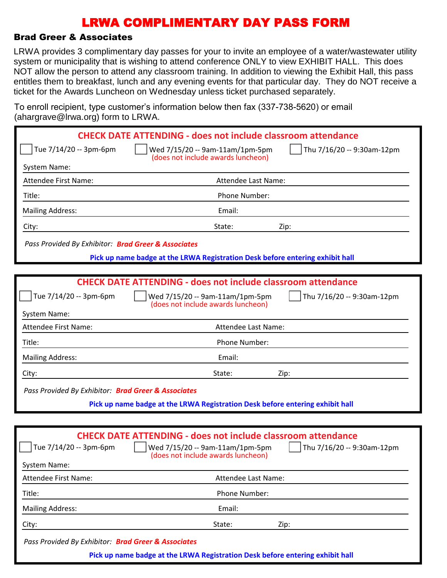### Brad Greer & Associates

LRWA provides 3 complimentary day passes for your to invite an employee of a water/wastewater utility system or municipality that is wishing to attend conference ONLY to view EXHIBIT HALL. This does NOT allow the person to attend any classroom training. In addition to viewing the Exhibit Hall, this pass entitles them to breakfast, lunch and any evening events for that particular day. They do NOT receive a ticket for the Awards Luncheon on Wednesday unless ticket purchased separately.

To enroll recipient, type customer's information below then fax (337-738-5620) or email (ahargrave@lrwa.org) form to LRWA

| $($ unurgruvo $\otimes$ n wu $\otimes$ ng $)$ romm $\otimes$ Ervi $\vee$ r |                                                                                                                                                    |                                    |
|----------------------------------------------------------------------------|----------------------------------------------------------------------------------------------------------------------------------------------------|------------------------------------|
|                                                                            | <b>CHECK DATE ATTENDING - does not include classroom attendance</b>                                                                                |                                    |
| Tue 7/14/20 -- 3pm-6pm                                                     | Wed 7/15/20 -- 9am-11am/1pm-5pm                                                                                                                    | Thu 7/16/20 -- 9:30am-12pm         |
| System Name:                                                               | (does not include awards luncheon)                                                                                                                 |                                    |
| <b>Attendee First Name:</b>                                                | Attendee Last Name:                                                                                                                                |                                    |
| Title:                                                                     | Phone Number:                                                                                                                                      |                                    |
| <b>Mailing Address:</b>                                                    | Email:                                                                                                                                             |                                    |
| City:                                                                      | State:                                                                                                                                             | Zip:                               |
| Pass Provided By Exhibitor: Brad Greer & Associates                        |                                                                                                                                                    |                                    |
|                                                                            | Pick up name badge at the LRWA Registration Desk before entering exhibit hall                                                                      |                                    |
|                                                                            |                                                                                                                                                    |                                    |
|                                                                            | <b>CHECK DATE ATTENDING - does not include classroom attendance</b>                                                                                |                                    |
| Tue 7/14/20 -- 3pm-6pm                                                     | Wed 7/15/20 -- 9am-11am/1pm-5pm<br>(does not include awards luncheon)                                                                              | Thu 7/16/20 -- 9:30am-12pm         |
| System Name:                                                               |                                                                                                                                                    |                                    |
| <b>Attendee First Name:</b>                                                | Attendee Last Name:                                                                                                                                |                                    |
| Title:                                                                     | Phone Number:                                                                                                                                      |                                    |
| <b>Mailing Address:</b>                                                    | Email:                                                                                                                                             |                                    |
| City:                                                                      | State:                                                                                                                                             | Zip:                               |
| Pass Provided By Exhibitor: Brad Greer & Associates                        |                                                                                                                                                    |                                    |
|                                                                            | Pick up name badge at the LRWA Registration Desk before entering exhibit hall                                                                      |                                    |
|                                                                            |                                                                                                                                                    |                                    |
| Tue 7/14/20 -- 3pm-6pm<br>System Name:                                     | <b>CHECK DATE ATTENDING - does not include classroom attendance</b><br>    Wed $7/15/20 - 9$ am-11am/1pm-5pm<br>(does not include awards luncheon) | $\vert$ Thu 7/16/20 -- 9:30am-12pm |
| Attendee First Name:                                                       | Attendee Last Name:                                                                                                                                |                                    |
| Title:                                                                     | Phone Number:                                                                                                                                      |                                    |
| <b>Mailing Address:</b>                                                    | Email:                                                                                                                                             |                                    |
| City:                                                                      | State:                                                                                                                                             | Zip:                               |

*Pass Provided By Exhibitor: Brad Greer & Associates*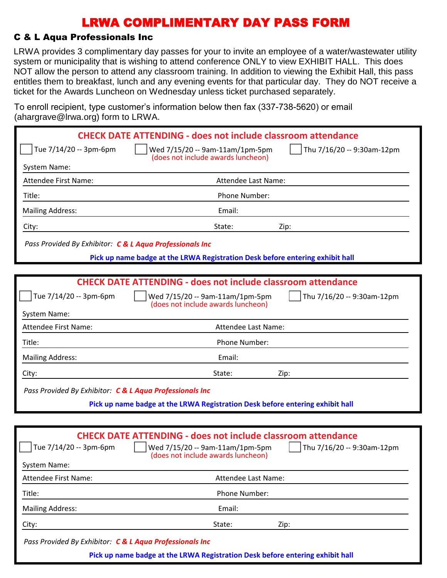### C & L Aqua Professionals Inc

LRWA provides 3 complimentary day passes for your to invite an employee of a water/wastewater utility system or municipality that is wishing to attend conference ONLY to view EXHIBIT HALL. This does NOT allow the person to attend any classroom training. In addition to viewing the Exhibit Hall, this pass entitles them to breakfast, lunch and any evening events for that particular day. They do NOT receive a ticket for the Awards Luncheon on Wednesday unless ticket purchased separately.

To enroll recipient, type customer's information below then fax (337-738-5620) or email (ahargrave@lrwa.org) form to LRWA

|                                                          | <b>CHECK DATE ATTENDING - does not include classroom attendance</b>                                                                                                                |
|----------------------------------------------------------|------------------------------------------------------------------------------------------------------------------------------------------------------------------------------------|
| Tue 7/14/20 -- 3pm-6pm                                   | Thu 7/16/20 -- 9:30am-12pm<br>Wed 7/15/20 -- 9am-11am/1pm-5pm<br>(does not include awards luncheon)                                                                                |
| System Name:                                             |                                                                                                                                                                                    |
| Attendee First Name:                                     | Attendee Last Name:                                                                                                                                                                |
| Title:                                                   | Phone Number:                                                                                                                                                                      |
| <b>Mailing Address:</b>                                  | Email:                                                                                                                                                                             |
| City:                                                    | State:<br>Zip:                                                                                                                                                                     |
| Pass Provided By Exhibitor: C & L Aqua Professionals Inc |                                                                                                                                                                                    |
|                                                          | Pick up name badge at the LRWA Registration Desk before entering exhibit hall                                                                                                      |
|                                                          |                                                                                                                                                                                    |
|                                                          | <b>CHECK DATE ATTENDING - does not include classroom attendance</b>                                                                                                                |
| Tue 7/14/20 -- 3pm-6pm                                   | Wed 7/15/20 -- 9am-11am/1pm-5pm<br>Thu 7/16/20 -- 9:30am-12pm<br>(does not include awards luncheon)                                                                                |
| System Name:                                             |                                                                                                                                                                                    |
| <b>Attendee First Name:</b>                              | Attendee Last Name:                                                                                                                                                                |
| Title:                                                   | Phone Number:                                                                                                                                                                      |
| <b>Mailing Address:</b>                                  | Email:                                                                                                                                                                             |
| City:                                                    | State:<br>Zip:                                                                                                                                                                     |
| Pass Provided By Exhibitor: C & L Aqua Professionals Inc |                                                                                                                                                                                    |
|                                                          | Pick up name badge at the LRWA Registration Desk before entering exhibit hall                                                                                                      |
|                                                          |                                                                                                                                                                                    |
| Tue $7/14/20 - 3pm-6pm$<br>System Name:                  | <b>CHECK DATE ATTENDING - does not include classroom attendance</b><br>    Wed 7/15/20 -- 9am-11am/1pm-5pm<br>    Thu 7/16/20 -- 9:30am-12pm<br>(does not include awards luncheon) |
| Attendee First Name:                                     | Attendee Last Name:                                                                                                                                                                |
| Title:                                                   | Phone Number:                                                                                                                                                                      |
| <b>Mailing Address:</b>                                  | Email:                                                                                                                                                                             |
| City:                                                    | State:<br>Zip:                                                                                                                                                                     |
|                                                          |                                                                                                                                                                                    |

*Pass Provided By Exhibitor: C & L Aqua Professionals Inc*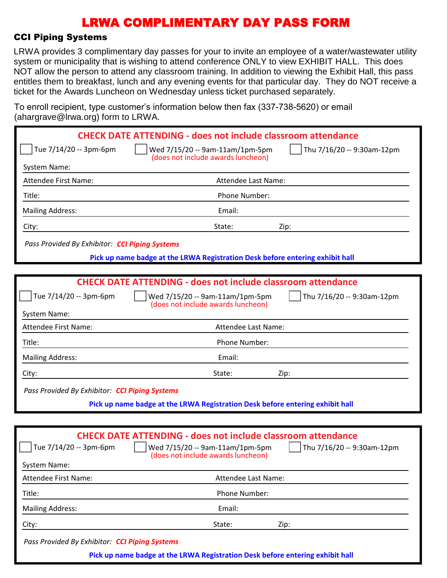#### CCI Piping Systems

LRWA provides 3 complimentary day passes for your to invite an employee of a water/wastewater utility system or municipality that is wishing to attend conference ONLY to view EXHIBIT HALL. This does NOT allow the person to attend any classroom training. In addition to viewing the Exhibit Hall, this pass entitles them to breakfast, lunch and any evening events for that particular day. They do NOT receive a ticket for the Awards Luncheon on Wednesday unless ticket purchased separately.

To enroll recipient, type customer's information below then fax (337-738-5620) or email (abargrave@lrwa.org) form to LRWA

| $($ anargravc $\approx$ n wa.org $\prime$ rommto Erve $\prime$ . |                                                                                                                                                                                       |
|------------------------------------------------------------------|---------------------------------------------------------------------------------------------------------------------------------------------------------------------------------------|
|                                                                  | <b>CHECK DATE ATTENDING - does not include classroom attendance</b>                                                                                                                   |
| Tue 7/14/20 -- 3pm-6pm                                           | Thu 7/16/20 -- 9:30am-12pm<br>Wed 7/15/20 -- 9am-11am/1pm-5pm                                                                                                                         |
| System Name:                                                     | (does not include awards luncheon)                                                                                                                                                    |
| <b>Attendee First Name:</b>                                      | Attendee Last Name:                                                                                                                                                                   |
| Title:                                                           | Phone Number:                                                                                                                                                                         |
| <b>Mailing Address:</b>                                          | Email:                                                                                                                                                                                |
| City:                                                            | State:<br>Zip:                                                                                                                                                                        |
| Pass Provided By Exhibitor: CCI Piping Systems                   |                                                                                                                                                                                       |
|                                                                  | Pick up name badge at the LRWA Registration Desk before entering exhibit hall                                                                                                         |
|                                                                  |                                                                                                                                                                                       |
|                                                                  | <b>CHECK DATE ATTENDING - does not include classroom attendance</b>                                                                                                                   |
| Tue 7/14/20 -- 3pm-6pm                                           | Wed 7/15/20 -- 9am-11am/1pm-5pm<br>Thu 7/16/20 -- 9:30am-12pm<br>(does not include awards luncheon)                                                                                   |
| System Name:                                                     |                                                                                                                                                                                       |
| <b>Attendee First Name:</b>                                      | Attendee Last Name:                                                                                                                                                                   |
| Title:                                                           | Phone Number:                                                                                                                                                                         |
| <b>Mailing Address:</b>                                          | Email:                                                                                                                                                                                |
| City:                                                            | State:<br>Zip:                                                                                                                                                                        |
| Pass Provided By Exhibitor: CCI Piping Systems                   |                                                                                                                                                                                       |
|                                                                  | Pick up name badge at the LRWA Registration Desk before entering exhibit hall                                                                                                         |
|                                                                  |                                                                                                                                                                                       |
| Tue 7/14/20 -- 3pm-6pm<br><b>System Name:</b>                    | <b>CHECK DATE ATTENDING - does not include classroom attendance</b><br>Wed 7/15/20 -- 9am-11am/1pm-5pm<br>$\sqrt{ }$ Thu 7/16/20 -- 9:30am-12pm<br>(does not include awards luncheon) |
| Attendee First Name:                                             | Attendee Last Name:                                                                                                                                                                   |
| Title:                                                           | Phone Number:                                                                                                                                                                         |
| <b>Mailing Address:</b>                                          | Email:                                                                                                                                                                                |
| City:                                                            | State:<br>Zip:                                                                                                                                                                        |

*Pass Provided By Exhibitor: CCI Piping Systems*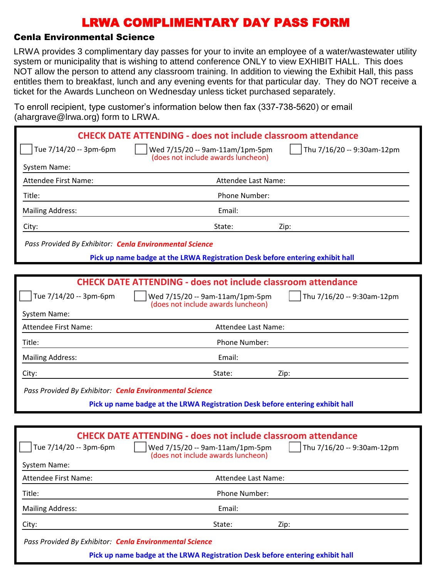### Cenla Environmental Science

LRWA provides 3 complimentary day passes for your to invite an employee of a water/wastewater utility system or municipality that is wishing to attend conference ONLY to view EXHIBIT HALL. This does NOT allow the person to attend any classroom training. In addition to viewing the Exhibit Hall, this pass entitles them to breakfast, lunch and any evening events for that particular day. They do NOT receive a ticket for the Awards Luncheon on Wednesday unless ticket purchased separately.

To enroll recipient, type customer's information below then fax (337-738-5620) or email (abargrave@lrwa.org) form to LRWA

| $($ anargravc $\approx$ n wa.org $\prime$ rommto Erve $\prime$ . |                                                                                                                                                                                       |
|------------------------------------------------------------------|---------------------------------------------------------------------------------------------------------------------------------------------------------------------------------------|
|                                                                  | <b>CHECK DATE ATTENDING - does not include classroom attendance</b>                                                                                                                   |
| Tue 7/14/20 -- 3pm-6pm                                           | Thu 7/16/20 -- 9:30am-12pm<br>Wed 7/15/20 -- 9am-11am/1pm-5pm                                                                                                                         |
| System Name:                                                     | (does not include awards luncheon)                                                                                                                                                    |
| <b>Attendee First Name:</b>                                      | Attendee Last Name:                                                                                                                                                                   |
| Title:                                                           | Phone Number:                                                                                                                                                                         |
| <b>Mailing Address:</b>                                          | Email:                                                                                                                                                                                |
| City:                                                            | State:<br>Zip:                                                                                                                                                                        |
| Pass Provided By Exhibitor: Cenla Environmental Science          |                                                                                                                                                                                       |
|                                                                  | Pick up name badge at the LRWA Registration Desk before entering exhibit hall                                                                                                         |
|                                                                  |                                                                                                                                                                                       |
|                                                                  | <b>CHECK DATE ATTENDING - does not include classroom attendance</b>                                                                                                                   |
| Tue 7/14/20 -- 3pm-6pm                                           | Wed 7/15/20 -- 9am-11am/1pm-5pm<br>Thu 7/16/20 -- 9:30am-12pm<br>(does not include awards luncheon)                                                                                   |
| <b>System Name:</b>                                              |                                                                                                                                                                                       |
| <b>Attendee First Name:</b>                                      | Attendee Last Name:                                                                                                                                                                   |
| Title:                                                           | Phone Number:                                                                                                                                                                         |
| <b>Mailing Address:</b>                                          | Email:                                                                                                                                                                                |
| City:                                                            | State:<br>Zip:                                                                                                                                                                        |
| Pass Provided By Exhibitor: Cenla Environmental Science          |                                                                                                                                                                                       |
|                                                                  | Pick up name badge at the LRWA Registration Desk before entering exhibit hall                                                                                                         |
|                                                                  |                                                                                                                                                                                       |
| Tue 7/14/20 -- 3pm-6pm<br><b>System Name:</b>                    | <b>CHECK DATE ATTENDING - does not include classroom attendance</b><br>Wed 7/15/20 -- 9am-11am/1pm-5pm<br>$\sqrt{ }$ Thu 7/16/20 -- 9:30am-12pm<br>(does not include awards luncheon) |
| Attendee First Name:                                             | Attendee Last Name:                                                                                                                                                                   |
| Title:                                                           | Phone Number:                                                                                                                                                                         |
| <b>Mailing Address:</b>                                          | Email:                                                                                                                                                                                |
| City:                                                            | State:<br>Zip:                                                                                                                                                                        |

*Pass Provided By Exhibitor: Cenla Environmental Science*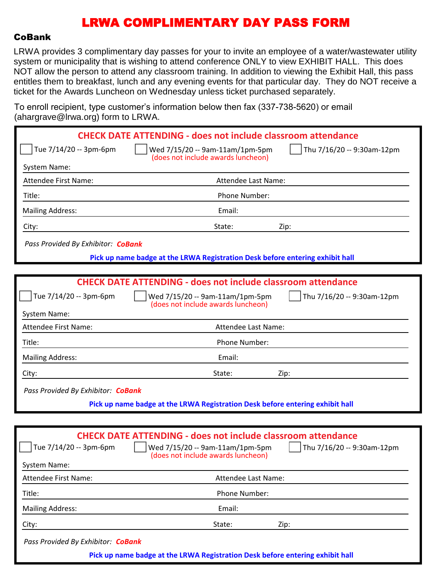#### CoBank

LRWA provides 3 complimentary day passes for your to invite an employee of a water/wastewater utility system or municipality that is wishing to attend conference ONLY to view EXHIBIT HALL. This does NOT allow the person to attend any classroom training. In addition to viewing the Exhibit Hall, this pass entitles them to breakfast, lunch and any evening events for that particular day. They do NOT receive a ticket for the Awards Luncheon on Wednesday unless ticket purchased separately.

To enroll recipient, type customer's information below then fax (337-738-5620) or email (abargrave@lrwa.org) form to LRWA

| $($ anargiav $\sigma \approx 0.9$ arva. $\sigma$ ig $\mu$ romin $\sigma$ Erversio |                                                                                                                                                                            |
|-----------------------------------------------------------------------------------|----------------------------------------------------------------------------------------------------------------------------------------------------------------------------|
|                                                                                   | <b>CHECK DATE ATTENDING - does not include classroom attendance</b>                                                                                                        |
| Tue 7/14/20 -- 3pm-6pm                                                            | Thu 7/16/20 -- 9:30am-12pm<br>Wed 7/15/20 -- 9am-11am/1pm-5pm<br>(does not include awards luncheon)                                                                        |
| System Name:                                                                      |                                                                                                                                                                            |
| <b>Attendee First Name:</b>                                                       | Attendee Last Name:                                                                                                                                                        |
| Title:                                                                            | Phone Number:                                                                                                                                                              |
| <b>Mailing Address:</b>                                                           | Email:                                                                                                                                                                     |
| City:                                                                             | State:<br>Zip:                                                                                                                                                             |
| Pass Provided By Exhibitor: CoBank                                                |                                                                                                                                                                            |
|                                                                                   | Pick up name badge at the LRWA Registration Desk before entering exhibit hall                                                                                              |
|                                                                                   |                                                                                                                                                                            |
|                                                                                   | <b>CHECK DATE ATTENDING - does not include classroom attendance</b>                                                                                                        |
| Tue 7/14/20 -- 3pm-6pm                                                            | Wed 7/15/20 -- 9am-11am/1pm-5pm<br>Thu 7/16/20 -- 9:30am-12pm<br>(does not include awards luncheon)                                                                        |
| System Name:                                                                      |                                                                                                                                                                            |
| <b>Attendee First Name:</b>                                                       | Attendee Last Name:                                                                                                                                                        |
| Title:                                                                            | Phone Number:                                                                                                                                                              |
| <b>Mailing Address:</b>                                                           | Email:                                                                                                                                                                     |
| City:                                                                             | State:<br>Zip:                                                                                                                                                             |
| Pass Provided By Exhibitor: CoBank                                                |                                                                                                                                                                            |
|                                                                                   | Pick up name badge at the LRWA Registration Desk before entering exhibit hall                                                                                              |
|                                                                                   |                                                                                                                                                                            |
| Tue 7/14/20 -- 3pm-6pm                                                            | <b>CHECK DATE ATTENDING - does not include classroom attendance</b><br>Wed 7/15/20 -- 9am-11am/1pm-5pm<br>Thu 7/16/20 -- 9:30am-12pm<br>(does not include awards luncheon) |
| <b>System Name:</b>                                                               |                                                                                                                                                                            |
| <b>Attendee First Name:</b>                                                       | Attendee Last Name:                                                                                                                                                        |

Title: Phone Number:

Mailing Address: The Contract of the Contract of the Email:

City: State: Zip:

*Pass Provided By Exhibitor: CoBank*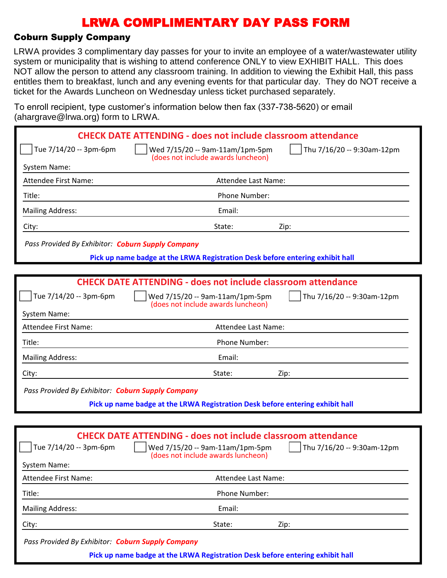#### Coburn Supply Company

LRWA provides 3 complimentary day passes for your to invite an employee of a water/wastewater utility system or municipality that is wishing to attend conference ONLY to view EXHIBIT HALL. This does NOT allow the person to attend any classroom training. In addition to viewing the Exhibit Hall, this pass entitles them to breakfast, lunch and any evening events for that particular day. They do NOT receive a ticket for the Awards Luncheon on Wednesday unless ticket purchased separately.

To enroll recipient, type customer's information below then fax (337-738-5620) or email (abargrave@lrwa.org) form to LRWA

| <b>CHECK DATE ATTENDING - does not include classroom attendance</b>                                                  |
|----------------------------------------------------------------------------------------------------------------------|
| Thu 7/16/20 -- 9:30am-12pm<br>Wed 7/15/20 -- 9am-11am/1pm-5pm<br>(does not include awards luncheon)                  |
|                                                                                                                      |
| Attendee Last Name:                                                                                                  |
| Phone Number:                                                                                                        |
| Email:                                                                                                               |
| State:<br>Zip:                                                                                                       |
| Pass Provided By Exhibitor: Coburn Supply Company                                                                    |
| Pick up name badge at the LRWA Registration Desk before entering exhibit hall                                        |
|                                                                                                                      |
| <b>CHECK DATE ATTENDING - does not include classroom attendance</b>                                                  |
| Wed 7/15/20 -- 9am-11am/1pm-5pm<br>Thu 7/16/20 -- 9:30am-12pm<br>(does not include awards luncheon)                  |
|                                                                                                                      |
| Attendee Last Name:                                                                                                  |
| Phone Number:                                                                                                        |
| Email:                                                                                                               |
| State:<br>Zip:                                                                                                       |
| Pass Provided By Exhibitor: Coburn Supply Company                                                                    |
| Pick up name badge at the LRWA Registration Desk before entering exhibit hall                                        |
|                                                                                                                      |
| <b>CHECK DATE ATTENDING - does not include classroom attendance</b>                                                  |
| $\int$ Thu 7/16/20 -- 9:30am-12pm<br>$\vert$   Wed 7/15/20 -- 9am-11am/1pm-5pm<br>(does not include awards luncheon) |
|                                                                                                                      |
| Attendee Last Name:                                                                                                  |
| Phone Number:                                                                                                        |
|                                                                                                                      |

City: State: Zip:

*Pass Provided By Exhibitor: Coburn Supply Company*

Mailing Address: The Contract of the Contract of the Email: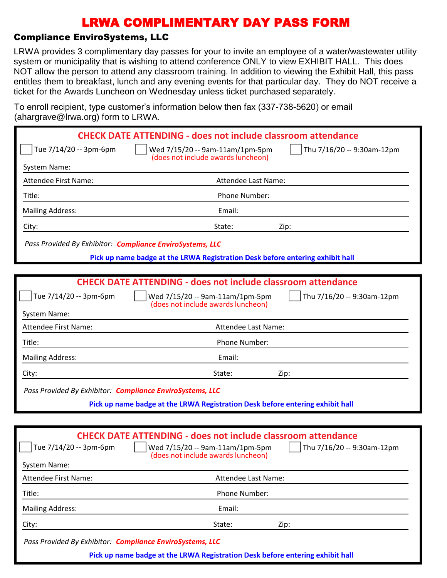### Compliance EnviroSystems, LLC

LRWA provides 3 complimentary day passes for your to invite an employee of a water/wastewater utility system or municipality that is wishing to attend conference ONLY to view EXHIBIT HALL. This does NOT allow the person to attend any classroom training. In addition to viewing the Exhibit Hall, this pass entitles them to breakfast, lunch and any evening events for that particular day. They do NOT receive a ticket for the Awards Luncheon on Wednesday unless ticket purchased separately.

To enroll recipient, type customer's information below then fax (337-738-5620) or email (ahargrave@lrwa.org) form to LRWA

|                                                           | <b>CHECK DATE ATTENDING - does not include classroom attendance</b>                                                                                                                |
|-----------------------------------------------------------|------------------------------------------------------------------------------------------------------------------------------------------------------------------------------------|
| Tue 7/14/20 -- 3pm-6pm                                    | Thu 7/16/20 -- 9:30am-12pm<br>Wed 7/15/20 -- 9am-11am/1pm-5pm<br>(does not include awards luncheon)                                                                                |
| System Name:                                              |                                                                                                                                                                                    |
| <b>Attendee First Name:</b>                               | Attendee Last Name:                                                                                                                                                                |
| Title:                                                    | Phone Number:                                                                                                                                                                      |
| <b>Mailing Address:</b>                                   | Email:                                                                                                                                                                             |
| City:                                                     | State:<br>Zip:                                                                                                                                                                     |
| Pass Provided By Exhibitor: Compliance EnviroSystems, LLC |                                                                                                                                                                                    |
|                                                           | Pick up name badge at the LRWA Registration Desk before entering exhibit hall                                                                                                      |
|                                                           |                                                                                                                                                                                    |
|                                                           | <b>CHECK DATE ATTENDING - does not include classroom attendance</b>                                                                                                                |
| Tue 7/14/20 -- 3pm-6pm                                    | Thu 7/16/20 -- 9:30am-12pm<br>Wed 7/15/20 -- 9am-11am/1pm-5pm<br>(does not include awards luncheon)                                                                                |
| System Name:                                              |                                                                                                                                                                                    |
| Attendee First Name:                                      | Attendee Last Name:                                                                                                                                                                |
| Title:                                                    | Phone Number:                                                                                                                                                                      |
| <b>Mailing Address:</b>                                   | Email:                                                                                                                                                                             |
| City:                                                     | State:<br>Zip:                                                                                                                                                                     |
| Pass Provided By Exhibitor: Compliance EnviroSystems, LLC |                                                                                                                                                                                    |
|                                                           | Pick up name badge at the LRWA Registration Desk before entering exhibit hall                                                                                                      |
|                                                           |                                                                                                                                                                                    |
| $\int$ Tue 7/14/20 -- 3pm-6pm<br><b>System Name:</b>      | <b>CHECK DATE ATTENDING - does not include classroom attendance</b><br>    Wed 7/15/20 -- 9am-11am/1pm-5pm<br>    Thu 7/16/20 -- 9:30am-12pm<br>(does not include awards luncheon) |
| <b>Attendee First Name:</b>                               | Attendee Last Name:                                                                                                                                                                |
| Title:                                                    | Phone Number:                                                                                                                                                                      |
| <b>Mailing Address:</b>                                   | Email:                                                                                                                                                                             |
| City:                                                     | State:<br>Zip:                                                                                                                                                                     |
|                                                           |                                                                                                                                                                                    |

*Pass Provided By Exhibitor: Compliance EnviroSystems, LLC*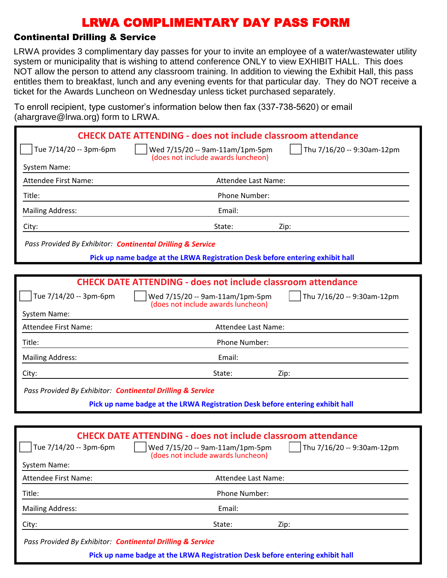### Continental Drilling & Service

LRWA provides 3 complimentary day passes for your to invite an employee of a water/wastewater utility system or municipality that is wishing to attend conference ONLY to view EXHIBIT HALL. This does NOT allow the person to attend any classroom training. In addition to viewing the Exhibit Hall, this pass entitles them to breakfast, lunch and any evening events for that particular day. They do NOT receive a ticket for the Awards Luncheon on Wednesday unless ticket purchased separately.

To enroll recipient, type customer's information below then fax (337-738-5620) or email (ahargrave@lrwa.org) form to LRWA

| $1.141$ grave $\cup$ $\ldots$ $1.01$ graves $\cup$         |                                                                                                      |                            |
|------------------------------------------------------------|------------------------------------------------------------------------------------------------------|----------------------------|
|                                                            | <b>CHECK DATE ATTENDING - does not include classroom attendance</b>                                  |                            |
| Tue 7/14/20 -- 3pm-6pm                                     | Wed 7/15/20 -- 9am-11am/1pm-5pm<br>(does not include awards luncheon)                                | Thu 7/16/20 -- 9:30am-12pm |
| System Name:                                               |                                                                                                      |                            |
| Attendee First Name:                                       | Attendee Last Name:                                                                                  |                            |
| Title:                                                     | Phone Number:                                                                                        |                            |
| <b>Mailing Address:</b>                                    | Email:                                                                                               |                            |
| City:                                                      | State:                                                                                               | Zip:                       |
| Pass Provided By Exhibitor: Continental Drilling & Service |                                                                                                      |                            |
|                                                            | Pick up name badge at the LRWA Registration Desk before entering exhibit hall                        |                            |
|                                                            |                                                                                                      |                            |
|                                                            | <b>CHECK DATE ATTENDING - does not include classroom attendance</b>                                  |                            |
| Tue 7/14/20 -- 3pm-6pm                                     | Wed 7/15/20 -- 9am-11am/1pm-5pm<br>(does not include awards luncheon)                                | Thu 7/16/20 -- 9:30am-12pm |
| <b>System Name:</b>                                        |                                                                                                      |                            |
| <b>Attendee First Name:</b>                                | Attendee Last Name:                                                                                  |                            |
| Title:                                                     | Phone Number:                                                                                        |                            |
| <b>Mailing Address:</b>                                    | Email:                                                                                               |                            |
| City:                                                      | State:                                                                                               | Zip:                       |
| Pass Provided By Exhibitor: Continental Drilling & Service |                                                                                                      |                            |
|                                                            | Pick up name badge at the LRWA Registration Desk before entering exhibit hall                        |                            |
|                                                            |                                                                                                      |                            |
|                                                            | <b>CHECK DATE ATTENDING - does not include classroom attendance</b>                                  |                            |
| Tue 7/14/20 -- 3pm-6pm                                     | Wed 7/15/20 -- 9am-11am/1pm-5pm     Thu 7/16/20 -- 9:30am-12pm<br>(does not include awards luncheon) |                            |
| System Name:                                               |                                                                                                      |                            |
| <b>Attendee First Name:</b>                                | Attendee Last Name:                                                                                  |                            |
| Title:                                                     | Phone Number:                                                                                        |                            |
| <b>Mailing Address:</b>                                    | Email:                                                                                               |                            |
| City:                                                      | State:                                                                                               | Zip:                       |
| Pass Provided By Exhibitor: Continental Drilling & Service |                                                                                                      |                            |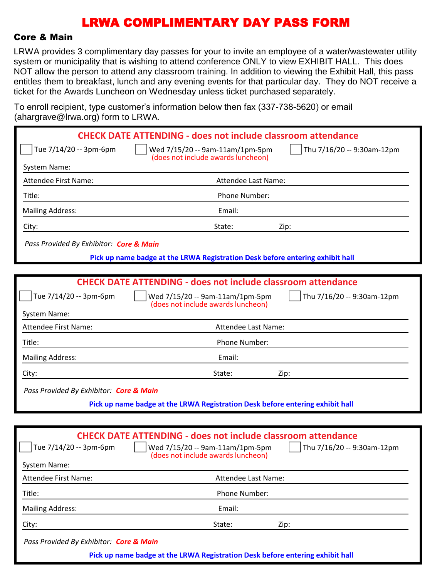#### Core & Main

LRWA provides 3 complimentary day passes for your to invite an employee of a water/wastewater utility system or municipality that is wishing to attend conference ONLY to view EXHIBIT HALL. This does NOT allow the person to attend any classroom training. In addition to viewing the Exhibit Hall, this pass entitles them to breakfast, lunch and any evening events for that particular day. They do NOT receive a ticket for the Awards Luncheon on Wednesday unless ticket purchased separately.

To enroll recipient, type customer's information below then fax (337-738-5620) or email (abargrave@lrwa.org) form to LRWA

| $($ anargrav $\sigma$ @n wa.org/ Tomi to Liver. |                                                                                                                                                                            |
|-------------------------------------------------|----------------------------------------------------------------------------------------------------------------------------------------------------------------------------|
|                                                 | <b>CHECK DATE ATTENDING - does not include classroom attendance</b>                                                                                                        |
| Tue 7/14/20 -- 3pm-6pm                          | Thu 7/16/20 -- 9:30am-12pm<br>Wed 7/15/20 -- 9am-11am/1pm-5pm<br>(does not include awards luncheon)                                                                        |
| System Name:                                    |                                                                                                                                                                            |
| <b>Attendee First Name:</b>                     | Attendee Last Name:                                                                                                                                                        |
| Title:                                          | Phone Number:                                                                                                                                                              |
| <b>Mailing Address:</b>                         | Email:                                                                                                                                                                     |
| City:                                           | State:<br>Zip:                                                                                                                                                             |
| Pass Provided By Exhibitor: Core & Main         |                                                                                                                                                                            |
|                                                 | Pick up name badge at the LRWA Registration Desk before entering exhibit hall                                                                                              |
|                                                 |                                                                                                                                                                            |
|                                                 | <b>CHECK DATE ATTENDING - does not include classroom attendance</b>                                                                                                        |
| Tue 7/14/20 -- 3pm-6pm                          | Thu 7/16/20 -- 9:30am-12pm<br>Wed 7/15/20 -- 9am-11am/1pm-5pm<br>(does not include awards luncheon)                                                                        |
| System Name:                                    |                                                                                                                                                                            |
| <b>Attendee First Name:</b>                     | Attendee Last Name:                                                                                                                                                        |
| Title:                                          | Phone Number:                                                                                                                                                              |
| <b>Mailing Address:</b>                         | Email:                                                                                                                                                                     |
| City:                                           | State:<br>Zip:                                                                                                                                                             |
| Pass Provided By Exhibitor: Core & Main         |                                                                                                                                                                            |
|                                                 | Pick up name badge at the LRWA Registration Desk before entering exhibit hall                                                                                              |
|                                                 |                                                                                                                                                                            |
| Tue 7/14/20 -- 3pm-6pm<br>System Name:          | <b>CHECK DATE ATTENDING - does not include classroom attendance</b><br>Thu 7/16/20 -- 9:30am-12pm<br>Wed 7/15/20 -- 9am-11am/1pm-5pm<br>(does not include awards luncheon) |
| Attendee First Name:                            | Attendee Last Name:                                                                                                                                                        |
| Title:                                          | Phone Number:                                                                                                                                                              |
| <b>Mailing Address:</b>                         | Email:                                                                                                                                                                     |

City: State: Zip:

*Pass Provided By Exhibitor: Core & Main*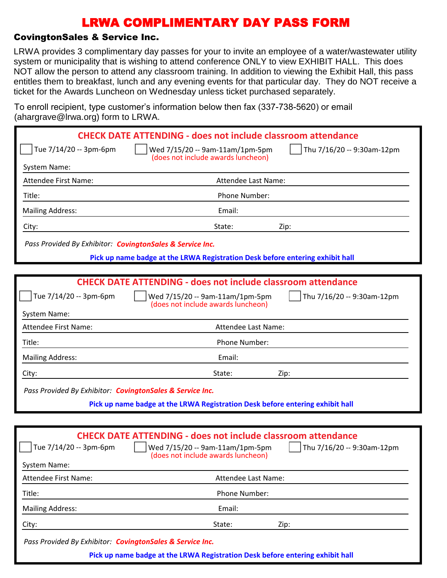### CovingtonSales & Service Inc.

LRWA provides 3 complimentary day passes for your to invite an employee of a water/wastewater utility system or municipality that is wishing to attend conference ONLY to view EXHIBIT HALL. This does NOT allow the person to attend any classroom training. In addition to viewing the Exhibit Hall, this pass entitles them to breakfast, lunch and any evening events for that particular day. They do NOT receive a ticket for the Awards Luncheon on Wednesday unless ticket purchased separately.

To enroll recipient, type customer's information below then fax (337-738-5620) or email (ahargrave@lrwa.org) form to LRWA

|                                                           | <b>CHECK DATE ATTENDING - does not include classroom attendance</b>                                                                                                            |
|-----------------------------------------------------------|--------------------------------------------------------------------------------------------------------------------------------------------------------------------------------|
| Tue 7/14/20 -- 3pm-6pm                                    | Thu 7/16/20 -- 9:30am-12pm<br>Wed 7/15/20 -- 9am-11am/1pm-5pm                                                                                                                  |
| System Name:                                              | (does not include awards luncheon)                                                                                                                                             |
| Attendee First Name:                                      | Attendee Last Name:                                                                                                                                                            |
| Title:                                                    | Phone Number:                                                                                                                                                                  |
| <b>Mailing Address:</b>                                   | Email:                                                                                                                                                                         |
| City:                                                     | State:<br>Zip:                                                                                                                                                                 |
| Pass Provided By Exhibitor: CovingtonSales & Service Inc. |                                                                                                                                                                                |
|                                                           | Pick up name badge at the LRWA Registration Desk before entering exhibit hall                                                                                                  |
|                                                           |                                                                                                                                                                                |
|                                                           | <b>CHECK DATE ATTENDING - does not include classroom attendance</b>                                                                                                            |
| Tue 7/14/20 -- 3pm-6pm                                    | Thu 7/16/20 -- 9:30am-12pm<br>Wed 7/15/20 -- 9am-11am/1pm-5pm<br>(does not include awards luncheon)                                                                            |
| System Name:                                              |                                                                                                                                                                                |
| <b>Attendee First Name:</b>                               | Attendee Last Name:                                                                                                                                                            |
| Title:                                                    | Phone Number:                                                                                                                                                                  |
| <b>Mailing Address:</b>                                   | Email:                                                                                                                                                                         |
| City:                                                     | State:<br>Zip:                                                                                                                                                                 |
| Pass Provided By Exhibitor: CovingtonSales & Service Inc. |                                                                                                                                                                                |
|                                                           | Pick up name badge at the LRWA Registration Desk before entering exhibit hall                                                                                                  |
|                                                           |                                                                                                                                                                                |
| Tue 7/14/20 -- 3pm-6pm<br>System Name:                    | <b>CHECK DATE ATTENDING - does not include classroom attendance</b><br>    Wed 7/15/20 -- 9am-11am/1pm-5pm<br>Thu 7/16/20 -- 9:30am-12pm<br>(does not include awards luncheon) |
| Attendee First Name:                                      | Attendee Last Name:                                                                                                                                                            |
| Title:                                                    | Phone Number:                                                                                                                                                                  |
| <b>Mailing Address:</b>                                   | Email:                                                                                                                                                                         |
| City:                                                     | State:<br>Zip:                                                                                                                                                                 |
|                                                           |                                                                                                                                                                                |

*Pass Provided By Exhibitor: CovingtonSales & Service Inc.*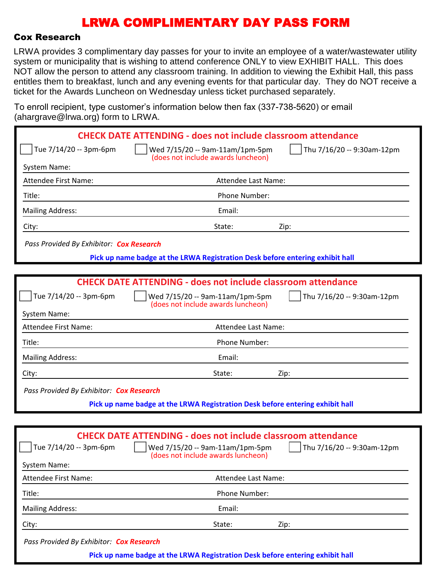#### Cox Research

LRWA provides 3 complimentary day passes for your to invite an employee of a water/wastewater utility system or municipality that is wishing to attend conference ONLY to view EXHIBIT HALL. This does NOT allow the person to attend any classroom training. In addition to viewing the Exhibit Hall, this pass entitles them to breakfast, lunch and any evening events for that particular day. They do NOT receive a ticket for the Awards Luncheon on Wednesday unless ticket purchased separately.

To enroll recipient, type customer's information below then fax (337-738-5620) or email (abargrave@lrwa.org) form to LRWA

| $($ anargrav $\sigma$ @n wa.org/ Tomi to Liver. |                                                                                                        |                            |
|-------------------------------------------------|--------------------------------------------------------------------------------------------------------|----------------------------|
|                                                 | <b>CHECK DATE ATTENDING - does not include classroom attendance</b>                                    |                            |
| Tue 7/14/20 -- 3pm-6pm                          | Wed 7/15/20 -- 9am-11am/1pm-5pm<br>(does not include awards luncheon)                                  | Thu 7/16/20 -- 9:30am-12pm |
| System Name:                                    |                                                                                                        |                            |
| <b>Attendee First Name:</b>                     | Attendee Last Name:                                                                                    |                            |
| Title:                                          | Phone Number:                                                                                          |                            |
| <b>Mailing Address:</b>                         | Email:                                                                                                 |                            |
| City:                                           | State:<br>Zip:                                                                                         |                            |
| Pass Provided By Exhibitor: Cox Research        |                                                                                                        |                            |
|                                                 | Pick up name badge at the LRWA Registration Desk before entering exhibit hall                          |                            |
|                                                 |                                                                                                        |                            |
|                                                 | <b>CHECK DATE ATTENDING - does not include classroom attendance</b>                                    |                            |
| Tue 7/14/20 -- 3pm-6pm                          | Wed 7/15/20 -- 9am-11am/1pm-5pm<br>(does not include awards luncheon)                                  | Thu 7/16/20 -- 9:30am-12pm |
| System Name:                                    |                                                                                                        |                            |
| <b>Attendee First Name:</b>                     | Attendee Last Name:                                                                                    |                            |
| Title:                                          | Phone Number:                                                                                          |                            |
| <b>Mailing Address:</b>                         | Email:                                                                                                 |                            |
| City:                                           | State:<br>Zip:                                                                                         |                            |
| Pass Provided By Exhibitor: Cox Research        |                                                                                                        |                            |
|                                                 | Pick up name badge at the LRWA Registration Desk before entering exhibit hall                          |                            |
|                                                 |                                                                                                        |                            |
| Tue 7/14/20 -- 3pm-6pm                          | <b>CHECK DATE ATTENDING - does not include classroom attendance</b><br>Wed 7/15/20 -- 9am-11am/1pm-5pm | Thu 7/16/20 -- 9:30am-12pm |
| System Name:                                    | (does not include awards luncheon)                                                                     |                            |
| <b>Attendee First Name:</b>                     | Attendee Last Name:                                                                                    |                            |
| Title:                                          | Phone Number:                                                                                          |                            |
| <b>Mailing Address:</b>                         | Email:                                                                                                 |                            |

City: State: Zip:

*Pass Provided By Exhibitor: Cox Research*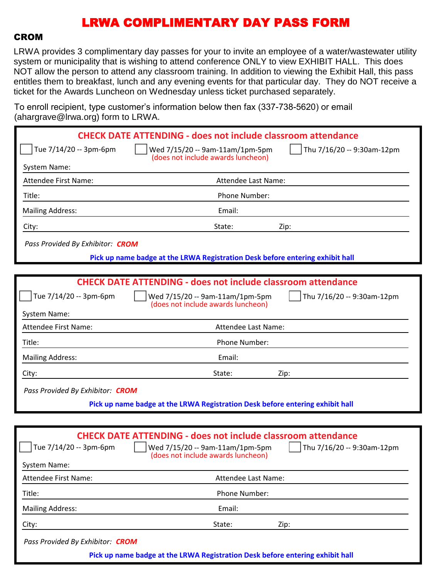### CROM

LRWA provides 3 complimentary day passes for your to invite an employee of a water/wastewater utility system or municipality that is wishing to attend conference ONLY to view EXHIBIT HALL. This does NOT allow the person to attend any classroom training. In addition to viewing the Exhibit Hall, this pass entitles them to breakfast, lunch and any evening events for that particular day. They do NOT receive a ticket for the Awards Luncheon on Wednesday unless ticket purchased separately.

To enroll recipient, type customer's information below then fax (337-738-5620) or email (ahargrave@lrwa.org) form to LRWA

| $10.91$ and $\sim$ 11 march 91                |                                                                                                                                                                            |
|-----------------------------------------------|----------------------------------------------------------------------------------------------------------------------------------------------------------------------------|
|                                               | <b>CHECK DATE ATTENDING - does not include classroom attendance</b>                                                                                                        |
| Tue 7/14/20 -- 3pm-6pm                        | Wed 7/15/20 -- 9am-11am/1pm-5pm<br>Thu 7/16/20 -- 9:30am-12pm<br>(does not include awards luncheon)                                                                        |
| System Name:                                  |                                                                                                                                                                            |
| <b>Attendee First Name:</b>                   | Attendee Last Name:                                                                                                                                                        |
| Title:                                        | Phone Number:                                                                                                                                                              |
| <b>Mailing Address:</b>                       | Email:                                                                                                                                                                     |
| City:                                         | State:<br>Zip:                                                                                                                                                             |
| Pass Provided By Exhibitor: CROM              |                                                                                                                                                                            |
|                                               | Pick up name badge at the LRWA Registration Desk before entering exhibit hall                                                                                              |
|                                               |                                                                                                                                                                            |
|                                               | <b>CHECK DATE ATTENDING - does not include classroom attendance</b>                                                                                                        |
| Tue 7/14/20 -- 3pm-6pm                        | Thu 7/16/20 -- 9:30am-12pm<br>Wed 7/15/20 -- 9am-11am/1pm-5pm<br>(does not include awards luncheon)                                                                        |
| System Name:                                  |                                                                                                                                                                            |
| <b>Attendee First Name:</b>                   | Attendee Last Name:                                                                                                                                                        |
| Title:                                        | Phone Number:                                                                                                                                                              |
| <b>Mailing Address:</b>                       | Email:                                                                                                                                                                     |
| City:                                         | State:<br>Zip:                                                                                                                                                             |
| Pass Provided By Exhibitor: CROM              |                                                                                                                                                                            |
|                                               | Pick up name badge at the LRWA Registration Desk before entering exhibit hall                                                                                              |
|                                               |                                                                                                                                                                            |
| Tue 7/14/20 -- 3pm-6pm<br><b>System Name:</b> | <b>CHECK DATE ATTENDING - does not include classroom attendance</b><br>Thu 7/16/20 -- 9:30am-12pm<br>Wed 7/15/20 -- 9am-11am/1pm-5pm<br>(does not include awards luncheon) |

| Attendee First Name:             | Attendee Last Name:                                                           |  |
|----------------------------------|-------------------------------------------------------------------------------|--|
| Title:                           | Phone Number:                                                                 |  |
| <b>Mailing Address:</b>          | Email:                                                                        |  |
| City:                            | State:<br>Zip:                                                                |  |
| Pass Provided By Exhibitor: CROM |                                                                               |  |
|                                  | Pick up name badge at the LRWA Registration Desk before entering exhibit hall |  |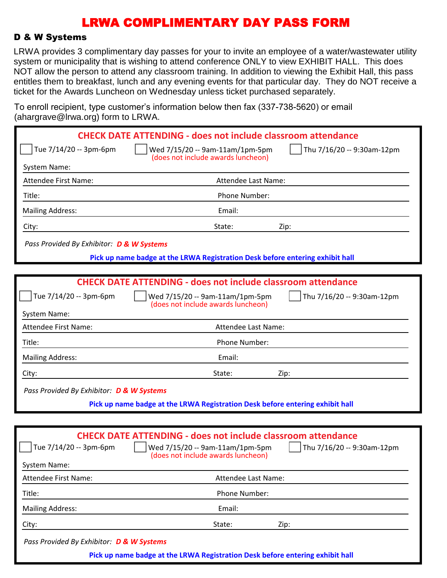#### D & W Systems

LRWA provides 3 complimentary day passes for your to invite an employee of a water/wastewater utility system or municipality that is wishing to attend conference ONLY to view EXHIBIT HALL. This does NOT allow the person to attend any classroom training. In addition to viewing the Exhibit Hall, this pass entitles them to breakfast, lunch and any evening events for that particular day. They do NOT receive a ticket for the Awards Luncheon on Wednesday unless ticket purchased separately.

To enroll recipient, type customer's information below then fax (337-738-5620) or email (abargrave@lrwa.org) form to LRWA

| $\alpha$ and grave $\approx$ mwa.org romm to Liver $\alpha$ |                                                                                                                                                        |                                   |
|-------------------------------------------------------------|--------------------------------------------------------------------------------------------------------------------------------------------------------|-----------------------------------|
|                                                             | <b>CHECK DATE ATTENDING - does not include classroom attendance</b>                                                                                    |                                   |
| Tue 7/14/20 -- 3pm-6pm                                      | Wed 7/15/20 -- 9am-11am/1pm-5pm<br>(does not include awards luncheon)                                                                                  | Thu 7/16/20 -- 9:30am-12pm        |
| System Name:                                                |                                                                                                                                                        |                                   |
| Attendee First Name:                                        | Attendee Last Name:                                                                                                                                    |                                   |
| Title:                                                      | Phone Number:                                                                                                                                          |                                   |
| <b>Mailing Address:</b>                                     | Email:                                                                                                                                                 |                                   |
| City:                                                       | State:                                                                                                                                                 | Zip:                              |
| Pass Provided By Exhibitor: D & W Systems                   |                                                                                                                                                        |                                   |
|                                                             | Pick up name badge at the LRWA Registration Desk before entering exhibit hall                                                                          |                                   |
|                                                             |                                                                                                                                                        |                                   |
|                                                             | <b>CHECK DATE ATTENDING - does not include classroom attendance</b>                                                                                    |                                   |
| Tue 7/14/20 -- 3pm-6pm                                      | Wed 7/15/20 -- 9am-11am/1pm-5pm<br>(does not include awards luncheon)                                                                                  | Thu 7/16/20 -- 9:30am-12pm        |
| System Name:                                                |                                                                                                                                                        |                                   |
| Attendee First Name:                                        | Attendee Last Name:                                                                                                                                    |                                   |
| Title:                                                      | Phone Number:                                                                                                                                          |                                   |
| <b>Mailing Address:</b>                                     | Email:                                                                                                                                                 |                                   |
| City:                                                       | State:                                                                                                                                                 | Zip:                              |
| Pass Provided By Exhibitor: D & W Systems                   |                                                                                                                                                        |                                   |
|                                                             | Pick up name badge at the LRWA Registration Desk before entering exhibit hall                                                                          |                                   |
|                                                             |                                                                                                                                                        |                                   |
| Tue 7/14/20 -- 3pm-6pm<br><b>System Name:</b>               | <b>CHECK DATE ATTENDING - does not include classroom attendance</b><br>$\vert$   Wed 7/15/20 -- 9am-11am/1pm-5pm<br>(does not include awards luncheon) | $\int$ Thu 7/16/20 -- 9:30am-12pm |
| <b>Attendee First Name:</b>                                 | Attendee Last Name:                                                                                                                                    |                                   |
| Title:                                                      | Phone Number:                                                                                                                                          |                                   |
| <b>Mailing Address:</b>                                     | Email:                                                                                                                                                 |                                   |
| City:                                                       | State:                                                                                                                                                 | Zip:                              |

*Pass Provided By Exhibitor: D & W Systems*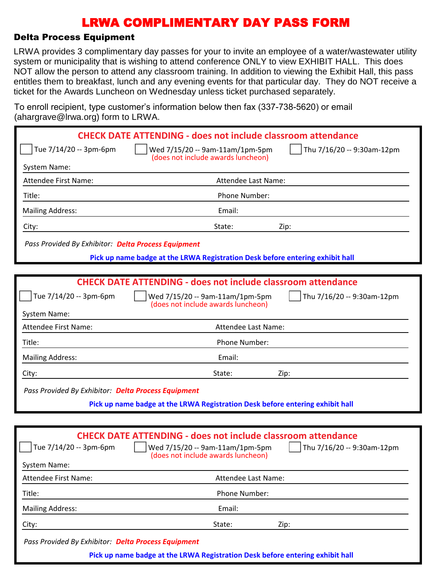#### Delta Process Equipment

LRWA provides 3 complimentary day passes for your to invite an employee of a water/wastewater utility system or municipality that is wishing to attend conference ONLY to view EXHIBIT HALL. This does NOT allow the person to attend any classroom training. In addition to viewing the Exhibit Hall, this pass entitles them to breakfast, lunch and any evening events for that particular day. They do NOT receive a ticket for the Awards Luncheon on Wednesday unless ticket purchased separately.

To enroll recipient, type customer's information below then fax (337-738-5620) or email (abargrave@lrwa.org) form to LRWA

| $($ anargiavo $\otimes$ irwa.org/Tonn to Erversity  |                                                                                                                      |
|-----------------------------------------------------|----------------------------------------------------------------------------------------------------------------------|
|                                                     | <b>CHECK DATE ATTENDING - does not include classroom attendance</b>                                                  |
| Tue 7/14/20 -- 3pm-6pm                              | Thu 7/16/20 -- 9:30am-12pm<br>Wed 7/15/20 -- 9am-11am/1pm-5pm<br>(does not include awards luncheon)                  |
| System Name:                                        |                                                                                                                      |
| <b>Attendee First Name:</b>                         | Attendee Last Name:                                                                                                  |
| Title:                                              | Phone Number:                                                                                                        |
| <b>Mailing Address:</b>                             | Email:                                                                                                               |
| City:                                               | State:<br>Zip:                                                                                                       |
| Pass Provided By Exhibitor: Delta Process Equipment |                                                                                                                      |
|                                                     | Pick up name badge at the LRWA Registration Desk before entering exhibit hall                                        |
|                                                     |                                                                                                                      |
|                                                     | <b>CHECK DATE ATTENDING - does not include classroom attendance</b>                                                  |
| Tue 7/14/20 -- 3pm-6pm                              | Wed 7/15/20 -- 9am-11am/1pm-5pm<br>Thu 7/16/20 -- 9:30am-12pm<br>(does not include awards luncheon)                  |
| System Name:                                        |                                                                                                                      |
| <b>Attendee First Name:</b>                         | Attendee Last Name:                                                                                                  |
| Title:                                              | Phone Number:                                                                                                        |
| <b>Mailing Address:</b>                             | Email:                                                                                                               |
| City:                                               | State:<br>Zip:                                                                                                       |
| Pass Provided By Exhibitor: Delta Process Equipment |                                                                                                                      |
|                                                     | Pick up name badge at the LRWA Registration Desk before entering exhibit hall                                        |
|                                                     |                                                                                                                      |
|                                                     | <b>CHECK DATE ATTENDING - does not include classroom attendance</b>                                                  |
| Tue 7/14/20 -- 3pm-6pm                              | $\int$ Thu 7/16/20 -- 9:30am-12pm<br>$\vert$   Wed 7/15/20 -- 9am-11am/1pm-5pm<br>(does not include awards luncheon) |
| <b>System Name:</b>                                 |                                                                                                                      |
| Attendee First Name:                                | Attendee Last Name:                                                                                                  |
| Title:                                              | Phone Number:                                                                                                        |
| <b>Mailing Address:</b>                             | Email:                                                                                                               |

City: State: Zip:

*Pass Provided By Exhibitor: Delta Process Equipment*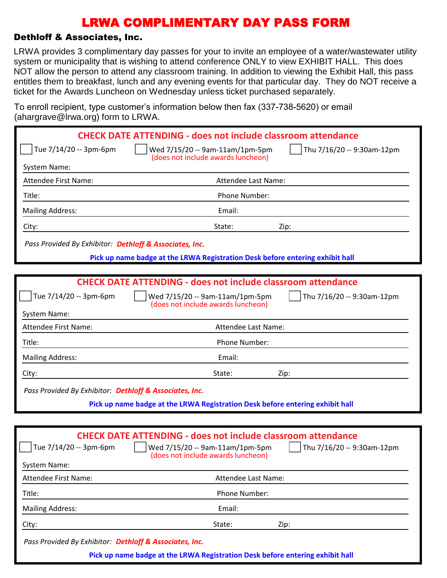#### Dethloff & Associates, Inc.

LRWA provides 3 complimentary day passes for your to invite an employee of a water/wastewater utility system or municipality that is wishing to attend conference ONLY to view EXHIBIT HALL. This does NOT allow the person to attend any classroom training. In addition to viewing the Exhibit Hall, this pass entitles them to breakfast, lunch and any evening events for that particular day. They do NOT receive a ticket for the Awards Luncheon on Wednesday unless ticket purchased separately.

To enroll recipient, type customer's information below then fax (337-738-5620) or email (ahargrave@lrwa.org) form to LRWA

| $($ unurgruvo $\otimes$ n wu $\otimes$ ng $)$ romm $\otimes$ Ervi $\vee$ r |                                                                                                                                                                                |
|----------------------------------------------------------------------------|--------------------------------------------------------------------------------------------------------------------------------------------------------------------------------|
|                                                                            | <b>CHECK DATE ATTENDING - does not include classroom attendance</b>                                                                                                            |
| Tue 7/14/20 -- 3pm-6pm                                                     | Thu 7/16/20 -- 9:30am-12pm<br>Wed 7/15/20 -- 9am-11am/1pm-5pm<br>(does not include awards luncheon)                                                                            |
| System Name:                                                               |                                                                                                                                                                                |
| <b>Attendee First Name:</b>                                                | Attendee Last Name:                                                                                                                                                            |
| Title:                                                                     | Phone Number:                                                                                                                                                                  |
| <b>Mailing Address:</b>                                                    | Email:                                                                                                                                                                         |
| City:                                                                      | State:<br>Zip:                                                                                                                                                                 |
| Pass Provided By Exhibitor: Dethloff & Associates, Inc.                    |                                                                                                                                                                                |
|                                                                            | Pick up name badge at the LRWA Registration Desk before entering exhibit hall                                                                                                  |
|                                                                            |                                                                                                                                                                                |
|                                                                            | <b>CHECK DATE ATTENDING - does not include classroom attendance</b>                                                                                                            |
| Tue 7/14/20 -- 3pm-6pm                                                     | Wed 7/15/20 -- 9am-11am/1pm-5pm<br>Thu 7/16/20 -- 9:30am-12pm<br>(does not include awards luncheon)                                                                            |
| System Name:                                                               |                                                                                                                                                                                |
| <b>Attendee First Name:</b>                                                | Attendee Last Name:                                                                                                                                                            |
| Title:                                                                     | Phone Number:                                                                                                                                                                  |
| <b>Mailing Address:</b>                                                    | Email:                                                                                                                                                                         |
| City:                                                                      | State:<br>Zip:                                                                                                                                                                 |
| Pass Provided By Exhibitor: Dethloff & Associates, Inc.                    |                                                                                                                                                                                |
|                                                                            | Pick up name badge at the LRWA Registration Desk before entering exhibit hall                                                                                                  |
|                                                                            |                                                                                                                                                                                |
| Tue 7/14/20 -- 3pm-6pm                                                     | <b>CHECK DATE ATTENDING - does not include classroom attendance</b><br>    Wed 7/15/20 -- 9am-11am/1pm-5pm<br>Thu 7/16/20 -- 9:30am-12pm<br>(does not include awards luncheon) |
| System Name:                                                               |                                                                                                                                                                                |
| Attendee First Name:                                                       | Attendee Last Name:                                                                                                                                                            |
| Title:                                                                     | Phone Number:                                                                                                                                                                  |
| <b>Mailing Address:</b>                                                    | Email:                                                                                                                                                                         |

City: State: Zip:

*Pass Provided By Exhibitor: Dethloff & Associates, Inc.*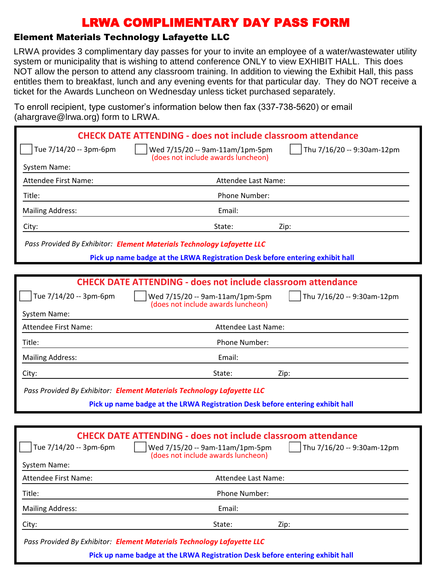### Element Materials Technology Lafayette LLC

LRWA provides 3 complimentary day passes for your to invite an employee of a water/wastewater utility system or municipality that is wishing to attend conference ONLY to view EXHIBIT HALL. This does NOT allow the person to attend any classroom training. In addition to viewing the Exhibit Hall, this pass entitles them to breakfast, lunch and any evening events for that particular day. They do NOT receive a ticket for the Awards Luncheon on Wednesday unless ticket purchased separately.

To enroll recipient, type customer's information below then fax (337-738-5620) or email (ahargrave@lrwa.org) form to LRWA.

|                         | <b>CHECK DATE ATTENDING - does not include classroom attendance</b>                                 |
|-------------------------|-----------------------------------------------------------------------------------------------------|
| Tue 7/14/20 -- 3pm-6pm  | Thu 7/16/20 -- 9:30am-12pm<br>Wed 7/15/20 -- 9am-11am/1pm-5pm<br>(does not include awards luncheon) |
| System Name:            |                                                                                                     |
| Attendee First Name:    | Attendee Last Name:                                                                                 |
| Title:                  | Phone Number:                                                                                       |
| <b>Mailing Address:</b> | Email:                                                                                              |
| City:                   | State:<br>Zip:                                                                                      |
|                         | Pass Provided By Exhibitor: Element Materials Technology Lafayette LLC                              |
|                         | Pick up name badge at the LRWA Registration Desk before entering exhibit hall                       |
|                         |                                                                                                     |
|                         | <b>CHECK DATE ATTENDING - does not include classroom attendance</b>                                 |
| Tue 7/14/20 -- 3pm-6pm  | Thu 7/16/20 -- 9:30am-12pm<br>Wed 7/15/20 -- 9am-11am/1pm-5pm<br>(does not include awards luncheon) |
| System Name:            |                                                                                                     |
| Attendee First Name:    | Attendee Last Name:                                                                                 |
| Title:                  | Phone Number:                                                                                       |
| <b>Mailing Address:</b> | Email:                                                                                              |
| City:                   | State:<br>Zip:                                                                                      |
|                         | Pass Provided By Exhibitor: Element Materials Technology Lafayette LLC                              |
|                         | Pick up name badge at the LRWA Registration Desk before entering exhibit hall                       |
|                         |                                                                                                     |
|                         | <b>CHECK DATE ATTENDING - does not include classroom attendance</b>                                 |
| Tue 7/14/20 -- 3pm-6pm  | Wed 7/15/20 -- 9am-11am/1pm-5pm<br>Thu 7/16/20 -- 9:30am-12pm                                       |

| Attendee First Name:    | Attendee Last Name:  |      |
|-------------------------|----------------------|------|
| Title:                  | <b>Phone Number:</b> |      |
| <b>Mailing Address:</b> | Email:               |      |
| City:                   | State:               | Zip: |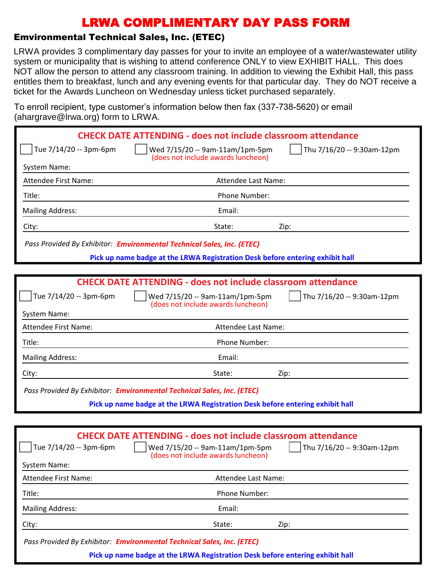### Emvironmental Technical Sales, Inc. (ETEC)

LRWA provides 3 complimentary day passes for your to invite an employee of a water/wastewater utility system or municipality that is wishing to attend conference ONLY to view EXHIBIT HALL. This does NOT allow the person to attend any classroom training. In addition to viewing the Exhibit Hall, this pass entitles them to breakfast, lunch and any evening events for that particular day. They do NOT receive a ticket for the Awards Luncheon on Wednesday unless ticket purchased separately.

To enroll recipient, type customer's information below then fax (337-738-5620) or email (ahargrave@lrwa.org) form to LRWA.

|                             | <b>CHECK DATE ATTENDING - does not include classroom attendance</b>                                 |
|-----------------------------|-----------------------------------------------------------------------------------------------------|
| Tue 7/14/20 -- 3pm-6pm      | Wed 7/15/20 -- 9am-11am/1pm-5pm<br>Thu 7/16/20 -- 9:30am-12pm<br>(does not include awards luncheon) |
| System Name:                |                                                                                                     |
| <b>Attendee First Name:</b> | Attendee Last Name:                                                                                 |
| Title:                      | Phone Number:                                                                                       |
| <b>Mailing Address:</b>     | Email:                                                                                              |
| City:                       | State:<br>Zip:                                                                                      |
|                             | Pass Provided By Exhibitor: Emvironmental Technical Sales, Inc. (ETEC)                              |
|                             | Pick up name badge at the LRWA Registration Desk before entering exhibit hall                       |
|                             |                                                                                                     |
|                             | <b>CHECK DATE ATTENDING - does not include classroom attendance</b>                                 |
| Tue 7/14/20 -- 3pm-6pm      | Wed 7/15/20 -- 9am-11am/1pm-5pm<br>Thu 7/16/20 -- 9:30am-12pm<br>(does not include awards luncheon) |
| System Name:                |                                                                                                     |
| <b>Attendee First Name:</b> | Attendee Last Name:                                                                                 |
| Title:                      | Phone Number:                                                                                       |
| <b>Mailing Address:</b>     | Email:                                                                                              |
| City:                       | State:<br>Zip:                                                                                      |
|                             | Pass Provided By Exhibitor: Emvironmental Technical Sales, Inc. (ETEC)                              |
|                             | Pick up name badge at the LRWA Registration Desk before entering exhibit hall                       |
|                             |                                                                                                     |
|                             | <b>CHECK DATE ATTENDING - does not include classroom attendance</b>                                 |
| Tue 7/14/20 -- 3pm-6pm      | Wed 7/15/20 -- 9am-11am/1pm-5pm<br>Thu 7/16/20 -- 9:30am-12pm                                       |
| <b>System Name:</b>         | (does not include awards luncheon)                                                                  |
| Attendee First Name:        | Attendee Last Name:                                                                                 |

Title: Phone Number: Mailing Address: The Contract of the Contract of the Email:

City: State: Zip:

*Pass Provided By Exhibitor: Emvironmental Technical Sales, Inc. (ETEC)*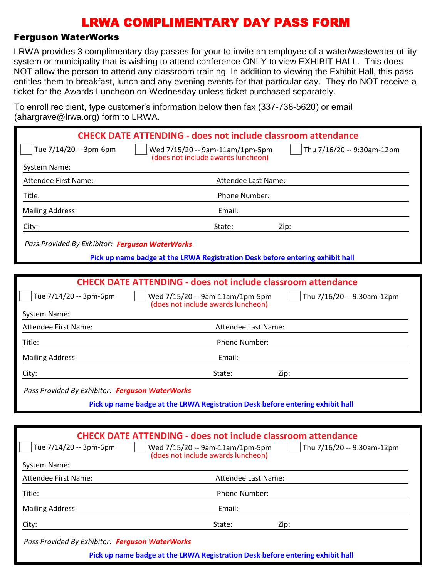#### Ferguson WaterWorks

LRWA provides 3 complimentary day passes for your to invite an employee of a water/wastewater utility system or municipality that is wishing to attend conference ONLY to view EXHIBIT HALL. This does NOT allow the person to attend any classroom training. In addition to viewing the Exhibit Hall, this pass entitles them to breakfast, lunch and any evening events for that particular day. They do NOT receive a ticket for the Awards Luncheon on Wednesday unless ticket purchased separately.

To enroll recipient, type customer's information below then fax (337-738-5620) or email (abargrave@lrwa.org) form to LRWA

| $($ anargravc $\approx$ n wa.org $\prime$ rommto Erve $\prime$ . |                                                                                                                                                                                       |
|------------------------------------------------------------------|---------------------------------------------------------------------------------------------------------------------------------------------------------------------------------------|
|                                                                  | <b>CHECK DATE ATTENDING - does not include classroom attendance</b>                                                                                                                   |
| Tue 7/14/20 -- 3pm-6pm                                           | Thu 7/16/20 -- 9:30am-12pm<br>Wed 7/15/20 -- 9am-11am/1pm-5pm                                                                                                                         |
| System Name:                                                     | (does not include awards luncheon)                                                                                                                                                    |
| <b>Attendee First Name:</b>                                      | Attendee Last Name:                                                                                                                                                                   |
| Title:                                                           | Phone Number:                                                                                                                                                                         |
| <b>Mailing Address:</b>                                          | Email:                                                                                                                                                                                |
| City:                                                            | State:<br>Zip:                                                                                                                                                                        |
| Pass Provided By Exhibitor: Ferguson WaterWorks                  |                                                                                                                                                                                       |
|                                                                  | Pick up name badge at the LRWA Registration Desk before entering exhibit hall                                                                                                         |
|                                                                  |                                                                                                                                                                                       |
|                                                                  | <b>CHECK DATE ATTENDING - does not include classroom attendance</b>                                                                                                                   |
| Tue 7/14/20 -- 3pm-6pm                                           | Wed 7/15/20 -- 9am-11am/1pm-5pm<br>Thu 7/16/20 -- 9:30am-12pm<br>(does not include awards luncheon)                                                                                   |
| System Name:                                                     |                                                                                                                                                                                       |
| <b>Attendee First Name:</b>                                      | Attendee Last Name:                                                                                                                                                                   |
| Title:                                                           | Phone Number:                                                                                                                                                                         |
| <b>Mailing Address:</b>                                          | Email:                                                                                                                                                                                |
| City:                                                            | State:<br>Zip:                                                                                                                                                                        |
| Pass Provided By Exhibitor: Ferguson WaterWorks                  |                                                                                                                                                                                       |
|                                                                  | Pick up name badge at the LRWA Registration Desk before entering exhibit hall                                                                                                         |
|                                                                  |                                                                                                                                                                                       |
| Tue 7/14/20 -- 3pm-6pm<br><b>System Name:</b>                    | <b>CHECK DATE ATTENDING - does not include classroom attendance</b><br>Wed 7/15/20 -- 9am-11am/1pm-5pm<br>$\sqrt{ }$ Thu 7/16/20 -- 9:30am-12pm<br>(does not include awards luncheon) |
| Attendee First Name:                                             | Attendee Last Name:                                                                                                                                                                   |
| Title:                                                           | Phone Number:                                                                                                                                                                         |
| <b>Mailing Address:</b>                                          | Email:                                                                                                                                                                                |
| City:                                                            | State:<br>Zip:                                                                                                                                                                        |

*Pass Provided By Exhibitor: Ferguson WaterWorks*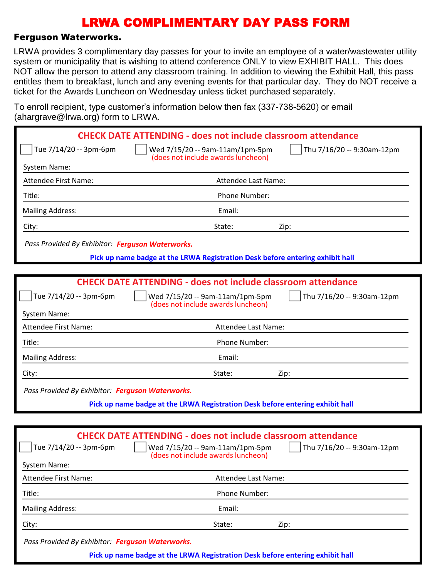#### Ferguson Waterworks.

LRWA provides 3 complimentary day passes for your to invite an employee of a water/wastewater utility system or municipality that is wishing to attend conference ONLY to view EXHIBIT HALL. This does NOT allow the person to attend any classroom training. In addition to viewing the Exhibit Hall, this pass entitles them to breakfast, lunch and any evening events for that particular day. They do NOT receive a ticket for the Awards Luncheon on Wednesday unless ticket purchased separately.

To enroll recipient, type customer's information below then fax (337-738-5620) or email (abargrave@lrwa.org) form to LRWA

| $($ anargi $\alpha$ ve $\otimes$ inwa.org $\gamma$ form to Erviv $\Lambda$ . |                                                                                                                                                                                |
|------------------------------------------------------------------------------|--------------------------------------------------------------------------------------------------------------------------------------------------------------------------------|
|                                                                              | <b>CHECK DATE ATTENDING - does not include classroom attendance</b>                                                                                                            |
| Tue 7/14/20 -- 3pm-6pm                                                       | Wed 7/15/20 -- 9am-11am/1pm-5pm<br>Thu 7/16/20 -- 9:30am-12pm<br>(does not include awards luncheon)                                                                            |
| System Name:                                                                 |                                                                                                                                                                                |
| <b>Attendee First Name:</b>                                                  | Attendee Last Name:                                                                                                                                                            |
| Title:                                                                       | Phone Number:                                                                                                                                                                  |
| <b>Mailing Address:</b>                                                      | Email:                                                                                                                                                                         |
| City:                                                                        | State:<br>Zip:                                                                                                                                                                 |
| Pass Provided By Exhibitor: Ferguson Waterworks.                             |                                                                                                                                                                                |
|                                                                              | Pick up name badge at the LRWA Registration Desk before entering exhibit hall                                                                                                  |
|                                                                              |                                                                                                                                                                                |
|                                                                              | <b>CHECK DATE ATTENDING - does not include classroom attendance</b>                                                                                                            |
| Tue 7/14/20 -- 3pm-6pm                                                       | Thu 7/16/20 -- 9:30am-12pm<br>Wed 7/15/20 -- 9am-11am/1pm-5pm<br>(does not include awards luncheon)                                                                            |
| System Name:                                                                 |                                                                                                                                                                                |
| <b>Attendee First Name:</b>                                                  | Attendee Last Name:                                                                                                                                                            |
| Title:                                                                       | Phone Number:                                                                                                                                                                  |
| <b>Mailing Address:</b>                                                      | Email:                                                                                                                                                                         |
| City:                                                                        | State:<br>Zip:                                                                                                                                                                 |
| Pass Provided By Exhibitor: Ferguson Waterworks.                             |                                                                                                                                                                                |
|                                                                              | Pick up name badge at the LRWA Registration Desk before entering exhibit hall                                                                                                  |
|                                                                              |                                                                                                                                                                                |
| Tue 7/14/20 -- 3pm-6pm<br><b>System Name:</b>                                | <b>CHECK DATE ATTENDING - does not include classroom attendance</b><br>    Thu 7/16/20 -- 9:30am-12pm<br>Wed 7/15/20 -- 9am-11am/1pm-5pm<br>(does not include awards luncheon) |
| Attendee First Name:                                                         | Attendee Last Name:                                                                                                                                                            |
| Title:                                                                       | Phone Number:                                                                                                                                                                  |
| <b>Mailing Address:</b>                                                      | Email:                                                                                                                                                                         |

*Pass Provided By Exhibitor: Ferguson Waterworks.*

City: State: Zip: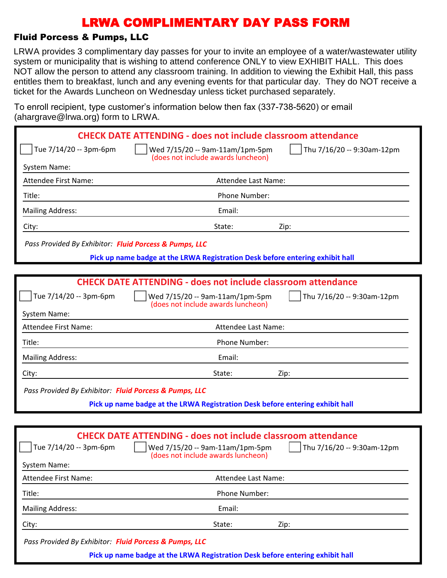### Fluid Porcess & Pumps, LLC

LRWA provides 3 complimentary day passes for your to invite an employee of a water/wastewater utility system or municipality that is wishing to attend conference ONLY to view EXHIBIT HALL. This does NOT allow the person to attend any classroom training. In addition to viewing the Exhibit Hall, this pass entitles them to breakfast, lunch and any evening events for that particular day. They do NOT receive a ticket for the Awards Luncheon on Wednesday unless ticket purchased separately.

To enroll recipient, type customer's information below then fax (337-738-5620) or email (ahargrave@lrwa.org) form to LRWA

|                                                        | <b>CHECK DATE ATTENDING - does not include classroom attendance</b>                                                                      |  |
|--------------------------------------------------------|------------------------------------------------------------------------------------------------------------------------------------------|--|
| Tue 7/14/20 -- 3pm-6pm                                 | Thu 7/16/20 -- 9:30am-12pm<br>Wed 7/15/20 -- 9am-11am/1pm-5pm<br>(does not include awards luncheon)                                      |  |
| System Name:                                           |                                                                                                                                          |  |
| <b>Attendee First Name:</b>                            | Attendee Last Name:                                                                                                                      |  |
| Title:                                                 | Phone Number:                                                                                                                            |  |
| <b>Mailing Address:</b>                                | Email:                                                                                                                                   |  |
| City:                                                  | State:<br>Zip:                                                                                                                           |  |
| Pass Provided By Exhibitor: Fluid Porcess & Pumps, LLC |                                                                                                                                          |  |
|                                                        | Pick up name badge at the LRWA Registration Desk before entering exhibit hall                                                            |  |
|                                                        |                                                                                                                                          |  |
|                                                        | <b>CHECK DATE ATTENDING - does not include classroom attendance</b>                                                                      |  |
| Tue 7/14/20 -- 3pm-6pm                                 | Thu 7/16/20 -- 9:30am-12pm<br>Wed 7/15/20 -- 9am-11am/1pm-5pm<br>(does not include awards luncheon)                                      |  |
| System Name:                                           |                                                                                                                                          |  |
| Attendee First Name:                                   | Attendee Last Name:                                                                                                                      |  |
| Title:                                                 | Phone Number:                                                                                                                            |  |
| <b>Mailing Address:</b>                                | Email:                                                                                                                                   |  |
| City:                                                  | State:<br>Zip:                                                                                                                           |  |
| Pass Provided By Exhibitor: Fluid Porcess & Pumps, LLC |                                                                                                                                          |  |
|                                                        | Pick up name badge at the LRWA Registration Desk before entering exhibit hall                                                            |  |
|                                                        |                                                                                                                                          |  |
| Tue 7/14/20 -- 3pm-6pm                                 | <b>CHECK DATE ATTENDING - does not include classroom attendance</b><br>    Wed 7/15/20 -- 9am-11am/1pm-5pm<br>Thu 7/16/20 -- 9:30am-12pm |  |
| System Name:                                           | (does not include awards luncheon)                                                                                                       |  |
| Attendee First Name:                                   | Attendee Last Name:                                                                                                                      |  |
| Title:                                                 | Phone Number:                                                                                                                            |  |
| <b>Mailing Address:</b>                                | Email:                                                                                                                                   |  |
| City:                                                  | State:<br>Zip:                                                                                                                           |  |
| Pass Provided By Exhibitor: Fluid Porcess & Pumps, LLC | Pick up name badge at the LRWA Registration Desk before entering exhibit hall                                                            |  |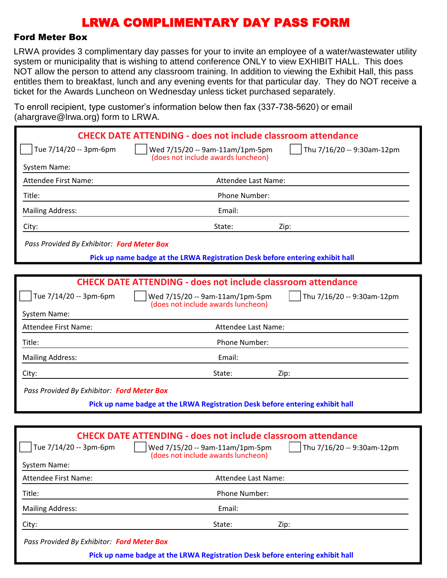#### Ford Meter Box

LRWA provides 3 complimentary day passes for your to invite an employee of a water/wastewater utility system or municipality that is wishing to attend conference ONLY to view EXHIBIT HALL. This does NOT allow the person to attend any classroom training. In addition to viewing the Exhibit Hall, this pass entitles them to breakfast, lunch and any evening events for that particular day. They do NOT receive a ticket for the Awards Luncheon on Wednesday unless ticket purchased separately.

To enroll recipient, type customer's information below then fax (337-738-5620) or email (abargrave@lrwa.org) form to LRWA

| $($ anargiav $\sigma$ $\approx$ inwa.org/Tonni to Ervey. |                                                                                                                                              |                                       |
|----------------------------------------------------------|----------------------------------------------------------------------------------------------------------------------------------------------|---------------------------------------|
|                                                          | <b>CHECK DATE ATTENDING - does not include classroom attendance</b>                                                                          |                                       |
| Tue 7/14/20 -- 3pm-6pm                                   | Wed 7/15/20 -- 9am-11am/1pm-5pm                                                                                                              | Thu 7/16/20 -- 9:30am-12pm            |
| System Name:                                             | (does not include awards luncheon)                                                                                                           |                                       |
| <b>Attendee First Name:</b>                              | Attendee Last Name:                                                                                                                          |                                       |
| Title:                                                   | Phone Number:                                                                                                                                |                                       |
| <b>Mailing Address:</b>                                  | Email:                                                                                                                                       |                                       |
| City:                                                    | State:                                                                                                                                       | Zip:                                  |
| Pass Provided By Exhibitor: Ford Meter Box               |                                                                                                                                              |                                       |
|                                                          | Pick up name badge at the LRWA Registration Desk before entering exhibit hall                                                                |                                       |
|                                                          |                                                                                                                                              |                                       |
|                                                          | <b>CHECK DATE ATTENDING - does not include classroom attendance</b>                                                                          |                                       |
| Tue 7/14/20 -- 3pm-6pm                                   | Wed 7/15/20 -- 9am-11am/1pm-5pm<br>(does not include awards luncheon)                                                                        | Thu 7/16/20 -- 9:30am-12pm            |
| System Name:                                             |                                                                                                                                              |                                       |
| <b>Attendee First Name:</b>                              | Attendee Last Name:                                                                                                                          |                                       |
| Title:                                                   | Phone Number:                                                                                                                                |                                       |
| <b>Mailing Address:</b>                                  | Email:                                                                                                                                       |                                       |
| City:                                                    | State:                                                                                                                                       | Zip:                                  |
| Pass Provided By Exhibitor: Ford Meter Box               |                                                                                                                                              |                                       |
|                                                          | Pick up name badge at the LRWA Registration Desk before entering exhibit hall                                                                |                                       |
|                                                          |                                                                                                                                              |                                       |
| Tue 7/14/20 -- 3pm-6pm<br><b>System Name:</b>            | <b>CHECK DATE ATTENDING - does not include classroom attendance</b><br>Wed 7/15/20 -- 9am-11am/1pm-5pm<br>(does not include awards luncheon) | $\sqrt{ }$ Thu 7/16/20 -- 9:30am-12pm |
| Attendee First Name:                                     | Attendee Last Name:                                                                                                                          |                                       |
| Title:                                                   | Phone Number:                                                                                                                                |                                       |
| <b>Mailing Address:</b>                                  | Email:                                                                                                                                       |                                       |
| City:                                                    | State:                                                                                                                                       | Zip:                                  |

*Pass Provided By Exhibitor: Ford Meter Box*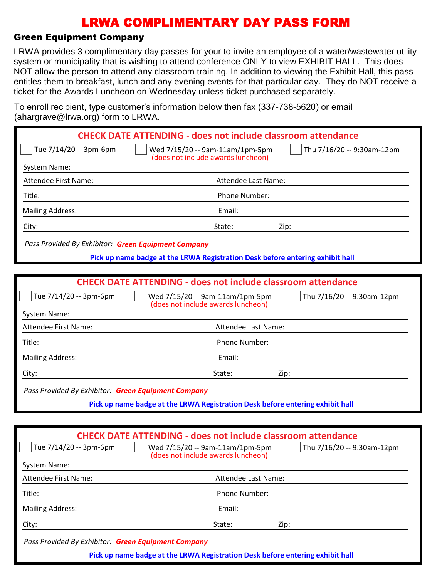### Green Equipment Company

LRWA provides 3 complimentary day passes for your to invite an employee of a water/wastewater utility system or municipality that is wishing to attend conference ONLY to view EXHIBIT HALL. This does NOT allow the person to attend any classroom training. In addition to viewing the Exhibit Hall, this pass entitles them to breakfast, lunch and any evening events for that particular day. They do NOT receive a ticket for the Awards Luncheon on Wednesday unless ticket purchased separately.

To enroll recipient, type customer's information below then fax (337-738-5620) or email (abargrave@lrwa.org) form to LRWA

| $($ anargiavo $\otimes$ irwa.org/Tonn to Erversity  |                                                                                                                                                                                             |
|-----------------------------------------------------|---------------------------------------------------------------------------------------------------------------------------------------------------------------------------------------------|
|                                                     | <b>CHECK DATE ATTENDING - does not include classroom attendance</b>                                                                                                                         |
| Tue 7/14/20 -- 3pm-6pm                              | Thu 7/16/20 -- 9:30am-12pm<br>Wed 7/15/20 -- 9am-11am/1pm-5pm<br>(does not include awards luncheon)                                                                                         |
| System Name:                                        |                                                                                                                                                                                             |
| <b>Attendee First Name:</b>                         | Attendee Last Name:                                                                                                                                                                         |
| Title:                                              | Phone Number:                                                                                                                                                                               |
| <b>Mailing Address:</b>                             | Email:                                                                                                                                                                                      |
| City:                                               | State:<br>Zip:                                                                                                                                                                              |
| Pass Provided By Exhibitor: Green Equipment Company |                                                                                                                                                                                             |
|                                                     | Pick up name badge at the LRWA Registration Desk before entering exhibit hall                                                                                                               |
|                                                     |                                                                                                                                                                                             |
|                                                     | <b>CHECK DATE ATTENDING - does not include classroom attendance</b>                                                                                                                         |
| Tue 7/14/20 -- 3pm-6pm                              | Wed 7/15/20 -- 9am-11am/1pm-5pm<br>Thu 7/16/20 -- 9:30am-12pm<br>(does not include awards luncheon)                                                                                         |
| System Name:                                        |                                                                                                                                                                                             |
| <b>Attendee First Name:</b>                         | Attendee Last Name:                                                                                                                                                                         |
| Title:                                              | Phone Number:                                                                                                                                                                               |
| <b>Mailing Address:</b>                             | Email:                                                                                                                                                                                      |
| City:                                               | State:<br>Zip:                                                                                                                                                                              |
| Pass Provided By Exhibitor: Green Equipment Company |                                                                                                                                                                                             |
|                                                     | Pick up name badge at the LRWA Registration Desk before entering exhibit hall                                                                                                               |
|                                                     |                                                                                                                                                                                             |
| Tue 7/14/20 -- 3pm-6pm<br><b>System Name:</b>       | <b>CHECK DATE ATTENDING - does not include classroom attendance</b><br>$\int$ Thu 7/16/20 -- 9:30am-12pm<br>$\vert$   Wed 7/15/20 -- 9am-11am/1pm-5pm<br>(does not include awards luncheon) |
| <b>Attendee First Name:</b>                         | Attendee Last Name:                                                                                                                                                                         |
| Title:                                              | Phone Number:                                                                                                                                                                               |
| <b>Mailing Address:</b>                             | Email:                                                                                                                                                                                      |
| City:                                               | State:<br>Zip:                                                                                                                                                                              |
|                                                     |                                                                                                                                                                                             |

*Pass Provided By Exhibitor: Green Equipment Company*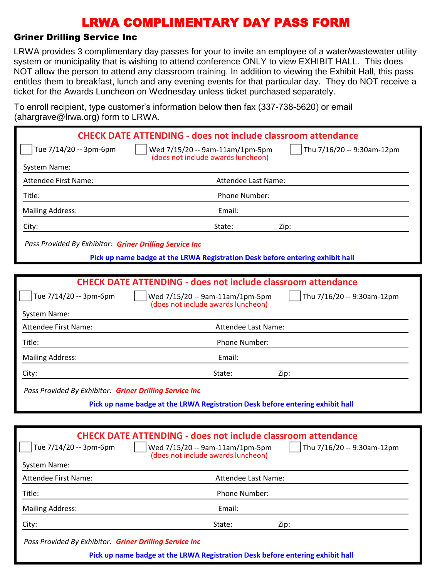#### Griner Drilling Service Inc

LRWA provides 3 complimentary day passes for your to invite an employee of a water/wastewater utility system or municipality that is wishing to attend conference ONLY to view EXHIBIT HALL. This does NOT allow the person to attend any classroom training. In addition to viewing the Exhibit Hall, this pass entitles them to breakfast, lunch and any evening events for that particular day. They do NOT receive a ticket for the Awards Luncheon on Wednesday unless ticket purchased separately.

To enroll recipient, type customer's information below then fax (337-738-5620) or email (ahargrave@lrwa.org) form to LRWA

|                                                         | <b>CHECK DATE ATTENDING - does not include classroom attendance</b>                                 |  |  |  |
|---------------------------------------------------------|-----------------------------------------------------------------------------------------------------|--|--|--|
| Tue 7/14/20 -- 3pm-6pm                                  | Thu 7/16/20 -- 9:30am-12pm<br>Wed 7/15/20 -- 9am-11am/1pm-5pm<br>(does not include awards luncheon) |  |  |  |
| System Name:                                            |                                                                                                     |  |  |  |
| Attendee First Name:                                    | Attendee Last Name:                                                                                 |  |  |  |
| Title:                                                  | Phone Number:                                                                                       |  |  |  |
| <b>Mailing Address:</b>                                 | Email:                                                                                              |  |  |  |
| City:                                                   | State:<br>Zip:                                                                                      |  |  |  |
| Pass Provided By Exhibitor: Griner Drilling Service Inc |                                                                                                     |  |  |  |
|                                                         | Pick up name badge at the LRWA Registration Desk before entering exhibit hall                       |  |  |  |
|                                                         |                                                                                                     |  |  |  |
|                                                         | <b>CHECK DATE ATTENDING - does not include classroom attendance</b>                                 |  |  |  |
| Tue 7/14/20 -- 3pm-6pm                                  | Thu 7/16/20 -- 9:30am-12pm<br>Wed 7/15/20 -- 9am-11am/1pm-5pm<br>(does not include awards luncheon) |  |  |  |
| System Name:                                            |                                                                                                     |  |  |  |
| <b>Attendee First Name:</b>                             | Attendee Last Name:                                                                                 |  |  |  |
| Title:                                                  | Phone Number:                                                                                       |  |  |  |
| <b>Mailing Address:</b>                                 | Email:                                                                                              |  |  |  |
| City:                                                   | State:<br>Zip:                                                                                      |  |  |  |
| Pass Provided By Exhibitor: Griner Drilling Service Inc |                                                                                                     |  |  |  |
|                                                         | Pick up name badge at the LRWA Registration Desk before entering exhibit hall                       |  |  |  |
|                                                         |                                                                                                     |  |  |  |
|                                                         | <b>CHECK DATE ATTENDING - does not include classroom attendance</b>                                 |  |  |  |
| $\Box$ Tue 7/14/20 -- 3pm-6pm                           | Thu 7/16/20 -- 9:30am-12pm<br>    Wed 7/15/20 -- 9am-11am/1pm-5pm                                   |  |  |  |
| System Name:                                            | (does not include awards luncheon)                                                                  |  |  |  |
| Attendee First Name:                                    | Attendee Last Name:                                                                                 |  |  |  |
| Title:                                                  | Phone Number:                                                                                       |  |  |  |
| <b>Mailing Address:</b>                                 | Email:                                                                                              |  |  |  |
|                                                         |                                                                                                     |  |  |  |

City: State: Zip:

*Pass Provided By Exhibitor: Griner Drilling Service Inc*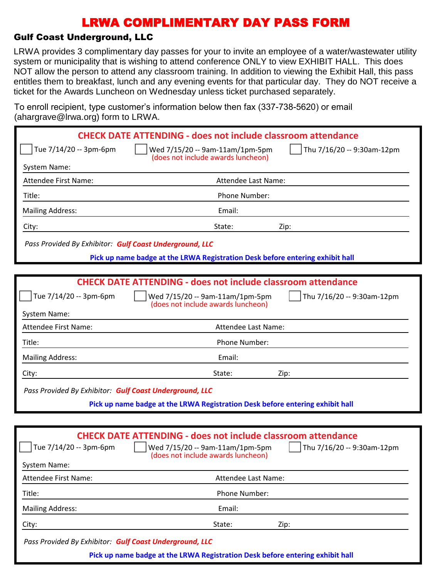### Gulf Coast Underground, LLC

LRWA provides 3 complimentary day passes for your to invite an employee of a water/wastewater utility system or municipality that is wishing to attend conference ONLY to view EXHIBIT HALL. This does NOT allow the person to attend any classroom training. In addition to viewing the Exhibit Hall, this pass entitles them to breakfast, lunch and any evening events for that particular day. They do NOT receive a ticket for the Awards Luncheon on Wednesday unless ticket purchased separately.

To enroll recipient, type customer's information below then fax (337-738-5620) or email (ahargrave@lrwa.org) form to LRWA.

|                                                                               | <b>CHECK DATE ATTENDING - does not include classroom attendance</b>                                                                              |                                    |  |  |
|-------------------------------------------------------------------------------|--------------------------------------------------------------------------------------------------------------------------------------------------|------------------------------------|--|--|
| Tue 7/14/20 -- 3pm-6pm                                                        | Wed 7/15/20 -- 9am-11am/1pm-5pm<br>(does not include awards luncheon)                                                                            | Thu 7/16/20 -- 9:30am-12pm         |  |  |
| System Name:                                                                  |                                                                                                                                                  |                                    |  |  |
| <b>Attendee First Name:</b>                                                   | Attendee Last Name:                                                                                                                              |                                    |  |  |
| Title:                                                                        | Phone Number:                                                                                                                                    |                                    |  |  |
| <b>Mailing Address:</b>                                                       | Email:                                                                                                                                           |                                    |  |  |
| City:                                                                         | State:                                                                                                                                           | Zip:                               |  |  |
| Pass Provided By Exhibitor: Gulf Coast Underground, LLC                       |                                                                                                                                                  |                                    |  |  |
|                                                                               | Pick up name badge at the LRWA Registration Desk before entering exhibit hall                                                                    |                                    |  |  |
|                                                                               |                                                                                                                                                  |                                    |  |  |
|                                                                               | <b>CHECK DATE ATTENDING - does not include classroom attendance</b>                                                                              |                                    |  |  |
| Tue 7/14/20 -- 3pm-6pm                                                        | Wed 7/15/20 -- 9am-11am/1pm-5pm<br>(does not include awards luncheon)                                                                            | Thu 7/16/20 -- 9:30am-12pm         |  |  |
| System Name:                                                                  |                                                                                                                                                  |                                    |  |  |
| Attendee First Name:                                                          | Attendee Last Name:                                                                                                                              |                                    |  |  |
| Title:                                                                        | Phone Number:                                                                                                                                    |                                    |  |  |
| <b>Mailing Address:</b>                                                       | Email:                                                                                                                                           |                                    |  |  |
| City:                                                                         | State:                                                                                                                                           | Zip:                               |  |  |
| Pass Provided By Exhibitor: Gulf Coast Underground, LLC                       |                                                                                                                                                  |                                    |  |  |
|                                                                               | Pick up name badge at the LRWA Registration Desk before entering exhibit hall                                                                    |                                    |  |  |
|                                                                               |                                                                                                                                                  |                                    |  |  |
| Tue $7/14/20 - 3pm-6pm$<br><b>System Name:</b>                                | <b>CHECK DATE ATTENDING - does not include classroom attendance</b><br>    Wed 7/15/20 -- 9am-11am/1pm-5pm<br>(does not include awards luncheon) | $\vert$ Thu 7/16/20 -- 9:30am-12pm |  |  |
| <b>Attendee First Name:</b>                                                   | Attendee Last Name:                                                                                                                              |                                    |  |  |
| Title:                                                                        | Phone Number:                                                                                                                                    |                                    |  |  |
| <b>Mailing Address:</b>                                                       | Email:                                                                                                                                           |                                    |  |  |
| City:                                                                         | State:                                                                                                                                           | Zip:                               |  |  |
| Pass Provided By Exhibitor: Gulf Coast Underground, LLC                       |                                                                                                                                                  |                                    |  |  |
| Pick up name badge at the LRWA Registration Desk before entering exhibit hall |                                                                                                                                                  |                                    |  |  |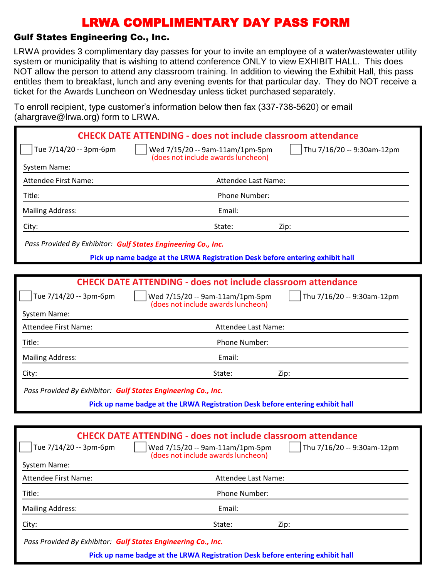### Gulf States Engineering Co., Inc.

LRWA provides 3 complimentary day passes for your to invite an employee of a water/wastewater utility system or municipality that is wishing to attend conference ONLY to view EXHIBIT HALL. This does NOT allow the person to attend any classroom training. In addition to viewing the Exhibit Hall, this pass entitles them to breakfast, lunch and any evening events for that particular day. They do NOT receive a ticket for the Awards Luncheon on Wednesday unless ticket purchased separately.

To enroll recipient, type customer's information below then fax (337-738-5620) or email (ahargrave@lrwa.org) form to LRWA

|                                                                     | <b>CHECK DATE ATTENDING - does not include classroom attendance</b>           |                            |  |  |
|---------------------------------------------------------------------|-------------------------------------------------------------------------------|----------------------------|--|--|
| Tue 7/14/20 -- 3pm-6pm                                              | Wed 7/15/20 -- 9am-11am/1pm-5pm<br>(does not include awards luncheon)         | Thu 7/16/20 -- 9:30am-12pm |  |  |
| System Name:                                                        |                                                                               |                            |  |  |
| Attendee First Name:                                                | Attendee Last Name:                                                           |                            |  |  |
| Title:                                                              | Phone Number:                                                                 |                            |  |  |
| <b>Mailing Address:</b>                                             | Email:                                                                        |                            |  |  |
| City:                                                               | State:                                                                        | Zip:                       |  |  |
| Pass Provided By Exhibitor: Gulf States Engineering Co., Inc.       |                                                                               |                            |  |  |
|                                                                     | Pick up name badge at the LRWA Registration Desk before entering exhibit hall |                            |  |  |
|                                                                     |                                                                               |                            |  |  |
| <b>CHECK DATE ATTENDING - does not include classroom attendance</b> |                                                                               |                            |  |  |
| Tue 7/14/20 -- 3pm-6pm                                              | Wed 7/15/20 -- 9am-11am/1pm-5pm<br>(does not include awards luncheon)         | Thu 7/16/20 -- 9:30am-12pm |  |  |
| System Name:                                                        |                                                                               |                            |  |  |
| <b>Attendee First Name:</b>                                         | Attendee Last Name:                                                           |                            |  |  |
| Title:                                                              | Phone Number:                                                                 |                            |  |  |
| <b>Mailing Address:</b>                                             | Email:                                                                        |                            |  |  |
| City:                                                               | State:                                                                        | Zip:                       |  |  |
| Pass Provided By Exhibitor: Gulf States Engineering Co., Inc.       |                                                                               |                            |  |  |
|                                                                     | Pick up name badge at the LRWA Registration Desk before entering exhibit hall |                            |  |  |
|                                                                     |                                                                               |                            |  |  |
|                                                                     | <b>CHECK DATE ATTENDING - does not include classroom attendance</b>           |                            |  |  |
| $\Box$ Tue 7/14/20 -- 3pm-6pm                                       | Wed 7/15/20 -- 9am-11am/1pm-5pm<br>(does not include awards luncheon)         | Thu 7/16/20 -- 9:30am-12pm |  |  |
| System Name:                                                        |                                                                               |                            |  |  |
| <b>Attendee First Name:</b>                                         | Attendee Last Name:                                                           |                            |  |  |
| Title:                                                              | Phone Number:                                                                 |                            |  |  |
| <b>Mailing Address:</b>                                             | Email:                                                                        |                            |  |  |
| City:                                                               | State:                                                                        | Zip:                       |  |  |
|                                                                     |                                                                               |                            |  |  |

*Pass Provided By Exhibitor: Gulf States Engineering Co., Inc.*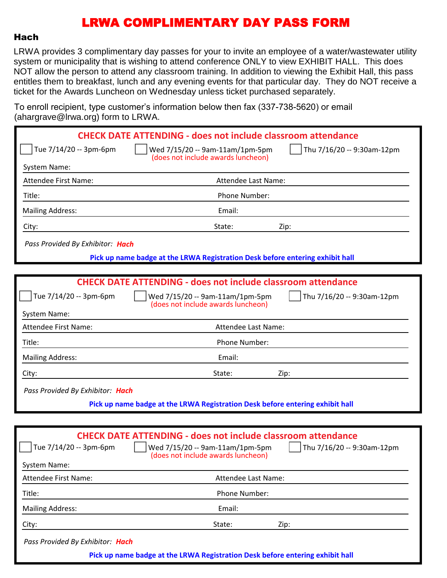#### Hach

LRWA provides 3 complimentary day passes for your to invite an employee of a water/wastewater utility system or municipality that is wishing to attend conference ONLY to view EXHIBIT HALL. This does NOT allow the person to attend any classroom training. In addition to viewing the Exhibit Hall, this pass entitles them to breakfast, lunch and any evening events for that particular day. They do NOT receive a ticket for the Awards Luncheon on Wednesday unless ticket purchased separately.

To enroll recipient, type customer's information below then fax (337-738-5620) or email (ahargrave@lrwa.org) form to LRWA

| $($ unurgiavo $\otimes$ inwa.org/ romin $\otimes$ Erry |                                                                               |                            |
|--------------------------------------------------------|-------------------------------------------------------------------------------|----------------------------|
|                                                        | <b>CHECK DATE ATTENDING - does not include classroom attendance</b>           |                            |
| Tue 7/14/20 -- 3pm-6pm                                 | Wed 7/15/20 -- 9am-11am/1pm-5pm<br>(does not include awards luncheon)         | Thu 7/16/20 -- 9:30am-12pm |
| System Name:                                           |                                                                               |                            |
| <b>Attendee First Name:</b>                            | Attendee Last Name:                                                           |                            |
| Title:                                                 | Phone Number:                                                                 |                            |
| <b>Mailing Address:</b>                                | Email:                                                                        |                            |
| City:                                                  | State:                                                                        | Zip:                       |
| Pass Provided By Exhibitor: Hach                       |                                                                               |                            |
|                                                        | Pick up name badge at the LRWA Registration Desk before entering exhibit hall |                            |
|                                                        |                                                                               |                            |
|                                                        | <b>CHECK DATE ATTENDING - does not include classroom attendance</b>           |                            |
| Tue 7/14/20 -- 3pm-6pm                                 | Wed 7/15/20 -- 9am-11am/1pm-5pm<br>(does not include awards luncheon)         | Thu 7/16/20 -- 9:30am-12pm |
| System Name:                                           |                                                                               |                            |
| Attendee First Name:                                   | Attendee Last Name:                                                           |                            |
| Title:                                                 | Phone Number:                                                                 |                            |
| <b>Mailing Address:</b>                                | Email:                                                                        |                            |
| City:                                                  | State:                                                                        | Zip:                       |
| Pass Provided By Exhibitor: Hach                       |                                                                               |                            |
|                                                        | Pick up name badge at the LRWA Registration Desk before entering exhibit hall |                            |
|                                                        |                                                                               |                            |
|                                                        | <b>CHECK DATE ATTENDING - does not include classroom attendance</b>           |                            |
| Tue 7/14/20 -- 3pm-6pm                                 | Wed 7/15/20 -- 9am-11am/1pm-5pm                                               | Thu 7/16/20 -- 9:30am-12pm |

| System Name:                     |                                                                               |      |
|----------------------------------|-------------------------------------------------------------------------------|------|
| Attendee First Name:             | Attendee Last Name:                                                           |      |
| Title:                           | Phone Number:                                                                 |      |
| <b>Mailing Address:</b>          | Email:                                                                        |      |
| City:                            | State:                                                                        | Zip: |
| Pass Provided By Exhibitor: Hach |                                                                               |      |
|                                  | Pick up name badge at the LRWA Registration Desk before entering exhibit hall |      |

(does not include awards luncheon)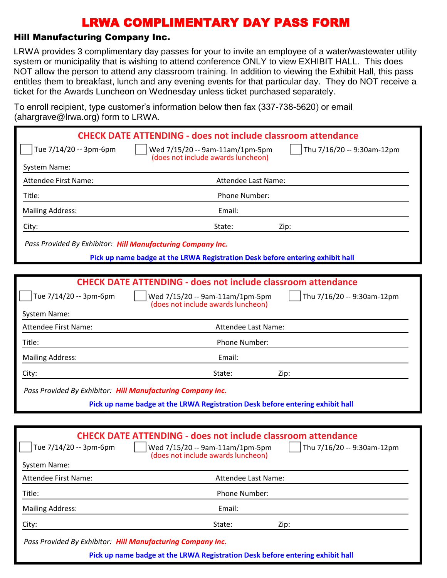### Hill Manufacturing Company Inc.

LRWA provides 3 complimentary day passes for your to invite an employee of a water/wastewater utility system or municipality that is wishing to attend conference ONLY to view EXHIBIT HALL. This does NOT allow the person to attend any classroom training. In addition to viewing the Exhibit Hall, this pass entitles them to breakfast, lunch and any evening events for that particular day. They do NOT receive a ticket for the Awards Luncheon on Wednesday unless ticket purchased separately.

To enroll recipient, type customer's information below then fax (337-738-5620) or email (ahargrave@lrwa.org) form to LRWA.

|                                                             | <b>CHECK DATE ATTENDING - does not include classroom attendance</b>                                                                                                        |
|-------------------------------------------------------------|----------------------------------------------------------------------------------------------------------------------------------------------------------------------------|
| Tue 7/14/20 -- 3pm-6pm                                      | Wed 7/15/20 -- 9am-11am/1pm-5pm<br>Thu 7/16/20 -- 9:30am-12pm<br>(does not include awards luncheon)                                                                        |
| System Name:                                                |                                                                                                                                                                            |
| <b>Attendee First Name:</b>                                 | Attendee Last Name:                                                                                                                                                        |
| Title:                                                      | Phone Number:                                                                                                                                                              |
| <b>Mailing Address:</b>                                     | Email:                                                                                                                                                                     |
| City:                                                       | State:<br>Zip:                                                                                                                                                             |
| Pass Provided By Exhibitor: Hill Manufacturing Company Inc. |                                                                                                                                                                            |
|                                                             | Pick up name badge at the LRWA Registration Desk before entering exhibit hall                                                                                              |
|                                                             |                                                                                                                                                                            |
|                                                             | <b>CHECK DATE ATTENDING - does not include classroom attendance</b>                                                                                                        |
| Tue 7/14/20 -- 3pm-6pm                                      | Wed 7/15/20 -- 9am-11am/1pm-5pm<br>Thu 7/16/20 -- 9:30am-12pm<br>(does not include awards luncheon)                                                                        |
| System Name:                                                |                                                                                                                                                                            |
| <b>Attendee First Name:</b>                                 | Attendee Last Name:                                                                                                                                                        |
| Title:                                                      | Phone Number:                                                                                                                                                              |
| <b>Mailing Address:</b>                                     | Email:                                                                                                                                                                     |
| City:                                                       | State:<br>Zip:                                                                                                                                                             |
| Pass Provided By Exhibitor: Hill Manufacturing Company Inc. |                                                                                                                                                                            |
|                                                             | Pick up name badge at the LRWA Registration Desk before entering exhibit hall                                                                                              |
|                                                             |                                                                                                                                                                            |
|                                                             |                                                                                                                                                                            |
| Tue 7/14/20 -- 3pm-6pm<br>System Name:                      | <b>CHECK DATE ATTENDING - does not include classroom attendance</b><br>Thu 7/16/20 -- 9:30am-12pm<br>Wed 7/15/20 -- 9am-11am/1pm-5pm<br>(does not include awards luncheon) |

| <b>Phone Number:</b> |      |  |
|----------------------|------|--|
|                      |      |  |
|                      |      |  |
|                      | Zip: |  |
|                      |      |  |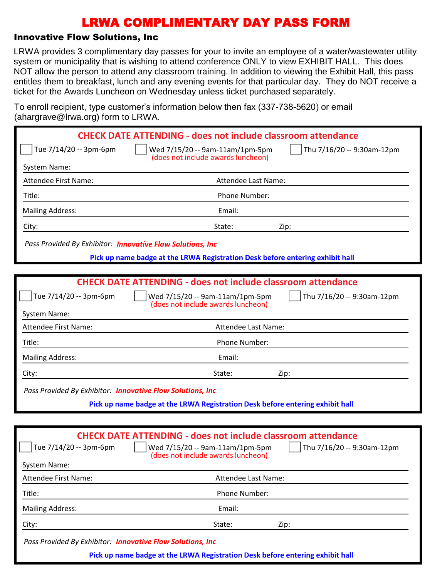### Innovative Flow Solutions, Inc

LRWA provides 3 complimentary day passes for your to invite an employee of a water/wastewater utility system or municipality that is wishing to attend conference ONLY to view EXHIBIT HALL. This does NOT allow the person to attend any classroom training. In addition to viewing the Exhibit Hall, this pass entitles them to breakfast, lunch and any evening events for that particular day. They do NOT receive a ticket for the Awards Luncheon on Wednesday unless ticket purchased separately.

To enroll recipient, type customer's information below then fax (337-738-5620) or email (abargrave@lrwa.org) form to LRWA

| $($ anargiavo $\otimes$ irwa.org/Tonn to Erversity         |                                                                                                                      |
|------------------------------------------------------------|----------------------------------------------------------------------------------------------------------------------|
|                                                            | <b>CHECK DATE ATTENDING - does not include classroom attendance</b>                                                  |
| Tue 7/14/20 -- 3pm-6pm                                     | Thu 7/16/20 -- 9:30am-12pm<br>Wed 7/15/20 -- 9am-11am/1pm-5pm<br>(does not include awards luncheon)                  |
| System Name:                                               |                                                                                                                      |
| <b>Attendee First Name:</b>                                | Attendee Last Name:                                                                                                  |
| Title:                                                     | Phone Number:                                                                                                        |
| <b>Mailing Address:</b>                                    | Email:                                                                                                               |
| City:                                                      | State:<br>Zip:                                                                                                       |
| Pass Provided By Exhibitor: Innovative Flow Solutions, Inc |                                                                                                                      |
|                                                            | Pick up name badge at the LRWA Registration Desk before entering exhibit hall                                        |
|                                                            |                                                                                                                      |
|                                                            | <b>CHECK DATE ATTENDING - does not include classroom attendance</b>                                                  |
| Tue 7/14/20 -- 3pm-6pm                                     | Wed 7/15/20 -- 9am-11am/1pm-5pm<br>Thu 7/16/20 -- 9:30am-12pm<br>(does not include awards luncheon)                  |
| System Name:                                               |                                                                                                                      |
| <b>Attendee First Name:</b>                                | Attendee Last Name:                                                                                                  |
| Title:                                                     | Phone Number:                                                                                                        |
| <b>Mailing Address:</b>                                    | Email:                                                                                                               |
| City:                                                      | State:<br>Zip:                                                                                                       |
| Pass Provided By Exhibitor: Innovative Flow Solutions, Inc |                                                                                                                      |
|                                                            | Pick up name badge at the LRWA Registration Desk before entering exhibit hall                                        |
|                                                            |                                                                                                                      |
|                                                            | <b>CHECK DATE ATTENDING - does not include classroom attendance</b>                                                  |
| Tue 7/14/20 -- 3pm-6pm                                     | $\int$ Thu 7/16/20 -- 9:30am-12pm<br>$\vert$   Wed 7/15/20 -- 9am-11am/1pm-5pm<br>(does not include awards luncheon) |
| System Name:                                               |                                                                                                                      |
| Attendee First Name:                                       | Attendee Last Name:                                                                                                  |
| Title:                                                     | Phone Number:                                                                                                        |
| <b>Mailing Address:</b>                                    | Email:                                                                                                               |
|                                                            |                                                                                                                      |

City: State: Zip:

*Pass Provided By Exhibitor: Innovative Flow Solutions, Inc*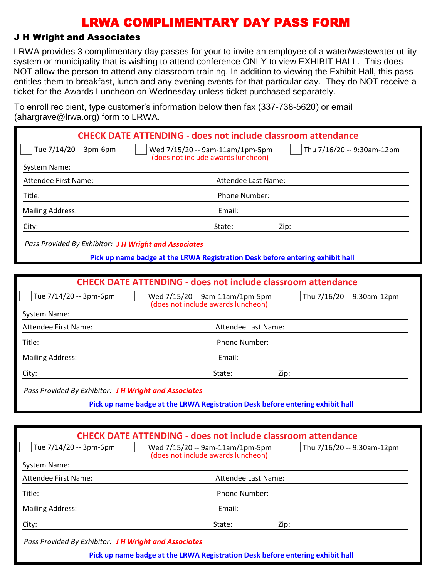### J H Wright and Associates

LRWA provides 3 complimentary day passes for your to invite an employee of a water/wastewater utility system or municipality that is wishing to attend conference ONLY to view EXHIBIT HALL. This does NOT allow the person to attend any classroom training. In addition to viewing the Exhibit Hall, this pass entitles them to breakfast, lunch and any evening events for that particular day. They do NOT receive a ticket for the Awards Luncheon on Wednesday unless ticket purchased separately.

To enroll recipient, type customer's information below then fax (337-738-5620) or email (ahargrave@lrwa.org) form to LRWA

| anargia vo $\cup$ ii watorgi romi to                  |                                                                                                      |
|-------------------------------------------------------|------------------------------------------------------------------------------------------------------|
|                                                       | <b>CHECK DATE ATTENDING - does not include classroom attendance</b>                                  |
| Tue 7/14/20 -- 3pm-6pm                                | Thu 7/16/20 -- 9:30am-12pm<br>Wed 7/15/20 -- 9am-11am/1pm-5pm<br>(does not include awards luncheon)  |
| System Name:                                          |                                                                                                      |
| <b>Attendee First Name:</b>                           | Attendee Last Name:                                                                                  |
| Title:                                                | Phone Number:                                                                                        |
| <b>Mailing Address:</b>                               | Email:                                                                                               |
| City:                                                 | State:<br>Zip:                                                                                       |
| Pass Provided By Exhibitor: J H Wright and Associates |                                                                                                      |
|                                                       | Pick up name badge at the LRWA Registration Desk before entering exhibit hall                        |
|                                                       |                                                                                                      |
|                                                       | <b>CHECK DATE ATTENDING - does not include classroom attendance</b>                                  |
| Tue 7/14/20 -- 3pm-6pm                                | Thu 7/16/20 -- 9:30am-12pm<br>Wed 7/15/20 -- 9am-11am/1pm-5pm<br>(does not include awards luncheon)  |
| System Name:                                          |                                                                                                      |
| <b>Attendee First Name:</b>                           | Attendee Last Name:                                                                                  |
| Title:                                                | Phone Number:                                                                                        |
| <b>Mailing Address:</b>                               | Email:                                                                                               |
| City:                                                 | State:<br>Zip:                                                                                       |
| Pass Provided By Exhibitor: J H Wright and Associates |                                                                                                      |
|                                                       | Pick up name badge at the LRWA Registration Desk before entering exhibit hall                        |
|                                                       |                                                                                                      |
|                                                       | <b>CHECK DATE ATTENDING - does not include classroom attendance</b>                                  |
| Tue 7/14/20 -- 3pm-6pm                                | Wed 7/15/20 -- 9am-11am/1pm-5pm     Thu 7/16/20 -- 9:30am-12pm<br>(does not include awards luncheon) |
| <b>System Name:</b>                                   |                                                                                                      |
| <b>Attendee First Name:</b>                           | Attendee Last Name:                                                                                  |
| Title:                                                | Phone Number:                                                                                        |
| <b>Mailing Address:</b>                               | Email:                                                                                               |
| City:                                                 | State:<br>Zip:                                                                                       |
|                                                       |                                                                                                      |

*Pass Provided By Exhibitor: J H Wright and Associates*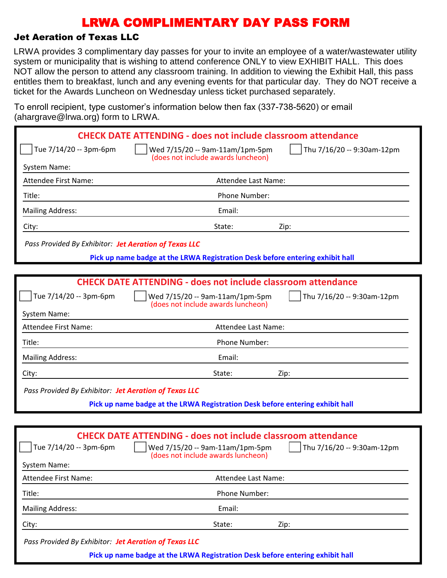### Jet Aeration of Texas LLC

LRWA provides 3 complimentary day passes for your to invite an employee of a water/wastewater utility system or municipality that is wishing to attend conference ONLY to view EXHIBIT HALL. This does NOT allow the person to attend any classroom training. In addition to viewing the Exhibit Hall, this pass entitles them to breakfast, lunch and any evening events for that particular day. They do NOT receive a ticket for the Awards Luncheon on Wednesday unless ticket purchased separately.

To enroll recipient, type customer's information below then fax (337-738-5620) or email (ahargrave@lrwa.org) form to LRWA

|                                                       | $1.141$ grave $\cup$ $\ldots$ $1.01$ graves $\cup$                                                   |                            |
|-------------------------------------------------------|------------------------------------------------------------------------------------------------------|----------------------------|
|                                                       | <b>CHECK DATE ATTENDING - does not include classroom attendance</b>                                  |                            |
| Tue 7/14/20 -- 3pm-6pm                                | Wed 7/15/20 -- 9am-11am/1pm-5pm<br>(does not include awards luncheon)                                | Thu 7/16/20 -- 9:30am-12pm |
| System Name:                                          |                                                                                                      |                            |
| Attendee First Name:                                  | Attendee Last Name:                                                                                  |                            |
| Title:                                                | Phone Number:                                                                                        |                            |
| <b>Mailing Address:</b>                               | Email:                                                                                               |                            |
| City:                                                 | State:<br>Zip:                                                                                       |                            |
| Pass Provided By Exhibitor: Jet Aeration of Texas LLC |                                                                                                      |                            |
|                                                       | Pick up name badge at the LRWA Registration Desk before entering exhibit hall                        |                            |
|                                                       |                                                                                                      |                            |
|                                                       | <b>CHECK DATE ATTENDING - does not include classroom attendance</b>                                  |                            |
| Tue 7/14/20 -- 3pm-6pm                                | Wed 7/15/20 -- 9am-11am/1pm-5pm<br>(does not include awards luncheon)                                | Thu 7/16/20 -- 9:30am-12pm |
| System Name:                                          |                                                                                                      |                            |
| <b>Attendee First Name:</b>                           | Attendee Last Name:                                                                                  |                            |
| Title:                                                | Phone Number:                                                                                        |                            |
| <b>Mailing Address:</b>                               | Email:                                                                                               |                            |
| City:                                                 | State:<br>Zip:                                                                                       |                            |
| Pass Provided By Exhibitor: Jet Aeration of Texas LLC |                                                                                                      |                            |
|                                                       | Pick up name badge at the LRWA Registration Desk before entering exhibit hall                        |                            |
|                                                       |                                                                                                      |                            |
|                                                       | <b>CHECK DATE ATTENDING - does not include classroom attendance</b>                                  |                            |
| Tue 7/14/20 -- 3pm-6pm                                | Wed 7/15/20 -- 9am-11am/1pm-5pm     Thu 7/16/20 -- 9:30am-12pm<br>(does not include awards luncheon) |                            |
| <b>System Name:</b>                                   |                                                                                                      |                            |
| Attendee First Name:                                  | Attendee Last Name:                                                                                  |                            |
| Title:                                                | Phone Number:                                                                                        |                            |
| <b>Mailing Address:</b>                               | Email:                                                                                               |                            |
| City:                                                 | State:<br>Zip:                                                                                       |                            |
| Pass Provided By Exhibitor: Jet Aeration of Texas LLC |                                                                                                      |                            |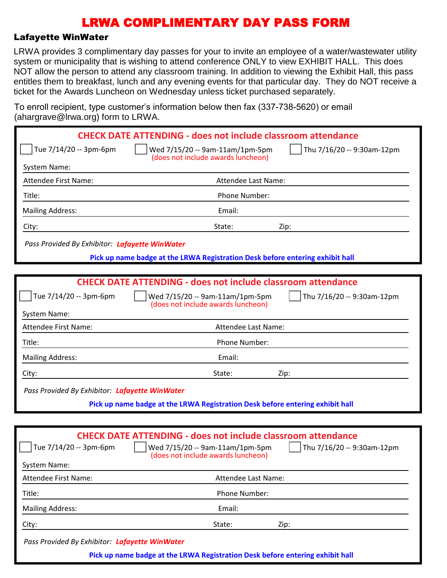#### Lafayette WinWater

LRWA provides 3 complimentary day passes for your to invite an employee of a water/wastewater utility system or municipality that is wishing to attend conference ONLY to view EXHIBIT HALL. This does NOT allow the person to attend any classroom training. In addition to viewing the Exhibit Hall, this pass entitles them to breakfast, lunch and any evening events for that particular day. They do NOT receive a ticket for the Awards Luncheon on Wednesday unless ticket purchased separately.

To enroll recipient, type customer's information below then fax (337-738-5620) or email (abargrave@lrwa.org) form to LRWA

| $\alpha$ and grave $\approx$ mwa.org romm to Liver $\alpha$ |                                                                                                                                                        |                                   |
|-------------------------------------------------------------|--------------------------------------------------------------------------------------------------------------------------------------------------------|-----------------------------------|
|                                                             | <b>CHECK DATE ATTENDING - does not include classroom attendance</b>                                                                                    |                                   |
| Tue 7/14/20 -- 3pm-6pm                                      | Wed 7/15/20 -- 9am-11am/1pm-5pm                                                                                                                        | Thu 7/16/20 -- 9:30am-12pm        |
| System Name:                                                | (does not include awards luncheon)                                                                                                                     |                                   |
| Attendee First Name:                                        | Attendee Last Name:                                                                                                                                    |                                   |
| Title:                                                      | Phone Number:                                                                                                                                          |                                   |
| <b>Mailing Address:</b>                                     | Email:                                                                                                                                                 |                                   |
| City:                                                       | State:                                                                                                                                                 | Zip:                              |
| Pass Provided By Exhibitor: Lafayette WinWater              |                                                                                                                                                        |                                   |
|                                                             | Pick up name badge at the LRWA Registration Desk before entering exhibit hall                                                                          |                                   |
|                                                             |                                                                                                                                                        |                                   |
|                                                             | <b>CHECK DATE ATTENDING - does not include classroom attendance</b>                                                                                    |                                   |
| Tue 7/14/20 -- 3pm-6pm                                      | Wed 7/15/20 -- 9am-11am/1pm-5pm<br>(does not include awards luncheon)                                                                                  | Thu 7/16/20 -- 9:30am-12pm        |
| System Name:                                                |                                                                                                                                                        |                                   |
| Attendee First Name:                                        | Attendee Last Name:                                                                                                                                    |                                   |
| Title:                                                      | Phone Number:                                                                                                                                          |                                   |
| <b>Mailing Address:</b>                                     | Email:                                                                                                                                                 |                                   |
| City:                                                       | State:                                                                                                                                                 | Zip:                              |
| Pass Provided By Exhibitor: Lafayette WinWater              |                                                                                                                                                        |                                   |
|                                                             | Pick up name badge at the LRWA Registration Desk before entering exhibit hall                                                                          |                                   |
|                                                             |                                                                                                                                                        |                                   |
| Tue 7/14/20 -- 3pm-6pm                                      | <b>CHECK DATE ATTENDING - does not include classroom attendance</b><br>$\vert$   Wed 7/15/20 -- 9am-11am/1pm-5pm<br>(does not include awards luncheon) | $\int$ Thu 7/16/20 -- 9:30am-12pm |
| <b>System Name:</b>                                         |                                                                                                                                                        |                                   |
| Attendee First Name:                                        | Attendee Last Name:                                                                                                                                    |                                   |
| Title:                                                      | Phone Number:                                                                                                                                          |                                   |
| <b>Mailing Address:</b>                                     | Email:                                                                                                                                                 |                                   |
| City:                                                       | State:                                                                                                                                                 | Zip:                              |

*Pass Provided By Exhibitor: Lafayette WinWater*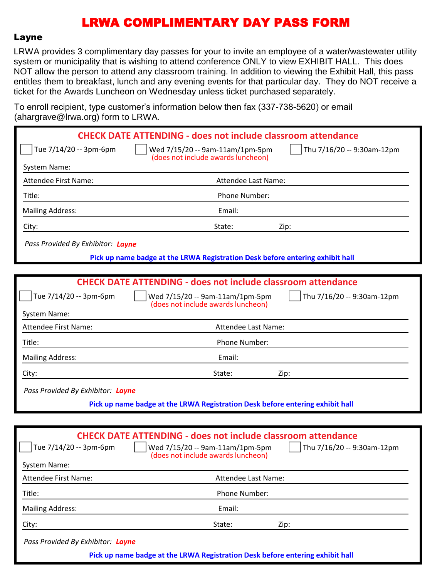#### Layne

LRWA provides 3 complimentary day passes for your to invite an employee of a water/wastewater utility system or municipality that is wishing to attend conference ONLY to view EXHIBIT HALL. This does NOT allow the person to attend any classroom training. In addition to viewing the Exhibit Hall, this pass entitles them to breakfast, lunch and any evening events for that particular day. They do NOT receive a ticket for the Awards Luncheon on Wednesday unless ticket purchased separately.

To enroll recipient, type customer's information below then fax (337-738-5620) or email  $(abarrarase@lrwa.$  org) form to LRWA

| $($ anargiave $\otimes$ irwa.org/Tonni to Erv $n$ .                                                                                  |
|--------------------------------------------------------------------------------------------------------------------------------------|
| <b>CHECK DATE ATTENDING - does not include classroom attendance</b>                                                                  |
| Wed 7/15/20 -- 9am-11am/1pm-5pm<br>Thu 7/16/20 -- 9:30am-12pm<br>(does not include awards luncheon)                                  |
|                                                                                                                                      |
| Attendee Last Name:                                                                                                                  |
| Phone Number:                                                                                                                        |
| Email:                                                                                                                               |
| State:<br>Zip:                                                                                                                       |
| Pass Provided By Exhibitor: Layne                                                                                                    |
| Pick up name badge at the LRWA Registration Desk before entering exhibit hall                                                        |
|                                                                                                                                      |
| <b>CHECK DATE ATTENDING - does not include classroom attendance</b>                                                                  |
| Thu 7/16/20 -- 9:30am-12pm<br>Wed 7/15/20 -- 9am-11am/1pm-5pm<br>(does not include awards luncheon)                                  |
|                                                                                                                                      |
| Attendee Last Name:                                                                                                                  |
| Phone Number:                                                                                                                        |
| Email:                                                                                                                               |
| State:<br>Zip:                                                                                                                       |
| Pass Provided By Exhibitor: Layne                                                                                                    |
| Pick up name badge at the LRWA Registration Desk before entering exhibit hall                                                        |
|                                                                                                                                      |
|                                                                                                                                      |
| <b>CHECK DATE ATTENDING - does not include classroom attendance</b><br>Wed 7/15/20 -- 9am-11am/1pm-5pm<br>Thu 7/16/20 -- 9:30am-12pm |
| (does not include awards luncheon)                                                                                                   |
|                                                                                                                                      |
|                                                                                                                                      |

Attendee First Name: Attendee Last Name: Title: Phone Number: Mailing Address: The Contract of the Contract of the Email: City: State: Zip: *Pass Provided By Exhibitor: Layne* **Pick up name badge at the LRWA Registration Desk before entering exhibit hall**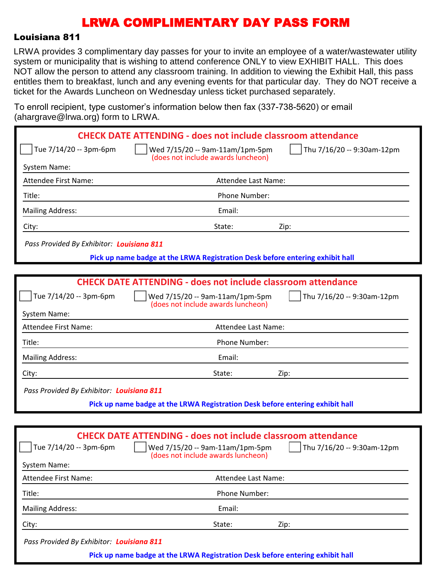#### Louisiana 811

LRWA provides 3 complimentary day passes for your to invite an employee of a water/wastewater utility system or municipality that is wishing to attend conference ONLY to view EXHIBIT HALL. This does NOT allow the person to attend any classroom training. In addition to viewing the Exhibit Hall, this pass entitles them to breakfast, lunch and any evening events for that particular day. They do NOT receive a ticket for the Awards Luncheon on Wednesday unless ticket purchased separately.

To enroll recipient, type customer's information below then fax (337-738-5620) or email (ahargrave@lrwa.org) form to LRWA

| $1.41$ grave $\cup$ $\ldots$ $\ldots$ and $\vdots$ |                                                                               |                            |
|----------------------------------------------------|-------------------------------------------------------------------------------|----------------------------|
|                                                    | <b>CHECK DATE ATTENDING - does not include classroom attendance</b>           |                            |
| Tue 7/14/20 -- 3pm-6pm                             | Wed 7/15/20 -- 9am-11am/1pm-5pm<br>(does not include awards luncheon)         | Thu 7/16/20 -- 9:30am-12pm |
| System Name:                                       |                                                                               |                            |
| <b>Attendee First Name:</b>                        | Attendee Last Name:                                                           |                            |
| Title:                                             | Phone Number:                                                                 |                            |
| <b>Mailing Address:</b>                            | Email:                                                                        |                            |
| City:                                              | State:                                                                        | Zip:                       |
| Pass Provided By Exhibitor: Louisiana 811          |                                                                               |                            |
|                                                    | Pick up name badge at the LRWA Registration Desk before entering exhibit hall |                            |
|                                                    |                                                                               |                            |
|                                                    | <b>CHECK DATE ATTENDING - does not include classroom attendance</b>           |                            |
| Tue 7/14/20 -- 3pm-6pm                             | Wed 7/15/20 -- 9am-11am/1pm-5pm<br>(does not include awards luncheon)         | Thu 7/16/20 -- 9:30am-12pm |
| <b>System Name:</b>                                |                                                                               |                            |
| Attendee First Name:                               | Attendee Last Name:                                                           |                            |
| Title:                                             | Phone Number:                                                                 |                            |
| <b>Mailing Address:</b>                            | Email:                                                                        |                            |
| City:                                              | State:                                                                        | Zip:                       |
| Pass Provided By Exhibitor: Louisiana 811          |                                                                               |                            |
|                                                    | Pick up name badge at the LRWA Registration Desk before entering exhibit hall |                            |
|                                                    |                                                                               |                            |
|                                                    | <b>CHECK DATE ATTENDING - does not include classroom attendance</b>           |                            |
| Tue 7/14/20 -- 3pm-6pm                             | Wed 7/15/20 -- 9am-11am/1pm-5pm<br>(does not include awards luncheon)         | Thu 7/16/20 -- 9:30am-12pm |
| <b>System Name:</b>                                |                                                                               |                            |
| <b>Attendee First Name:</b>                        | Attendee Last Name:                                                           |                            |
| Title:                                             | Phone Number:                                                                 |                            |
| <b>Mailing Address:</b>                            | Email:                                                                        |                            |
| City:                                              | State:                                                                        | Zip:                       |
| Pass Provided By Exhibitor: Louisiana 811          |                                                                               |                            |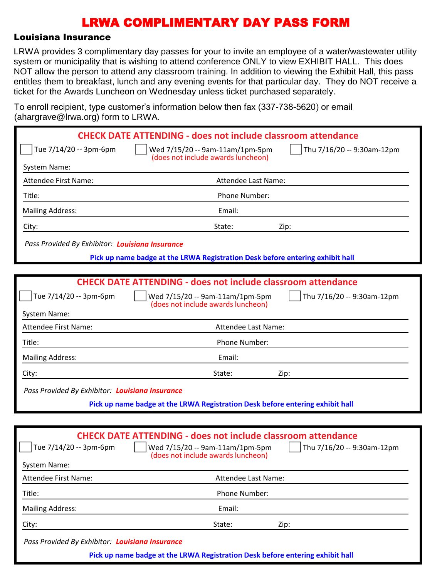#### Louisiana Insurance

LRWA provides 3 complimentary day passes for your to invite an employee of a water/wastewater utility system or municipality that is wishing to attend conference ONLY to view EXHIBIT HALL. This does NOT allow the person to attend any classroom training. In addition to viewing the Exhibit Hall, this pass entitles them to breakfast, lunch and any evening events for that particular day. They do NOT receive a ticket for the Awards Luncheon on Wednesday unless ticket purchased separately.

To enroll recipient, type customer's information below then fax (337-738-5620) or email (abargrave@lrwa.org) form to LRWA

| Thu 7/16/20 -- 9:30am-12pm |
|----------------------------|
|                            |
|                            |
|                            |
|                            |
|                            |
|                            |
|                            |
|                            |
|                            |
|                            |
|                            |
| Thu 7/16/20 -- 9:30am-12pm |
|                            |
|                            |
|                            |
|                            |
|                            |
|                            |
|                            |
|                            |
|                            |
| Thu 7/16/20 -- 9:30am-12pm |
|                            |
|                            |
|                            |
|                            |

City: State: Zip:

*Pass Provided By Exhibitor: Louisiana Insurance*

Mailing Address: Email: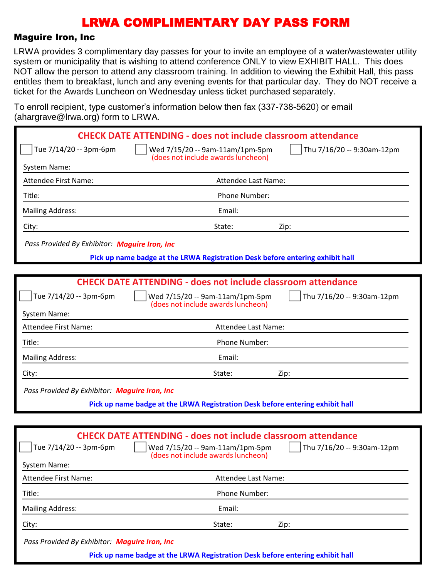#### Maguire Iron, Inc

LRWA provides 3 complimentary day passes for your to invite an employee of a water/wastewater utility system or municipality that is wishing to attend conference ONLY to view EXHIBIT HALL. This does NOT allow the person to attend any classroom training. In addition to viewing the Exhibit Hall, this pass entitles them to breakfast, lunch and any evening events for that particular day. They do NOT receive a ticket for the Awards Luncheon on Wednesday unless ticket purchased separately.

To enroll recipient, type customer's information below then fax (337-738-5620) or email  $(abarrarase@lrwa.$  org) form to LRWA

| $($ anargravc $\approx$ n wa.org $\prime$ rommto Erve $\prime$ . |                                                                                                                                                                                       |
|------------------------------------------------------------------|---------------------------------------------------------------------------------------------------------------------------------------------------------------------------------------|
|                                                                  | <b>CHECK DATE ATTENDING - does not include classroom attendance</b>                                                                                                                   |
| Tue 7/14/20 -- 3pm-6pm                                           | Thu 7/16/20 -- 9:30am-12pm<br>Wed 7/15/20 -- 9am-11am/1pm-5pm                                                                                                                         |
| System Name:                                                     | (does not include awards luncheon)                                                                                                                                                    |
| <b>Attendee First Name:</b>                                      | Attendee Last Name:                                                                                                                                                                   |
| Title:                                                           | Phone Number:                                                                                                                                                                         |
| <b>Mailing Address:</b>                                          | Email:                                                                                                                                                                                |
| City:                                                            | State:<br>Zip:                                                                                                                                                                        |
| Pass Provided By Exhibitor: Maguire Iron, Inc                    |                                                                                                                                                                                       |
|                                                                  | Pick up name badge at the LRWA Registration Desk before entering exhibit hall                                                                                                         |
|                                                                  |                                                                                                                                                                                       |
|                                                                  | <b>CHECK DATE ATTENDING - does not include classroom attendance</b>                                                                                                                   |
| Tue 7/14/20 -- 3pm-6pm                                           | Wed 7/15/20 -- 9am-11am/1pm-5pm<br>Thu 7/16/20 -- 9:30am-12pm<br>(does not include awards luncheon)                                                                                   |
| System Name:                                                     |                                                                                                                                                                                       |
| <b>Attendee First Name:</b>                                      | Attendee Last Name:                                                                                                                                                                   |
| Title:                                                           | Phone Number:                                                                                                                                                                         |
| <b>Mailing Address:</b>                                          | Email:                                                                                                                                                                                |
| City:                                                            | State:<br>Zip:                                                                                                                                                                        |
| Pass Provided By Exhibitor: Maguire Iron, Inc                    |                                                                                                                                                                                       |
|                                                                  | Pick up name badge at the LRWA Registration Desk before entering exhibit hall                                                                                                         |
|                                                                  |                                                                                                                                                                                       |
| Tue 7/14/20 -- 3pm-6pm<br><b>System Name:</b>                    | <b>CHECK DATE ATTENDING - does not include classroom attendance</b><br>Wed 7/15/20 -- 9am-11am/1pm-5pm<br>$\sqrt{ }$ Thu 7/16/20 -- 9:30am-12pm<br>(does not include awards luncheon) |
| Attendee First Name:                                             | Attendee Last Name:                                                                                                                                                                   |
| Title:                                                           | Phone Number:                                                                                                                                                                         |
| <b>Mailing Address:</b>                                          | Email:                                                                                                                                                                                |
| City:                                                            | State:<br>Zip:                                                                                                                                                                        |

*Pass Provided By Exhibitor: Maguire Iron, Inc*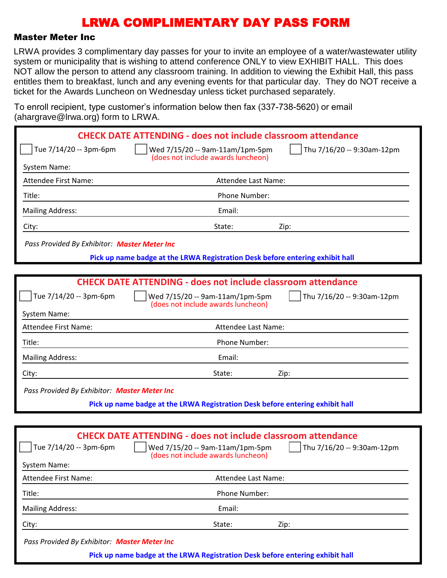#### Master Meter Inc

LRWA provides 3 complimentary day passes for your to invite an employee of a water/wastewater utility system or municipality that is wishing to attend conference ONLY to view EXHIBIT HALL. This does NOT allow the person to attend any classroom training. In addition to viewing the Exhibit Hall, this pass entitles them to breakfast, lunch and any evening events for that particular day. They do NOT receive a ticket for the Awards Luncheon on Wednesday unless ticket purchased separately.

To enroll recipient, type customer's information below then fax (337-738-5620) or email (abargrave@lrwa.org) form to LRWA

| $\alpha$ and $\alpha$ are $\approx$ $\alpha$ watch $\alpha$ , form to Erving |                                                                                                                            |
|------------------------------------------------------------------------------|----------------------------------------------------------------------------------------------------------------------------|
|                                                                              | <b>CHECK DATE ATTENDING - does not include classroom attendance</b>                                                        |
| Tue 7/14/20 -- 3pm-6pm                                                       | Thu 7/16/20 -- 9:30am-12pm<br>Wed 7/15/20 -- 9am-11am/1pm-5pm<br>(does not include awards luncheon)                        |
| System Name:                                                                 |                                                                                                                            |
| Attendee First Name:                                                         | Attendee Last Name:                                                                                                        |
| Title:                                                                       | Phone Number:                                                                                                              |
| <b>Mailing Address:</b>                                                      | Email:                                                                                                                     |
| City:                                                                        | State:<br>Zip:                                                                                                             |
| Pass Provided By Exhibitor: Master Meter Inc                                 |                                                                                                                            |
|                                                                              | Pick up name badge at the LRWA Registration Desk before entering exhibit hall                                              |
|                                                                              |                                                                                                                            |
|                                                                              | <b>CHECK DATE ATTENDING - does not include classroom attendance</b>                                                        |
| Tue 7/14/20 -- 3pm-6pm                                                       | Wed 7/15/20 -- 9am-11am/1pm-5pm<br>Thu 7/16/20 -- 9:30am-12pm<br>(does not include awards luncheon)                        |
| System Name:                                                                 |                                                                                                                            |
| Attendee First Name:                                                         | Attendee Last Name:                                                                                                        |
| Title:                                                                       | Phone Number:                                                                                                              |
| <b>Mailing Address:</b>                                                      | Email:                                                                                                                     |
| City:                                                                        | State:<br>Zip:                                                                                                             |
| Pass Provided By Exhibitor: Master Meter Inc                                 |                                                                                                                            |
|                                                                              | Pick up name badge at the LRWA Registration Desk before entering exhibit hall                                              |
|                                                                              |                                                                                                                            |
|                                                                              | <b>CHECK DATE ATTENDING - does not include classroom attendance</b>                                                        |
| Tue 7/14/20 -- 3pm-6pm                                                       | $\int$ Thu 7/16/20 -- 9:30am-12pm<br>$\vert$ $\vert$ Wed 7/15/20 -- 9am-11am/1pm-5pm<br>(does not include awards luncheon) |
| System Name:                                                                 |                                                                                                                            |
| Attendee First Name:                                                         | Attendee Last Name:                                                                                                        |
| Title:                                                                       | Phone Number:                                                                                                              |
| <b>Mailing Address:</b>                                                      | Email:                                                                                                                     |
| City:                                                                        | State:<br>Zip:                                                                                                             |
|                                                                              |                                                                                                                            |

*Pass Provided By Exhibitor: Master Meter Inc*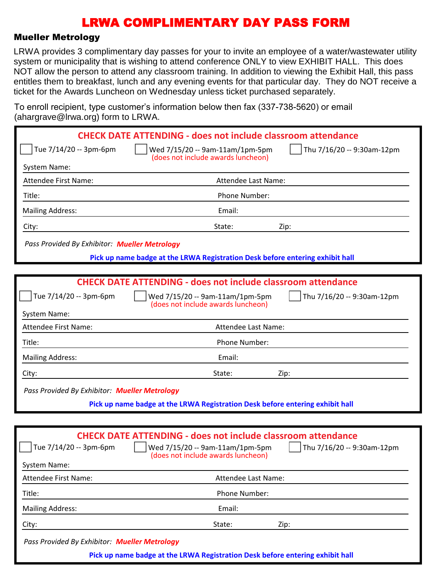#### Mueller Metrology

LRWA provides 3 complimentary day passes for your to invite an employee of a water/wastewater utility system or municipality that is wishing to attend conference ONLY to view EXHIBIT HALL. This does NOT allow the person to attend any classroom training. In addition to viewing the Exhibit Hall, this pass entitles them to breakfast, lunch and any evening events for that particular day. They do NOT receive a ticket for the Awards Luncheon on Wednesday unless ticket purchased separately.

To enroll recipient, type customer's information below then fax (337-738-5620) or email (abargrave@lrwa.org) form to LRWA

| $($ anargravc $\approx$ n wa.org $\prime$ rommto Erve $\prime$ . |                                                                                                                                                                                |
|------------------------------------------------------------------|--------------------------------------------------------------------------------------------------------------------------------------------------------------------------------|
|                                                                  | <b>CHECK DATE ATTENDING - does not include classroom attendance</b>                                                                                                            |
| Tue 7/14/20 -- 3pm-6pm                                           | Thu 7/16/20 -- 9:30am-12pm<br>Wed 7/15/20 -- 9am-11am/1pm-5pm<br>(does not include awards luncheon)                                                                            |
| <b>System Name:</b>                                              |                                                                                                                                                                                |
| <b>Attendee First Name:</b>                                      | Attendee Last Name:                                                                                                                                                            |
| Title:                                                           | Phone Number:                                                                                                                                                                  |
| <b>Mailing Address:</b>                                          | Email:                                                                                                                                                                         |
| City:                                                            | State:<br>Zip:                                                                                                                                                                 |
| Pass Provided By Exhibitor: Mueller Metrology                    |                                                                                                                                                                                |
|                                                                  | Pick up name badge at the LRWA Registration Desk before entering exhibit hall                                                                                                  |
|                                                                  |                                                                                                                                                                                |
|                                                                  | <b>CHECK DATE ATTENDING - does not include classroom attendance</b>                                                                                                            |
| Tue 7/14/20 -- 3pm-6pm                                           | Wed 7/15/20 -- 9am-11am/1pm-5pm<br>Thu 7/16/20 -- 9:30am-12pm<br>(does not include awards luncheon)                                                                            |
| System Name:                                                     |                                                                                                                                                                                |
| <b>Attendee First Name:</b>                                      | Attendee Last Name:                                                                                                                                                            |
| Title:                                                           | Phone Number:                                                                                                                                                                  |
| <b>Mailing Address:</b>                                          | Email:                                                                                                                                                                         |
| City:                                                            | State:<br>Zip:                                                                                                                                                                 |
| Pass Provided By Exhibitor: Mueller Metrology                    |                                                                                                                                                                                |
|                                                                  | Pick up name badge at the LRWA Registration Desk before entering exhibit hall                                                                                                  |
|                                                                  |                                                                                                                                                                                |
| Tue 7/14/20 -- 3pm-6pm<br><b>System Name:</b>                    | <b>CHECK DATE ATTENDING - does not include classroom attendance</b><br>Wed 7/15/20 -- 9am-11am/1pm-5pm<br>    Thu 7/16/20 -- 9:30am-12pm<br>(does not include awards luncheon) |
| Attendee First Name:                                             | Attendee Last Name:                                                                                                                                                            |
|                                                                  |                                                                                                                                                                                |
| Title:                                                           | Phone Number:                                                                                                                                                                  |
| <b>Mailing Address:</b>                                          | Email:                                                                                                                                                                         |

*Pass Provided By Exhibitor: Mueller Metrology*

City: State: Zip: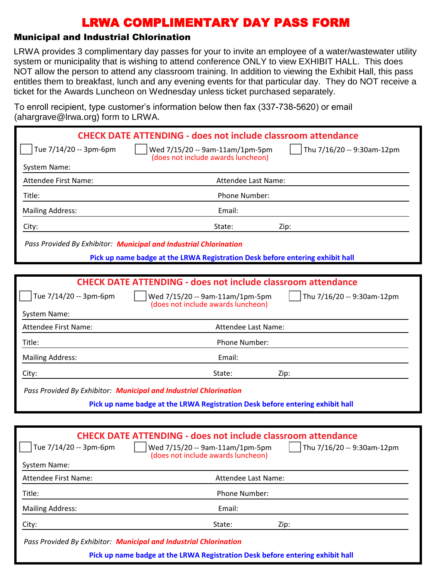### Municipal and Industrial Chlorination

LRWA provides 3 complimentary day passes for your to invite an employee of a water/wastewater utility system or municipality that is wishing to attend conference ONLY to view EXHIBIT HALL. This does NOT allow the person to attend any classroom training. In addition to viewing the Exhibit Hall, this pass entitles them to breakfast, lunch and any evening events for that particular day. They do NOT receive a ticket for the Awards Luncheon on Wednesday unless ticket purchased separately.

To enroll recipient, type customer's information below then fax (337-738-5620) or email (ahargrave@lrwa.org) form to LRWA.

|                             | <b>CHECK DATE ATTENDING - does not include classroom attendance</b>                                 |
|-----------------------------|-----------------------------------------------------------------------------------------------------|
| Tue 7/14/20 -- 3pm-6pm      | Thu 7/16/20 -- 9:30am-12pm<br>Wed 7/15/20 -- 9am-11am/1pm-5pm<br>(does not include awards luncheon) |
| System Name:                |                                                                                                     |
| Attendee First Name:        | Attendee Last Name:                                                                                 |
| Title:                      | Phone Number:                                                                                       |
| <b>Mailing Address:</b>     | Email:                                                                                              |
| City:                       | State:<br>Zip:                                                                                      |
|                             | Pass Provided By Exhibitor: Municipal and Industrial Chlorination                                   |
|                             | Pick up name badge at the LRWA Registration Desk before entering exhibit hall                       |
|                             |                                                                                                     |
|                             | <b>CHECK DATE ATTENDING - does not include classroom attendance</b>                                 |
| Tue 7/14/20 -- 3pm-6pm      | Wed 7/15/20 -- 9am-11am/1pm-5pm<br>Thu 7/16/20 -- 9:30am-12pm<br>(does not include awards luncheon) |
| <b>System Name:</b>         |                                                                                                     |
| <b>Attendee First Name:</b> | Attendee Last Name:                                                                                 |
| Title:                      | Phone Number:                                                                                       |
| <b>Mailing Address:</b>     | Email:                                                                                              |
| City:                       | State:<br>Zip:                                                                                      |
|                             | Pass Provided By Exhibitor: Municipal and Industrial Chlorination                                   |
|                             | Pick up name badge at the LRWA Registration Desk before entering exhibit hall                       |
|                             |                                                                                                     |
|                             |                                                                                                     |
|                             | <b>CHECK DATE ATTENDING - does not include classroom attendance</b>                                 |

| Attendee First Name:    | Attendee Last Name: |      |
|-------------------------|---------------------|------|
| Title:                  | Phone Number:       |      |
| <b>Mailing Address:</b> | Email:              |      |
| City:                   | State:              | Zip: |

Tue 7/14/20 -- 3pm-6pm  $\vert$   $\vert$  Wed 7/15/20 -- 9am-11am/1pm-5pm  $\vert$  Thu 7/16/20 -- 9:30am-12pm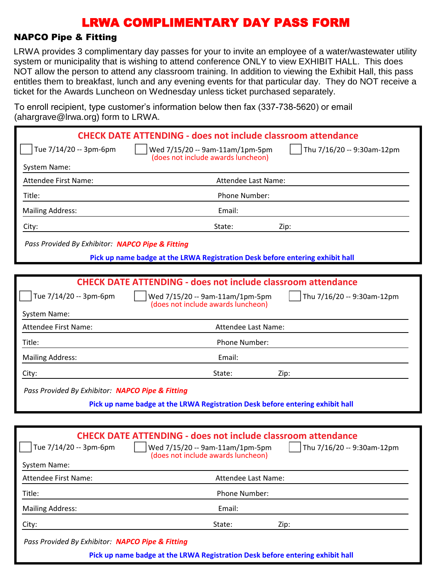#### NAPCO Pipe & Fitting

LRWA provides 3 complimentary day passes for your to invite an employee of a water/wastewater utility system or municipality that is wishing to attend conference ONLY to view EXHIBIT HALL. This does NOT allow the person to attend any classroom training. In addition to viewing the Exhibit Hall, this pass entitles them to breakfast, lunch and any evening events for that particular day. They do NOT receive a ticket for the Awards Luncheon on Wednesday unless ticket purchased separately.

To enroll recipient, type customer's information below then fax (337-738-5620) or email (ahargrave@lrwa.org) form to LRWA

|                                                  | <b>CHECK DATE ATTENDING - does not include classroom attendance</b>                                                                                                             |
|--------------------------------------------------|---------------------------------------------------------------------------------------------------------------------------------------------------------------------------------|
| Tue 7/14/20 -- 3pm-6pm                           | Thu 7/16/20 -- 9:30am-12pm<br>Wed 7/15/20 -- 9am-11am/1pm-5pm<br>(does not include awards luncheon)                                                                             |
| System Name:                                     |                                                                                                                                                                                 |
| <b>Attendee First Name:</b>                      | Attendee Last Name:                                                                                                                                                             |
| Title:                                           | Phone Number:                                                                                                                                                                   |
| <b>Mailing Address:</b>                          | Email:                                                                                                                                                                          |
| City:                                            | State:<br>Zip:                                                                                                                                                                  |
| Pass Provided By Exhibitor: NAPCO Pipe & Fitting |                                                                                                                                                                                 |
|                                                  | Pick up name badge at the LRWA Registration Desk before entering exhibit hall                                                                                                   |
|                                                  |                                                                                                                                                                                 |
|                                                  | <b>CHECK DATE ATTENDING - does not include classroom attendance</b>                                                                                                             |
| Tue 7/14/20 -- 3pm-6pm                           | Thu 7/16/20 -- 9:30am-12pm<br>Wed 7/15/20 -- 9am-11am/1pm-5pm<br>(does not include awards luncheon)                                                                             |
| System Name:                                     |                                                                                                                                                                                 |
| <b>Attendee First Name:</b>                      | Attendee Last Name:                                                                                                                                                             |
| Title:                                           | Phone Number:                                                                                                                                                                   |
| <b>Mailing Address:</b>                          | Email:                                                                                                                                                                          |
| City:                                            | State:<br>Zip:                                                                                                                                                                  |
| Pass Provided By Exhibitor: NAPCO Pipe & Fitting |                                                                                                                                                                                 |
|                                                  | Pick up name badge at the LRWA Registration Desk before entering exhibit hall                                                                                                   |
|                                                  |                                                                                                                                                                                 |
| Tue 7/14/20 -- 3pm-6pm<br><b>System Name:</b>    | <b>CHECK DATE ATTENDING - does not include classroom attendance</b><br>    Wed 7/15/20 -- 9am-11am/1pm-5pm     Thu 7/16/20 -- 9:30am-12pm<br>(does not include awards luncheon) |
| <b>Attendee First Name:</b>                      | Attendee Last Name:                                                                                                                                                             |
| Title:                                           | Phone Number:                                                                                                                                                                   |
| <b>Mailing Address:</b>                          | Email:                                                                                                                                                                          |
| City:                                            | State:<br>Zip:                                                                                                                                                                  |

*Pass Provided By Exhibitor: NAPCO Pipe & Fitting*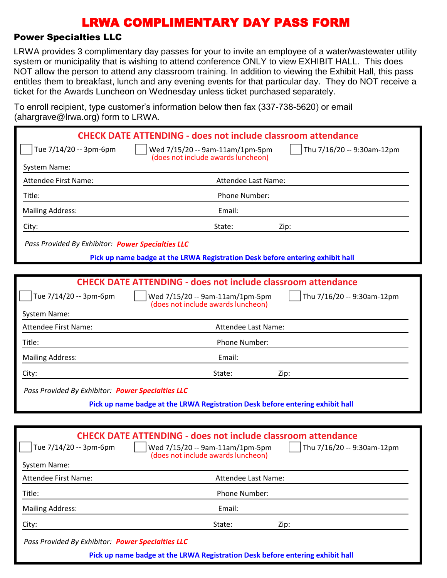#### Power Specialties LLC

LRWA provides 3 complimentary day passes for your to invite an employee of a water/wastewater utility system or municipality that is wishing to attend conference ONLY to view EXHIBIT HALL. This does NOT allow the person to attend any classroom training. In addition to viewing the Exhibit Hall, this pass entitles them to breakfast, lunch and any evening events for that particular day. They do NOT receive a ticket for the Awards Luncheon on Wednesday unless ticket purchased separately.

To enroll recipient, type customer's information below then fax (337-738-5620) or email (abargrave@lrwa.org) form to LRWA

|                                                   | <b>CHECK DATE ATTENDING - does not include classroom attendance</b>                                                                                          |                                   |
|---------------------------------------------------|--------------------------------------------------------------------------------------------------------------------------------------------------------------|-----------------------------------|
| Tue 7/14/20 -- 3pm-6pm                            | Wed 7/15/20 -- 9am-11am/1pm-5pm<br>(does not include awards luncheon)                                                                                        | Thu 7/16/20 -- 9:30am-12pm        |
| System Name:                                      |                                                                                                                                                              |                                   |
| Attendee First Name:                              | Attendee Last Name:                                                                                                                                          |                                   |
| Title:                                            | Phone Number:                                                                                                                                                |                                   |
| <b>Mailing Address:</b>                           | Email:                                                                                                                                                       |                                   |
| City:                                             | State:                                                                                                                                                       | Zip:                              |
| Pass Provided By Exhibitor: Power Specialties LLC |                                                                                                                                                              |                                   |
|                                                   | Pick up name badge at the LRWA Registration Desk before entering exhibit hall                                                                                |                                   |
|                                                   |                                                                                                                                                              |                                   |
|                                                   | <b>CHECK DATE ATTENDING - does not include classroom attendance</b>                                                                                          |                                   |
| Tue 7/14/20 -- 3pm-6pm                            | Wed 7/15/20 -- 9am-11am/1pm-5pm<br>(does not include awards luncheon)                                                                                        | Thu 7/16/20 -- 9:30am-12pm        |
| System Name:                                      |                                                                                                                                                              |                                   |
| Attendee First Name:                              | Attendee Last Name:                                                                                                                                          |                                   |
| Title:                                            | Phone Number:                                                                                                                                                |                                   |
| <b>Mailing Address:</b>                           | Email:                                                                                                                                                       |                                   |
| City:                                             | State:                                                                                                                                                       | Zip:                              |
| Pass Provided By Exhibitor: Power Specialties LLC |                                                                                                                                                              |                                   |
|                                                   | Pick up name badge at the LRWA Registration Desk before entering exhibit hall                                                                                |                                   |
|                                                   |                                                                                                                                                              |                                   |
| Tue 7/14/20 -- 3pm-6pm<br>System Name:            | <b>CHECK DATE ATTENDING - does not include classroom attendance</b><br>$\vert$ $\vert$ Wed 7/15/20 -- 9am-11am/1pm-5pm<br>(does not include awards luncheon) | $\int$ Thu 7/16/20 -- 9:30am-12pm |
| Attendee First Name:                              | Attendee Last Name:                                                                                                                                          |                                   |
| Title:                                            | Phone Number:                                                                                                                                                |                                   |
| <b>Mailing Address:</b>                           | Email:                                                                                                                                                       |                                   |
| City:                                             | State:                                                                                                                                                       | Zip:                              |
|                                                   |                                                                                                                                                              |                                   |

*Pass Provided By Exhibitor: Power Specialties LLC*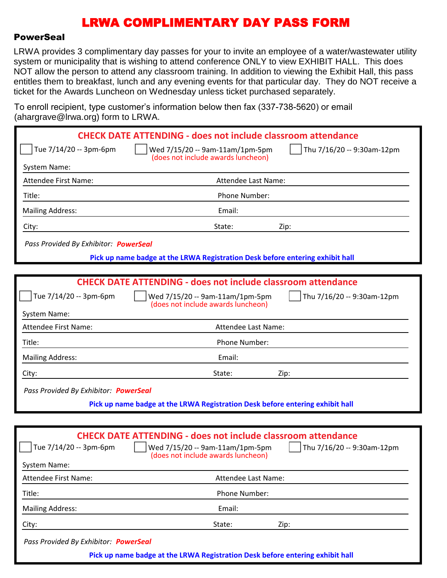#### PowerSeal

LRWA provides 3 complimentary day passes for your to invite an employee of a water/wastewater utility system or municipality that is wishing to attend conference ONLY to view EXHIBIT HALL. This does NOT allow the person to attend any classroom training. In addition to viewing the Exhibit Hall, this pass entitles them to breakfast, lunch and any evening events for that particular day. They do NOT receive a ticket for the Awards Luncheon on Wednesday unless ticket purchased separately.

To enroll recipient, type customer's information below then fax (337-738-5620) or email  $(3h\alpha r\alpha r\alpha \omega \hat{\omega})$  form to LPWA

| $($ anargrave $\otimes$ irwa. $\cup$ ig $\prime$ rominio Livin $\Lambda$ . |                                                                                                                                                                            |
|----------------------------------------------------------------------------|----------------------------------------------------------------------------------------------------------------------------------------------------------------------------|
|                                                                            | <b>CHECK DATE ATTENDING - does not include classroom attendance</b>                                                                                                        |
| Tue 7/14/20 -- 3pm-6pm                                                     | Wed 7/15/20 -- 9am-11am/1pm-5pm<br>Thu 7/16/20 -- 9:30am-12pm<br>(does not include awards luncheon)                                                                        |
| System Name:                                                               |                                                                                                                                                                            |
| Attendee First Name:                                                       | Attendee Last Name:                                                                                                                                                        |
| Title:                                                                     | Phone Number:                                                                                                                                                              |
| <b>Mailing Address:</b>                                                    | Email:                                                                                                                                                                     |
| City:                                                                      | State:<br>Zip:                                                                                                                                                             |
| Pass Provided By Exhibitor: PowerSeal                                      |                                                                                                                                                                            |
|                                                                            | Pick up name badge at the LRWA Registration Desk before entering exhibit hall                                                                                              |
|                                                                            |                                                                                                                                                                            |
|                                                                            | <b>CHECK DATE ATTENDING - does not include classroom attendance</b>                                                                                                        |
| Tue 7/14/20 -- 3pm-6pm                                                     | Wed 7/15/20 -- 9am-11am/1pm-5pm<br>Thu 7/16/20 -- 9:30am-12pm<br>(does not include awards luncheon)                                                                        |
| System Name:                                                               |                                                                                                                                                                            |
| <b>Attendee First Name:</b>                                                | Attendee Last Name:                                                                                                                                                        |
| Title:                                                                     | Phone Number:                                                                                                                                                              |
| <b>Mailing Address:</b>                                                    | Email:                                                                                                                                                                     |
| City:                                                                      | State:<br>Zip:                                                                                                                                                             |
| Pass Provided By Exhibitor: PowerSeal                                      |                                                                                                                                                                            |
|                                                                            | Pick up name badge at the LRWA Registration Desk before entering exhibit hall                                                                                              |
|                                                                            |                                                                                                                                                                            |
| Tue 7/14/20 -- 3pm-6pm<br>System Name:                                     | <b>CHECK DATE ATTENDING - does not include classroom attendance</b><br>Wed 7/15/20 -- 9am-11am/1pm-5pm<br>Thu 7/16/20 -- 9:30am-12pm<br>(does not include awards luncheon) |
| Attondoo First Namo:                                                       | Attendee Last Name:                                                                                                                                                        |

Attendee First Name: Attendee Last Name: Title: Phone Number: Mailing Address: The Contract of the Contract of the Email: City: State: Zip: *Pass Provided By Exhibitor: PowerSeal* **Pick up name badge at the LRWA Registration Desk before entering exhibit hall**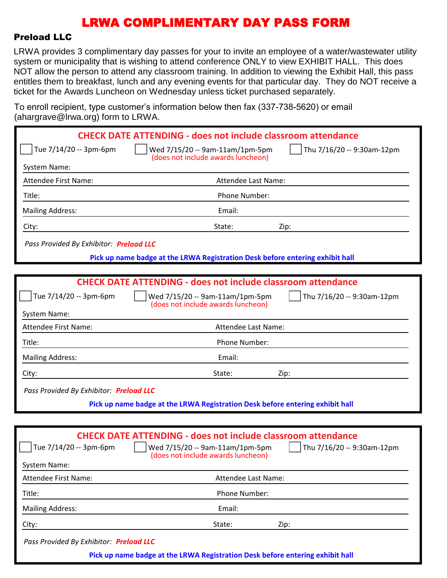#### Preload LLC

LRWA provides 3 complimentary day passes for your to invite an employee of a water/wastewater utility system or municipality that is wishing to attend conference ONLY to view EXHIBIT HALL. This does NOT allow the person to attend any classroom training. In addition to viewing the Exhibit Hall, this pass entitles them to breakfast, lunch and any evening events for that particular day. They do NOT receive a ticket for the Awards Luncheon on Wednesday unless ticket purchased separately.

To enroll recipient, type customer's information below then fax (337-738-5620) or email (abargrave@lrwa.org) form to LRWA

| $\alpha$ and $\alpha$ are $\approx$ $\alpha$ watch $\alpha$ , form to Erving |                                                                                                                                                      |                            |
|------------------------------------------------------------------------------|------------------------------------------------------------------------------------------------------------------------------------------------------|----------------------------|
|                                                                              | <b>CHECK DATE ATTENDING - does not include classroom attendance</b>                                                                                  |                            |
| Tue 7/14/20 -- 3pm-6pm                                                       | Wed 7/15/20 -- 9am-11am/1pm-5pm                                                                                                                      | Thu 7/16/20 -- 9:30am-12pm |
| System Name:                                                                 | (does not include awards luncheon)                                                                                                                   |                            |
| Attendee First Name:                                                         | Attendee Last Name:                                                                                                                                  |                            |
| Title:                                                                       | Phone Number:                                                                                                                                        |                            |
| <b>Mailing Address:</b>                                                      | Email:                                                                                                                                               |                            |
| City:                                                                        | State:                                                                                                                                               | Zip:                       |
| Pass Provided By Exhibitor: Preload LLC                                      |                                                                                                                                                      |                            |
|                                                                              | Pick up name badge at the LRWA Registration Desk before entering exhibit hall                                                                        |                            |
|                                                                              |                                                                                                                                                      |                            |
|                                                                              | <b>CHECK DATE ATTENDING - does not include classroom attendance</b>                                                                                  |                            |
| Tue 7/14/20 -- 3pm-6pm                                                       | Wed 7/15/20 -- 9am-11am/1pm-5pm<br>(does not include awards luncheon)                                                                                | Thu 7/16/20 -- 9:30am-12pm |
| System Name:                                                                 |                                                                                                                                                      |                            |
| <b>Attendee First Name:</b>                                                  | Attendee Last Name:                                                                                                                                  |                            |
| Title:                                                                       | Phone Number:                                                                                                                                        |                            |
| <b>Mailing Address:</b>                                                      | Email:                                                                                                                                               |                            |
| City:                                                                        | State:                                                                                                                                               | Zip:                       |
| Pass Provided By Exhibitor: Preload LLC                                      |                                                                                                                                                      |                            |
|                                                                              | Pick up name badge at the LRWA Registration Desk before entering exhibit hall                                                                        |                            |
|                                                                              |                                                                                                                                                      |                            |
| Tue 7/14/20 -- 3pm-6pm<br>System Name:                                       | <b>CHECK DATE ATTENDING - does not include classroom attendance</b><br>$\vert$ Wed 7/15/20 -- 9am-11am/1pm-5pm<br>(does not include awards luncheon) | Thu 7/16/20 -- 9:30am-12pm |
| Attendee First Name:                                                         | Attendee Last Name:                                                                                                                                  |                            |
| Title:                                                                       | Phone Number:                                                                                                                                        |                            |
| <b>Mailing Address:</b>                                                      | Email:                                                                                                                                               |                            |
| City:                                                                        | State:                                                                                                                                               | Zip:                       |

*Pass Provided By Exhibitor: Preload LLC*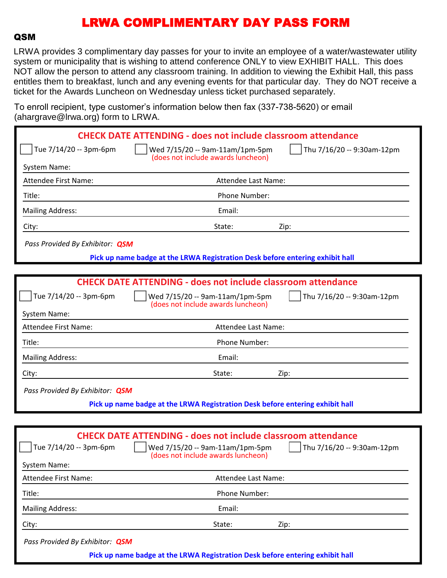#### **QSM**

LRWA provides 3 complimentary day passes for your to invite an employee of a water/wastewater utility system or municipality that is wishing to attend conference ONLY to view EXHIBIT HALL. This does NOT allow the person to attend any classroom training. In addition to viewing the Exhibit Hall, this pass entitles them to breakfast, lunch and any evening events for that particular day. They do NOT receive a ticket for the Awards Luncheon on Wednesday unless ticket purchased separately.

To enroll recipient, type customer's information below then fax (337-738-5620) or email (ahargrave@lrwa.org) form to LRWA

| $($ anargiavo $\otimes$ inwa.org/ rominio Erve $\alpha$ . |                                                                                                                                                                            |
|-----------------------------------------------------------|----------------------------------------------------------------------------------------------------------------------------------------------------------------------------|
|                                                           | <b>CHECK DATE ATTENDING - does not include classroom attendance</b>                                                                                                        |
| Tue 7/14/20 -- 3pm-6pm                                    | Thu 7/16/20 -- 9:30am-12pm<br>Wed 7/15/20 -- 9am-11am/1pm-5pm<br>(does not include awards luncheon)                                                                        |
| System Name:                                              |                                                                                                                                                                            |
| <b>Attendee First Name:</b>                               | Attendee Last Name:                                                                                                                                                        |
| Title:                                                    | Phone Number:                                                                                                                                                              |
| <b>Mailing Address:</b>                                   | Email:                                                                                                                                                                     |
| City:                                                     | State:<br>Zip:                                                                                                                                                             |
| Pass Provided By Exhibitor: QSM                           |                                                                                                                                                                            |
|                                                           | Pick up name badge at the LRWA Registration Desk before entering exhibit hall                                                                                              |
|                                                           |                                                                                                                                                                            |
|                                                           | <b>CHECK DATE ATTENDING - does not include classroom attendance</b>                                                                                                        |
| Tue 7/14/20 -- 3pm-6pm                                    | Wed 7/15/20 -- 9am-11am/1pm-5pm<br>Thu 7/16/20 -- 9:30am-12pm<br>(does not include awards luncheon)                                                                        |
| System Name:                                              |                                                                                                                                                                            |
| <b>Attendee First Name:</b>                               | Attendee Last Name:                                                                                                                                                        |
| Title:                                                    | Phone Number:                                                                                                                                                              |
| <b>Mailing Address:</b>                                   | Email:                                                                                                                                                                     |
| City:                                                     | State:<br>Zip:                                                                                                                                                             |
| Pass Provided By Exhibitor: QSM                           |                                                                                                                                                                            |
|                                                           | Pick up name badge at the LRWA Registration Desk before entering exhibit hall                                                                                              |
|                                                           |                                                                                                                                                                            |
| Tue 7/14/20 -- 3pm-6pm<br><b>System Name:</b>             | <b>CHECK DATE ATTENDING - does not include classroom attendance</b><br>Wed 7/15/20 -- 9am-11am/1pm-5pm<br>Thu 7/16/20 -- 9:30am-12pm<br>(does not include awards luncheon) |

| Attendee First Name:            | Attendee Last Name:                                                           |      |
|---------------------------------|-------------------------------------------------------------------------------|------|
| Title:                          | <b>Phone Number:</b>                                                          |      |
| <b>Mailing Address:</b>         | Email:                                                                        |      |
| City:                           | State:                                                                        | Zip: |
| Pass Provided By Exhibitor: QSM |                                                                               |      |
|                                 | Pick up name badge at the LRWA Registration Desk before entering exhibit hall |      |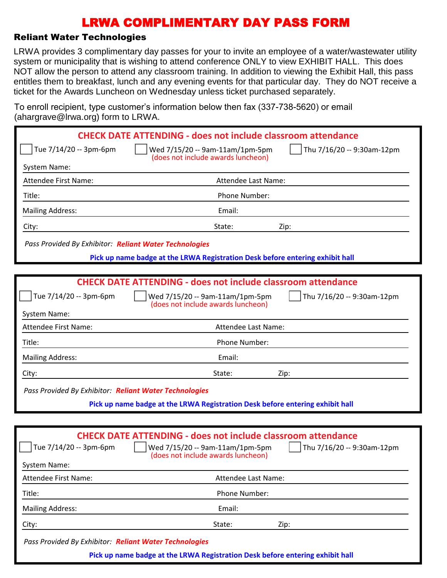### Reliant Water Technologies

LRWA provides 3 complimentary day passes for your to invite an employee of a water/wastewater utility system or municipality that is wishing to attend conference ONLY to view EXHIBIT HALL. This does NOT allow the person to attend any classroom training. In addition to viewing the Exhibit Hall, this pass entitles them to breakfast, lunch and any evening events for that particular day. They do NOT receive a ticket for the Awards Luncheon on Wednesday unless ticket purchased separately.

To enroll recipient, type customer's information below then fax (337-738-5620) or email (ahargrave@lrwa.org) form to LRWA

| $($ unurgruvo $\otimes$ n wu $\otimes$ ng $)$ romm $\otimes$ Ervi $\vee$ r |                                                                                                                                                                                        |
|----------------------------------------------------------------------------|----------------------------------------------------------------------------------------------------------------------------------------------------------------------------------------|
|                                                                            | <b>CHECK DATE ATTENDING - does not include classroom attendance</b>                                                                                                                    |
| Tue 7/14/20 -- 3pm-6pm                                                     | Thu 7/16/20 -- 9:30am-12pm<br>Wed 7/15/20 -- 9am-11am/1pm-5pm<br>(does not include awards luncheon)                                                                                    |
| System Name:                                                               |                                                                                                                                                                                        |
| <b>Attendee First Name:</b>                                                | Attendee Last Name:                                                                                                                                                                    |
| Title:                                                                     | Phone Number:                                                                                                                                                                          |
| <b>Mailing Address:</b>                                                    | Email:                                                                                                                                                                                 |
| City:                                                                      | State:<br>Zip:                                                                                                                                                                         |
| Pass Provided By Exhibitor: Reliant Water Technologies                     |                                                                                                                                                                                        |
|                                                                            | Pick up name badge at the LRWA Registration Desk before entering exhibit hall                                                                                                          |
|                                                                            |                                                                                                                                                                                        |
|                                                                            | <b>CHECK DATE ATTENDING - does not include classroom attendance</b>                                                                                                                    |
| Tue 7/14/20 -- 3pm-6pm                                                     | Wed 7/15/20 -- 9am-11am/1pm-5pm<br>Thu 7/16/20 -- 9:30am-12pm<br>(does not include awards luncheon)                                                                                    |
| System Name:                                                               |                                                                                                                                                                                        |
| <b>Attendee First Name:</b>                                                | Attendee Last Name:                                                                                                                                                                    |
| Title:                                                                     | Phone Number:                                                                                                                                                                          |
| <b>Mailing Address:</b>                                                    | Email:                                                                                                                                                                                 |
| City:                                                                      | State:<br>Zip:                                                                                                                                                                         |
| Pass Provided By Exhibitor: Reliant Water Technologies                     |                                                                                                                                                                                        |
|                                                                            | Pick up name badge at the LRWA Registration Desk before entering exhibit hall                                                                                                          |
|                                                                            |                                                                                                                                                                                        |
| Tue 7/14/20 -- 3pm-6pm<br><b>System Name:</b>                              | <b>CHECK DATE ATTENDING - does not include classroom attendance</b><br>$\vert$ Thu 7/16/20 -- 9:30am-12pm<br>    Wed 7/15/20 -- 9am-11am/1pm-5pm<br>(does not include awards luncheon) |
| <b>Attendee First Name:</b>                                                | Attendee Last Name:                                                                                                                                                                    |
| Title:                                                                     | Phone Number:                                                                                                                                                                          |
| <b>Mailing Address:</b>                                                    | Email:                                                                                                                                                                                 |
| City:                                                                      | State:<br>Zip:                                                                                                                                                                         |
|                                                                            |                                                                                                                                                                                        |

*Pass Provided By Exhibitor: Reliant Water Technologies*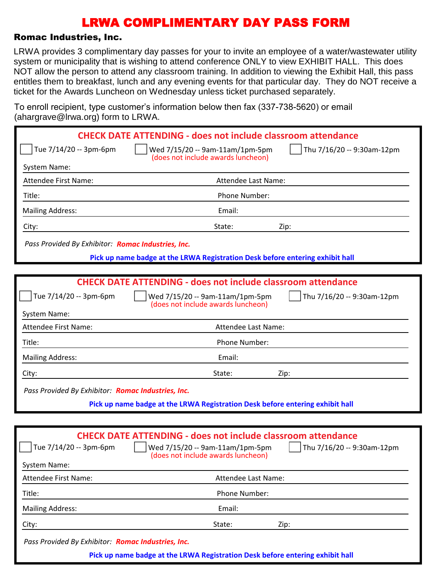#### Romac Industries, Inc.

LRWA provides 3 complimentary day passes for your to invite an employee of a water/wastewater utility system or municipality that is wishing to attend conference ONLY to view EXHIBIT HALL. This does NOT allow the person to attend any classroom training. In addition to viewing the Exhibit Hall, this pass entitles them to breakfast, lunch and any evening events for that particular day. They do NOT receive a ticket for the Awards Luncheon on Wednesday unless ticket purchased separately.

To enroll recipient, type customer's information below then fax (337-738-5620) or email (abargrave@lrwa.org) form to LRWA

| $($ anargiavo $\otimes$ irwa.org/Tonn to Erversity |                                                                                                                                                                                             |
|----------------------------------------------------|---------------------------------------------------------------------------------------------------------------------------------------------------------------------------------------------|
|                                                    | <b>CHECK DATE ATTENDING - does not include classroom attendance</b>                                                                                                                         |
| Tue 7/14/20 -- 3pm-6pm                             | Thu 7/16/20 -- 9:30am-12pm<br>Wed 7/15/20 -- 9am-11am/1pm-5pm<br>(does not include awards luncheon)                                                                                         |
| System Name:                                       |                                                                                                                                                                                             |
| <b>Attendee First Name:</b>                        | Attendee Last Name:                                                                                                                                                                         |
| Title:                                             | Phone Number:                                                                                                                                                                               |
| <b>Mailing Address:</b>                            | Email:                                                                                                                                                                                      |
| City:                                              | State:<br>Zip:                                                                                                                                                                              |
| Pass Provided By Exhibitor: Romac Industries, Inc. |                                                                                                                                                                                             |
|                                                    | Pick up name badge at the LRWA Registration Desk before entering exhibit hall                                                                                                               |
|                                                    |                                                                                                                                                                                             |
|                                                    | <b>CHECK DATE ATTENDING - does not include classroom attendance</b>                                                                                                                         |
| Tue 7/14/20 -- 3pm-6pm                             | Wed 7/15/20 -- 9am-11am/1pm-5pm<br>Thu 7/16/20 -- 9:30am-12pm<br>(does not include awards luncheon)                                                                                         |
| System Name:                                       |                                                                                                                                                                                             |
| <b>Attendee First Name:</b>                        | Attendee Last Name:                                                                                                                                                                         |
| Title:                                             | Phone Number:                                                                                                                                                                               |
| <b>Mailing Address:</b>                            | Email:                                                                                                                                                                                      |
| City:                                              | State:<br>Zip:                                                                                                                                                                              |
| Pass Provided By Exhibitor: Romac Industries, Inc. |                                                                                                                                                                                             |
|                                                    | Pick up name badge at the LRWA Registration Desk before entering exhibit hall                                                                                                               |
|                                                    |                                                                                                                                                                                             |
| Tue 7/14/20 -- 3pm-6pm                             | <b>CHECK DATE ATTENDING - does not include classroom attendance</b><br>$\int$ Thu 7/16/20 -- 9:30am-12pm<br>$\vert$   Wed 7/15/20 -- 9am-11am/1pm-5pm<br>(does not include awards luncheon) |
| System Name:                                       |                                                                                                                                                                                             |
| Attendee First Name:                               | Attendee Last Name:                                                                                                                                                                         |
| Title:                                             | Phone Number:                                                                                                                                                                               |
| <b>Mailing Address:</b>                            | Email:                                                                                                                                                                                      |
|                                                    |                                                                                                                                                                                             |

City: State: Zip:

*Pass Provided By Exhibitor: Romac Industries, Inc.*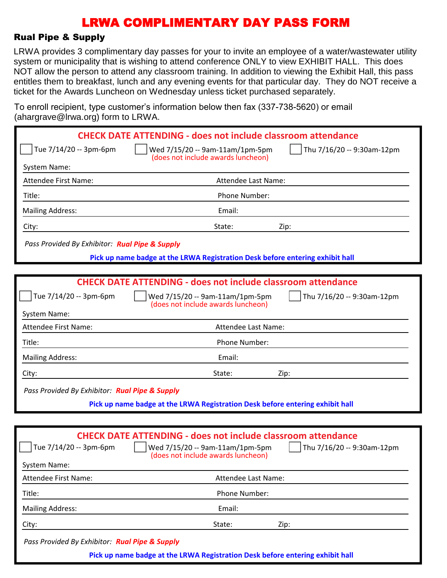#### Rual Pipe & Supply

LRWA provides 3 complimentary day passes for your to invite an employee of a water/wastewater utility system or municipality that is wishing to attend conference ONLY to view EXHIBIT HALL. This does NOT allow the person to attend any classroom training. In addition to viewing the Exhibit Hall, this pass entitles them to breakfast, lunch and any evening events for that particular day. They do NOT receive a ticket for the Awards Luncheon on Wednesday unless ticket purchased separately.

To enroll recipient, type customer's information below then fax (337-738-5620) or email (abargrave@lrwa.org) form to LRWA

| $\alpha$ and grave $\approx$ mwa.org romm to Liver $\alpha$ |                                                                                                                                                                                             |
|-------------------------------------------------------------|---------------------------------------------------------------------------------------------------------------------------------------------------------------------------------------------|
|                                                             | <b>CHECK DATE ATTENDING - does not include classroom attendance</b>                                                                                                                         |
| Tue 7/14/20 -- 3pm-6pm                                      | Thu 7/16/20 -- 9:30am-12pm<br>Wed 7/15/20 -- 9am-11am/1pm-5pm                                                                                                                               |
| System Name:                                                | (does not include awards luncheon)                                                                                                                                                          |
| Attendee First Name:                                        | Attendee Last Name:                                                                                                                                                                         |
| Title:                                                      | Phone Number:                                                                                                                                                                               |
| <b>Mailing Address:</b>                                     | Email:                                                                                                                                                                                      |
| City:                                                       | State:<br>Zip:                                                                                                                                                                              |
| Pass Provided By Exhibitor: Rual Pipe & Supply              |                                                                                                                                                                                             |
|                                                             | Pick up name badge at the LRWA Registration Desk before entering exhibit hall                                                                                                               |
|                                                             |                                                                                                                                                                                             |
|                                                             | <b>CHECK DATE ATTENDING - does not include classroom attendance</b>                                                                                                                         |
| Tue 7/14/20 -- 3pm-6pm                                      | Wed 7/15/20 -- 9am-11am/1pm-5pm<br>Thu 7/16/20 -- 9:30am-12pm<br>(does not include awards luncheon)                                                                                         |
| System Name:                                                |                                                                                                                                                                                             |
| Attendee First Name:                                        | Attendee Last Name:                                                                                                                                                                         |
| Title:                                                      | Phone Number:                                                                                                                                                                               |
| <b>Mailing Address:</b>                                     | Email:                                                                                                                                                                                      |
| City:                                                       | State:<br>Zip:                                                                                                                                                                              |
| Pass Provided By Exhibitor: Rual Pipe & Supply              |                                                                                                                                                                                             |
|                                                             | Pick up name badge at the LRWA Registration Desk before entering exhibit hall                                                                                                               |
|                                                             |                                                                                                                                                                                             |
| Tue 7/14/20 -- 3pm-6pm<br>System Name:                      | <b>CHECK DATE ATTENDING - does not include classroom attendance</b><br>$\int$ Thu 7/16/20 -- 9:30am-12pm<br>$\vert$   Wed 7/15/20 -- 9am-11am/1pm-5pm<br>(does not include awards luncheon) |
| Attendee First Name:                                        | Attendee Last Name:                                                                                                                                                                         |
| Title:                                                      | Phone Number:                                                                                                                                                                               |
| <b>Mailing Address:</b>                                     | Email:                                                                                                                                                                                      |
| City:                                                       | State:<br>Zip:                                                                                                                                                                              |
|                                                             |                                                                                                                                                                                             |

*Pass Provided By Exhibitor: Rual Pipe & Supply*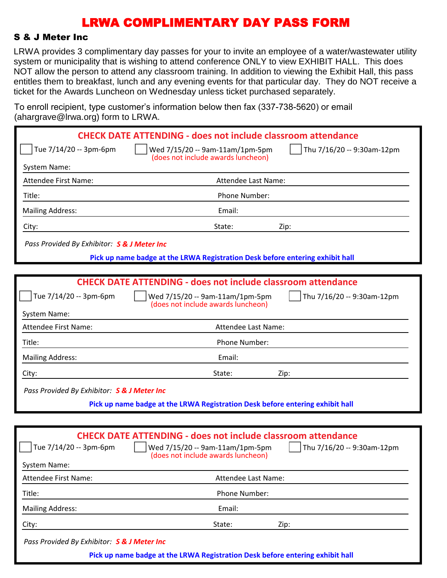#### S & J Meter Inc

LRWA provides 3 complimentary day passes for your to invite an employee of a water/wastewater utility system or municipality that is wishing to attend conference ONLY to view EXHIBIT HALL. This does NOT allow the person to attend any classroom training. In addition to viewing the Exhibit Hall, this pass entitles them to breakfast, lunch and any evening events for that particular day. They do NOT receive a ticket for the Awards Luncheon on Wednesday unless ticket purchased separately.

To enroll recipient, type customer's information below then fax (337-738-5620) or email (abargrave@lrwa.org) form to LRWA

| $\alpha$ and grave $\approx$ mwa.org romm to Liver $\alpha$ |                                                                                       |                                   |
|-------------------------------------------------------------|---------------------------------------------------------------------------------------|-----------------------------------|
|                                                             | <b>CHECK DATE ATTENDING - does not include classroom attendance</b>                   |                                   |
| Tue 7/14/20 -- 3pm-6pm                                      | Wed 7/15/20 -- 9am-11am/1pm-5pm<br>(does not include awards luncheon)                 | Thu 7/16/20 -- 9:30am-12pm        |
| System Name:                                                |                                                                                       |                                   |
| Attendee First Name:                                        | Attendee Last Name:                                                                   |                                   |
| Title:                                                      | Phone Number:                                                                         |                                   |
| <b>Mailing Address:</b>                                     | Email:                                                                                |                                   |
| City:                                                       | State:                                                                                | Zip:                              |
| Pass Provided By Exhibitor: S & J Meter Inc                 |                                                                                       |                                   |
|                                                             | Pick up name badge at the LRWA Registration Desk before entering exhibit hall         |                                   |
|                                                             |                                                                                       |                                   |
|                                                             | <b>CHECK DATE ATTENDING - does not include classroom attendance</b>                   |                                   |
| Tue 7/14/20 -- 3pm-6pm                                      | Wed 7/15/20 -- 9am-11am/1pm-5pm<br>(does not include awards luncheon)                 | Thu 7/16/20 -- 9:30am-12pm        |
| System Name:                                                |                                                                                       |                                   |
| Attendee First Name:                                        | Attendee Last Name:                                                                   |                                   |
| Title:                                                      | Phone Number:                                                                         |                                   |
| <b>Mailing Address:</b>                                     | Email:                                                                                |                                   |
| City:                                                       | State:                                                                                | Zip:                              |
| Pass Provided By Exhibitor: S & J Meter Inc                 |                                                                                       |                                   |
|                                                             | Pick up name badge at the LRWA Registration Desk before entering exhibit hall         |                                   |
|                                                             |                                                                                       |                                   |
|                                                             | <b>CHECK DATE ATTENDING - does not include classroom attendance</b>                   |                                   |
| Tue 7/14/20 -- 3pm-6pm                                      | $\vert$ $\vert$ Wed 7/15/20 -- 9am-11am/1pm-5pm<br>(does not include awards luncheon) | $\int$ Thu 7/16/20 -- 9:30am-12pm |
| System Name:                                                |                                                                                       |                                   |
| Attendee First Name:                                        | Attendee Last Name:                                                                   |                                   |
| Title:                                                      | Phone Number:                                                                         |                                   |
| <b>Mailing Address:</b>                                     | Email:                                                                                |                                   |
| City:                                                       | State:                                                                                | Zip:                              |
|                                                             |                                                                                       |                                   |

*Pass Provided By Exhibitor: S & J Meter Inc*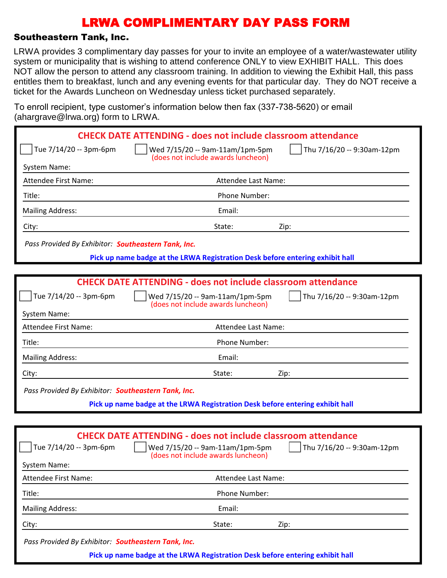### Southeastern Tank, Inc.

LRWA provides 3 complimentary day passes for your to invite an employee of a water/wastewater utility system or municipality that is wishing to attend conference ONLY to view EXHIBIT HALL. This does NOT allow the person to attend any classroom training. In addition to viewing the Exhibit Hall, this pass entitles them to breakfast, lunch and any evening events for that particular day. They do NOT receive a ticket for the Awards Luncheon on Wednesday unless ticket purchased separately.

To enroll recipient, type customer's information below then fax (337-738-5620) or email (ahargrave@lrwa.org) form to LRWA.

|                                                     | <b>CHECK DATE ATTENDING - does not include classroom attendance</b>           |                            |
|-----------------------------------------------------|-------------------------------------------------------------------------------|----------------------------|
| Tue 7/14/20 -- 3pm-6pm                              | Wed 7/15/20 -- 9am-11am/1pm-5pm<br>(does not include awards luncheon)         | Thu 7/16/20 -- 9:30am-12pm |
| System Name:                                        |                                                                               |                            |
| Attendee First Name:                                | Attendee Last Name:                                                           |                            |
| Title:                                              | Phone Number:                                                                 |                            |
| <b>Mailing Address:</b>                             | Email:                                                                        |                            |
| City:                                               | State:                                                                        | Zip:                       |
| Pass Provided By Exhibitor: Southeastern Tank, Inc. |                                                                               |                            |
|                                                     | Pick up name badge at the LRWA Registration Desk before entering exhibit hall |                            |
|                                                     |                                                                               |                            |
|                                                     | <b>CHECK DATE ATTENDING - does not include classroom attendance</b>           |                            |
| Tue 7/14/20 -- 3pm-6pm                              | Wed 7/15/20 -- 9am-11am/1pm-5pm<br>(does not include awards luncheon)         | Thu 7/16/20 -- 9:30am-12pm |
| System Name:                                        |                                                                               |                            |
| <b>Attendee First Name:</b>                         | Attendee Last Name:                                                           |                            |
| Title:                                              | Phone Number:                                                                 |                            |
| <b>Mailing Address:</b>                             | Email:                                                                        |                            |
| City:                                               | State:                                                                        | Zip:                       |
| Pass Provided By Exhibitor: Southeastern Tank, Inc. |                                                                               |                            |
|                                                     | Pick up name badge at the LRWA Registration Desk before entering exhibit hall |                            |
|                                                     |                                                                               |                            |
|                                                     | <b>CHECK DATE ATTENDING - does not include classroom attendance</b>           |                            |
| Tue 7/14/20 -- 3pm-6pm                              | $\Box$ Wed 7/15/20 -- 9am-11am/1pm-5pm<br>(does not include awards luncheon)  | Thu 7/16/20 -- 9:30am-12pm |
| <b>System Name:</b>                                 |                                                                               |                            |
| Attendee First Name:                                | Attendee Last Name:                                                           |                            |
| Title:                                              | Phone Number:                                                                 |                            |
| <b>Mailing Address:</b>                             | Email:                                                                        |                            |
| City:                                               | State:                                                                        | Zip:                       |
| Pass Provided By Exhibitor: Southeastern Tank, Inc. |                                                                               |                            |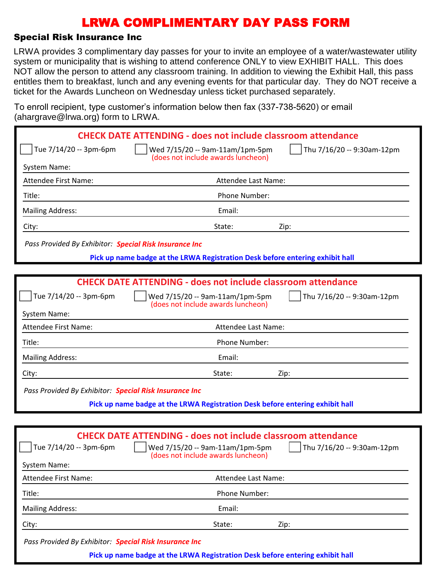#### Special Risk Insurance Inc

LRWA provides 3 complimentary day passes for your to invite an employee of a water/wastewater utility system or municipality that is wishing to attend conference ONLY to view EXHIBIT HALL. This does NOT allow the person to attend any classroom training. In addition to viewing the Exhibit Hall, this pass entitles them to breakfast, lunch and any evening events for that particular day. They do NOT receive a ticket for the Awards Luncheon on Wednesday unless ticket purchased separately.

To enroll recipient, type customer's information below then fax (337-738-5620) or email (abargrave@lrwa.org) form to LRWA

|                                                        | <b>CHECK DATE ATTENDING - does not include classroom attendance</b>                                                  |
|--------------------------------------------------------|----------------------------------------------------------------------------------------------------------------------|
| Tue 7/14/20 -- 3pm-6pm                                 | Thu 7/16/20 -- 9:30am-12pm<br>Wed 7/15/20 -- 9am-11am/1pm-5pm<br>(does not include awards luncheon)                  |
| System Name:                                           |                                                                                                                      |
| <b>Attendee First Name:</b>                            | Attendee Last Name:                                                                                                  |
| Title:                                                 | Phone Number:                                                                                                        |
| <b>Mailing Address:</b>                                | Email:                                                                                                               |
| City:                                                  | State:<br>Zip:                                                                                                       |
| Pass Provided By Exhibitor: Special Risk Insurance Inc |                                                                                                                      |
|                                                        | Pick up name badge at the LRWA Registration Desk before entering exhibit hall                                        |
|                                                        |                                                                                                                      |
|                                                        | <b>CHECK DATE ATTENDING - does not include classroom attendance</b>                                                  |
| Tue 7/14/20 -- 3pm-6pm                                 | Wed 7/15/20 -- 9am-11am/1pm-5pm<br>Thu 7/16/20 -- 9:30am-12pm<br>(does not include awards luncheon)                  |
| System Name:                                           |                                                                                                                      |
| <b>Attendee First Name:</b>                            | Attendee Last Name:                                                                                                  |
| Title:                                                 | Phone Number:                                                                                                        |
| <b>Mailing Address:</b>                                | Email:                                                                                                               |
| City:                                                  | State:<br>Zip:                                                                                                       |
| Pass Provided By Exhibitor: Special Risk Insurance Inc |                                                                                                                      |
|                                                        | Pick up name badge at the LRWA Registration Desk before entering exhibit hall                                        |
|                                                        |                                                                                                                      |
|                                                        | <b>CHECK DATE ATTENDING - does not include classroom attendance</b>                                                  |
| Tue 7/14/20 -- 3pm-6pm                                 | $\int$ Thu 7/16/20 -- 9:30am-12pm<br>$\vert$   Wed 7/15/20 -- 9am-11am/1pm-5pm<br>(does not include awards luncheon) |
| <b>System Name:</b>                                    |                                                                                                                      |
| <b>Attendee First Name:</b>                            | Attendee Last Name:                                                                                                  |
| Title:                                                 | Phone Number:                                                                                                        |
| <b>Mailing Address:</b>                                | Email:                                                                                                               |

City: State: Zip:

*Pass Provided By Exhibitor: Special Risk Insurance Inc*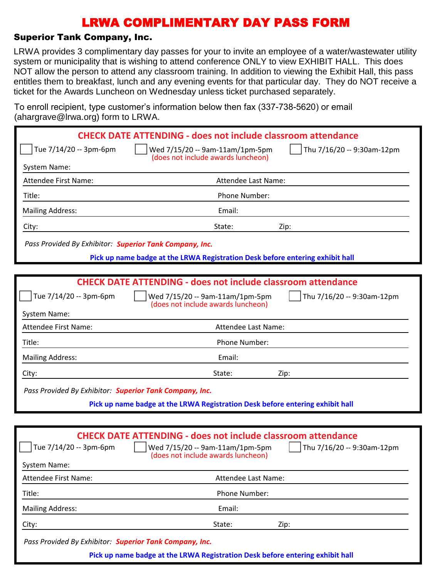### Superior Tank Company, Inc.

LRWA provides 3 complimentary day passes for your to invite an employee of a water/wastewater utility system or municipality that is wishing to attend conference ONLY to view EXHIBIT HALL. This does NOT allow the person to attend any classroom training. In addition to viewing the Exhibit Hall, this pass entitles them to breakfast, lunch and any evening events for that particular day. They do NOT receive a ticket for the Awards Luncheon on Wednesday unless ticket purchased separately.

To enroll recipient, type customer's information below then fax (337-738-5620) or email (ahargrave@lrwa.org) form to LRWA

|                                                         | <b>CHECK DATE ATTENDING - does not include classroom attendance</b>                                                                                                            |
|---------------------------------------------------------|--------------------------------------------------------------------------------------------------------------------------------------------------------------------------------|
| Tue 7/14/20 -- 3pm-6pm                                  | Thu 7/16/20 -- 9:30am-12pm<br>Wed 7/15/20 -- 9am-11am/1pm-5pm<br>(does not include awards luncheon)                                                                            |
| System Name:                                            |                                                                                                                                                                                |
| <b>Attendee First Name:</b>                             | Attendee Last Name:                                                                                                                                                            |
| Title:                                                  | Phone Number:                                                                                                                                                                  |
| <b>Mailing Address:</b>                                 | Email:                                                                                                                                                                         |
| City:                                                   | State:<br>Zip:                                                                                                                                                                 |
| Pass Provided By Exhibitor: Superior Tank Company, Inc. |                                                                                                                                                                                |
|                                                         | Pick up name badge at the LRWA Registration Desk before entering exhibit hall                                                                                                  |
|                                                         |                                                                                                                                                                                |
|                                                         | <b>CHECK DATE ATTENDING - does not include classroom attendance</b>                                                                                                            |
| Tue 7/14/20 -- 3pm-6pm                                  | Thu 7/16/20 -- 9:30am-12pm<br>Wed 7/15/20 -- 9am-11am/1pm-5pm<br>(does not include awards luncheon)                                                                            |
| System Name:                                            |                                                                                                                                                                                |
| Attendee First Name:                                    | Attendee Last Name:                                                                                                                                                            |
| Title:                                                  | Phone Number:                                                                                                                                                                  |
| <b>Mailing Address:</b>                                 | Email:                                                                                                                                                                         |
| City:                                                   | State:<br>Zip:                                                                                                                                                                 |
| Pass Provided By Exhibitor: Superior Tank Company, Inc. |                                                                                                                                                                                |
|                                                         | Pick up name badge at the LRWA Registration Desk before entering exhibit hall                                                                                                  |
|                                                         |                                                                                                                                                                                |
| $\int$ Tue 7/14/20 -- 3pm-6pm<br>System Name:           | <b>CHECK DATE ATTENDING - does not include classroom attendance</b><br>    Wed 7/15/20 -- 9am-11am/1pm-5pm<br>Thu 7/16/20 -- 9:30am-12pm<br>(does not include awards luncheon) |
| <b>Attendee First Name:</b>                             | Attendee Last Name:                                                                                                                                                            |
| Title:                                                  | Phone Number:                                                                                                                                                                  |
| <b>Mailing Address:</b>                                 | Email:                                                                                                                                                                         |
| City:                                                   | State:<br>Zip:                                                                                                                                                                 |
|                                                         |                                                                                                                                                                                |

*Pass Provided By Exhibitor: Superior Tank Company, Inc.*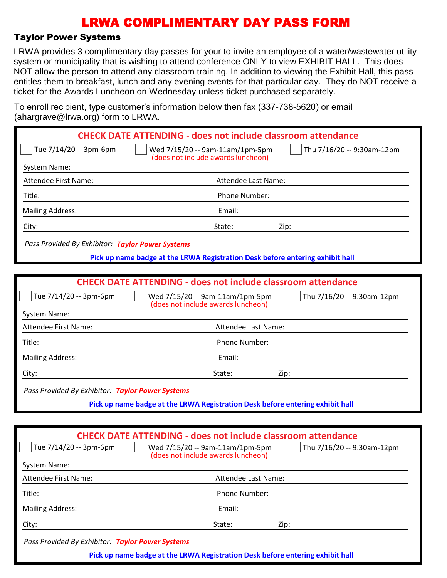#### Taylor Power Systems

LRWA provides 3 complimentary day passes for your to invite an employee of a water/wastewater utility system or municipality that is wishing to attend conference ONLY to view EXHIBIT HALL. This does NOT allow the person to attend any classroom training. In addition to viewing the Exhibit Hall, this pass entitles them to breakfast, lunch and any evening events for that particular day. They do NOT receive a ticket for the Awards Luncheon on Wednesday unless ticket purchased separately.

To enroll recipient, type customer's information below then fax (337-738-5620) or email (abargrave@lrwa.org) form to LRWA

| $($ anargiavo $\otimes$ irwa.org/Tonn to Erversity |                                                                                                                                                                                             |
|----------------------------------------------------|---------------------------------------------------------------------------------------------------------------------------------------------------------------------------------------------|
|                                                    | <b>CHECK DATE ATTENDING - does not include classroom attendance</b>                                                                                                                         |
| Tue 7/14/20 -- 3pm-6pm                             | Thu 7/16/20 -- 9:30am-12pm<br>Wed 7/15/20 -- 9am-11am/1pm-5pm<br>(does not include awards luncheon)                                                                                         |
| System Name:                                       |                                                                                                                                                                                             |
| <b>Attendee First Name:</b>                        | Attendee Last Name:                                                                                                                                                                         |
| Title:                                             | Phone Number:                                                                                                                                                                               |
| <b>Mailing Address:</b>                            | Email:                                                                                                                                                                                      |
| City:                                              | State:<br>Zip:                                                                                                                                                                              |
| Pass Provided By Exhibitor: Taylor Power Systems   |                                                                                                                                                                                             |
|                                                    | Pick up name badge at the LRWA Registration Desk before entering exhibit hall                                                                                                               |
|                                                    |                                                                                                                                                                                             |
|                                                    | <b>CHECK DATE ATTENDING - does not include classroom attendance</b>                                                                                                                         |
| Tue 7/14/20 -- 3pm-6pm                             | Wed 7/15/20 -- 9am-11am/1pm-5pm<br>Thu 7/16/20 -- 9:30am-12pm<br>(does not include awards luncheon)                                                                                         |
| System Name:                                       |                                                                                                                                                                                             |
| <b>Attendee First Name:</b>                        | Attendee Last Name:                                                                                                                                                                         |
| Title:                                             | Phone Number:                                                                                                                                                                               |
| <b>Mailing Address:</b>                            | Email:                                                                                                                                                                                      |
| City:                                              | State:<br>Zip:                                                                                                                                                                              |
| Pass Provided By Exhibitor: Taylor Power Systems   |                                                                                                                                                                                             |
|                                                    | Pick up name badge at the LRWA Registration Desk before entering exhibit hall                                                                                                               |
|                                                    |                                                                                                                                                                                             |
| Tue 7/14/20 -- 3pm-6pm                             | <b>CHECK DATE ATTENDING - does not include classroom attendance</b><br>$\int$ Thu 7/16/20 -- 9:30am-12pm<br>$\vert$   Wed 7/15/20 -- 9am-11am/1pm-5pm<br>(does not include awards luncheon) |
| System Name:                                       |                                                                                                                                                                                             |
| Attendee First Name:                               | Attendee Last Name:                                                                                                                                                                         |
| Title:                                             | Phone Number:                                                                                                                                                                               |
| <b>Mailing Address:</b>                            | Email:                                                                                                                                                                                      |
|                                                    |                                                                                                                                                                                             |

City: State: Zip:

*Pass Provided By Exhibitor: Taylor Power Systems*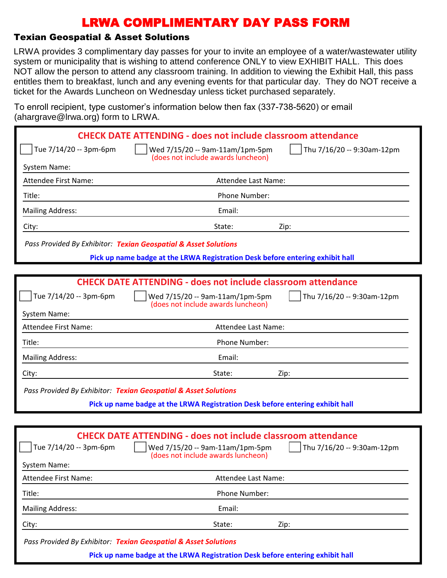### Texian Geospatial & Asset Solutions

LRWA provides 3 complimentary day passes for your to invite an employee of a water/wastewater utility system or municipality that is wishing to attend conference ONLY to view EXHIBIT HALL. This does NOT allow the person to attend any classroom training. In addition to viewing the Exhibit Hall, this pass entitles them to breakfast, lunch and any evening events for that particular day. They do NOT receive a ticket for the Awards Luncheon on Wednesday unless ticket purchased separately.

To enroll recipient, type customer's information below then fax (337-738-5620) or email (ahargrave@lrwa.org) form to LRWA.

|                             | <b>CHECK DATE ATTENDING - does not include classroom attendance</b>                                                                  |
|-----------------------------|--------------------------------------------------------------------------------------------------------------------------------------|
| Tue 7/14/20 -- 3pm-6pm      | Wed 7/15/20 -- 9am-11am/1pm-5pm<br>Thu 7/16/20 -- 9:30am-12pm<br>(does not include awards luncheon)                                  |
| System Name:                |                                                                                                                                      |
| <b>Attendee First Name:</b> | Attendee Last Name:                                                                                                                  |
| Title:                      | <b>Phone Number:</b>                                                                                                                 |
| <b>Mailing Address:</b>     | Email:                                                                                                                               |
| City:                       | State:<br>Zip:                                                                                                                       |
|                             | Pass Provided By Exhibitor: Texian Geospatial & Asset Solutions                                                                      |
|                             | Pick up name badge at the LRWA Registration Desk before entering exhibit hall                                                        |
|                             |                                                                                                                                      |
|                             | <b>CHECK DATE ATTENDING - does not include classroom attendance</b>                                                                  |
| Tue 7/14/20 -- 3pm-6pm      | Wed 7/15/20 -- 9am-11am/1pm-5pm<br>Thu 7/16/20 -- 9:30am-12pm<br>(does not include awards luncheon)                                  |
| <b>System Name:</b>         |                                                                                                                                      |
| <b>Attendee First Name:</b> | Attendee Last Name:                                                                                                                  |
| Title:                      | Phone Number:                                                                                                                        |
| <b>Mailing Address:</b>     | Email:                                                                                                                               |
| City:                       | State:<br>Zip:                                                                                                                       |
|                             | Pass Provided By Exhibitor: Texian Geospatial & Asset Solutions                                                                      |
|                             | Pick up name badge at the LRWA Registration Desk before entering exhibit hall                                                        |
|                             |                                                                                                                                      |
| Tue 7/14/20 -- 3pm-6pm      | <b>CHECK DATE ATTENDING - does not include classroom attendance</b><br>Wed 7/15/20 -- 9am-11am/1pm-5pm<br>Thu 7/16/20 -- 9:30am-12pm |
| System Name:                | (does not include awards luncheon)                                                                                                   |
| <b>Attendee First Name:</b> | Attendee Last Name:                                                                                                                  |
|                             |                                                                                                                                      |

Title: Phone Number:

Mailing Address: The Contract of the Contract of the Email:

City: State: Zip:

*Pass Provided By Exhibitor: Texian Geospatial & Asset Solutions*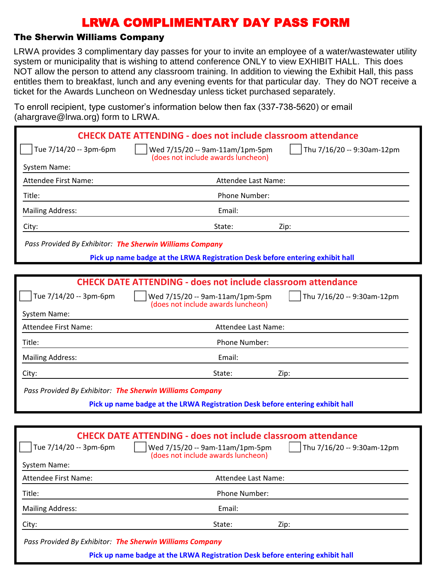### The Sherwin Williams Company

LRWA provides 3 complimentary day passes for your to invite an employee of a water/wastewater utility system or municipality that is wishing to attend conference ONLY to view EXHIBIT HALL. This does NOT allow the person to attend any classroom training. In addition to viewing the Exhibit Hall, this pass entitles them to breakfast, lunch and any evening events for that particular day. They do NOT receive a ticket for the Awards Luncheon on Wednesday unless ticket purchased separately.

To enroll recipient, type customer's information below then fax (337-738-5620) or email (ahargrave@lrwa.org) form to LRWA.

|                                                          | <b>CHECK DATE ATTENDING - does not include classroom attendance</b>                                 |
|----------------------------------------------------------|-----------------------------------------------------------------------------------------------------|
| Tue 7/14/20 -- 3pm-6pm                                   | Wed 7/15/20 -- 9am-11am/1pm-5pm<br>Thu 7/16/20 -- 9:30am-12pm<br>(does not include awards luncheon) |
| System Name:                                             |                                                                                                     |
| <b>Attendee First Name:</b>                              | Attendee Last Name:                                                                                 |
| Title:                                                   | Phone Number:                                                                                       |
| <b>Mailing Address:</b>                                  | Email:                                                                                              |
| City:                                                    | State:<br>Zip:                                                                                      |
| Pass Provided By Exhibitor: The Sherwin Williams Company |                                                                                                     |
|                                                          | Pick up name badge at the LRWA Registration Desk before entering exhibit hall                       |
|                                                          |                                                                                                     |
|                                                          | <b>CHECK DATE ATTENDING - does not include classroom attendance</b>                                 |
| Tue 7/14/20 -- 3pm-6pm                                   | Wed 7/15/20 -- 9am-11am/1pm-5pm<br>Thu 7/16/20 -- 9:30am-12pm<br>(does not include awards luncheon) |
| System Name:                                             |                                                                                                     |
| <b>Attendee First Name:</b>                              | Attendee Last Name:                                                                                 |
| Title:                                                   | Phone Number:                                                                                       |
| <b>Mailing Address:</b>                                  | Email:                                                                                              |
| City:                                                    | State:<br>Zip:                                                                                      |
| Pass Provided By Exhibitor: The Sherwin Williams Company |                                                                                                     |
|                                                          | Pick up name badge at the LRWA Registration Desk before entering exhibit hall                       |
|                                                          |                                                                                                     |
|                                                          | <b>CHECK DATE ATTENDING - does not include classroom attendance</b>                                 |
| Tue 7/14/20 -- 3pm-6pm                                   | Wed 7/15/20 -- 9am-11am/1pm-5pm<br>Thu 7/16/20 -- 9:30am-12pm<br>(does not include awards luncheon) |
| System Name:                                             |                                                                                                     |
| Attendee First Name:                                     | Attendee Last Name:                                                                                 |

Title: Phone Number:

Mailing Address: The Contract of the Contract of the Email:

City: State: Zip:

*Pass Provided By Exhibitor: The Sherwin Williams Company*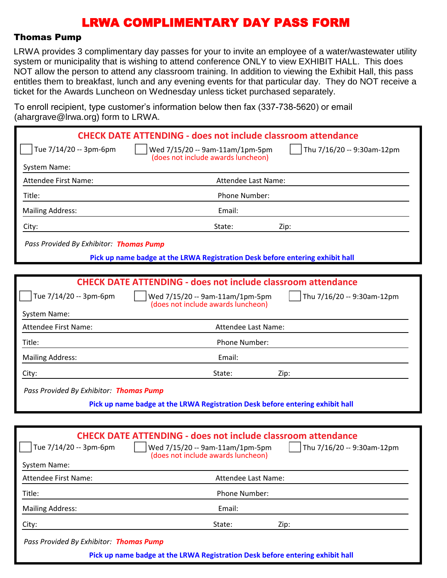#### Thomas Pump

LRWA provides 3 complimentary day passes for your to invite an employee of a water/wastewater utility system or municipality that is wishing to attend conference ONLY to view EXHIBIT HALL. This does NOT allow the person to attend any classroom training. In addition to viewing the Exhibit Hall, this pass entitles them to breakfast, lunch and any evening events for that particular day. They do NOT receive a ticket for the Awards Luncheon on Wednesday unless ticket purchased separately.

To enroll recipient, type customer's information below then fax (337-738-5620) or email  $(abarrarase@lrwa.$  org) form to LRWA

| $($ anargrav $\sigma$ @n wa.org/ Tomi to Liver. |                                                                                                                |
|-------------------------------------------------|----------------------------------------------------------------------------------------------------------------|
|                                                 | <b>CHECK DATE ATTENDING - does not include classroom attendance</b>                                            |
| Tue 7/14/20 -- 3pm-6pm                          | Thu 7/16/20 -- 9:30am-12pm<br>Wed 7/15/20 -- 9am-11am/1pm-5pm<br>(does not include awards luncheon)            |
| <b>System Name:</b>                             |                                                                                                                |
| <b>Attendee First Name:</b>                     | Attendee Last Name:                                                                                            |
| Title:                                          | Phone Number:                                                                                                  |
| <b>Mailing Address:</b>                         | Email:                                                                                                         |
| City:                                           | State:<br>Zip:                                                                                                 |
| Pass Provided By Exhibitor: Thomas Pump         |                                                                                                                |
|                                                 | Pick up name badge at the LRWA Registration Desk before entering exhibit hall                                  |
|                                                 |                                                                                                                |
|                                                 | <b>CHECK DATE ATTENDING - does not include classroom attendance</b>                                            |
| Tue 7/14/20 -- 3pm-6pm                          | Thu 7/16/20 -- 9:30am-12pm<br>Wed 7/15/20 -- 9am-11am/1pm-5pm<br>(does not include awards luncheon)            |
| System Name:                                    |                                                                                                                |
| <b>Attendee First Name:</b>                     | Attendee Last Name:                                                                                            |
| Title:                                          | Phone Number:                                                                                                  |
| <b>Mailing Address:</b>                         | Email:                                                                                                         |
| City:                                           | State:<br>Zip:                                                                                                 |
| Pass Provided By Exhibitor: Thomas Pump         |                                                                                                                |
|                                                 | Pick up name badge at the LRWA Registration Desk before entering exhibit hall                                  |
|                                                 |                                                                                                                |
|                                                 | <b>CHECK DATE ATTENDING - does not include classroom attendance</b>                                            |
| Tue 7/14/20 -- 3pm-6pm                          | $\lceil$   Thu 7/16/20 -- 9:30am-12pm<br>Wed 7/15/20 -- 9am-11am/1pm-5pm<br>(does not include awards luncheon) |
| <b>System Name:</b>                             |                                                                                                                |
| <b>Attendee First Name:</b>                     | Attendee Last Name:                                                                                            |
| Title:                                          | Phone Number:                                                                                                  |
|                                                 |                                                                                                                |

Mailing Address: The Contract of the Contract of the Email:

City: State: Zip:

*Pass Provided By Exhibitor: Thomas Pump*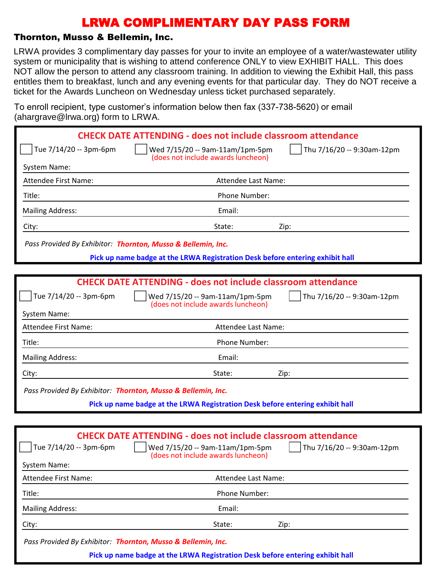### Thornton, Musso & Bellemin, Inc.

LRWA provides 3 complimentary day passes for your to invite an employee of a water/wastewater utility system or municipality that is wishing to attend conference ONLY to view EXHIBIT HALL. This does NOT allow the person to attend any classroom training. In addition to viewing the Exhibit Hall, this pass entitles them to breakfast, lunch and any evening events for that particular day. They do NOT receive a ticket for the Awards Luncheon on Wednesday unless ticket purchased separately.

To enroll recipient, type customer's information below then fax (337-738-5620) or email (ahargrave@lrwa.org) form to LRWA.

| AUCHUCC I II 30 I VALITC.                                    | ALLUIQUE LUST NUILLE.<br>Phone Number: |      |  |
|--------------------------------------------------------------|----------------------------------------|------|--|
| Title:                                                       |                                        |      |  |
| <b>Mailing Address:</b>                                      | Email:                                 |      |  |
| City:                                                        | State:                                 | Zip: |  |
| Pass Provided By Exhibitor: Thornton, Musso & Bellemin, Inc. |                                        |      |  |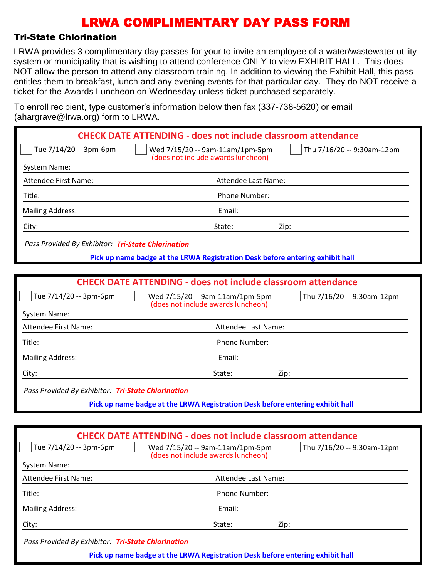### Tri-State Chlorination

LRWA provides 3 complimentary day passes for your to invite an employee of a water/wastewater utility system or municipality that is wishing to attend conference ONLY to view EXHIBIT HALL. This does NOT allow the person to attend any classroom training. In addition to viewing the Exhibit Hall, this pass entitles them to breakfast, lunch and any evening events for that particular day. They do NOT receive a ticket for the Awards Luncheon on Wednesday unless ticket purchased separately.

To enroll recipient, type customer's information below then fax (337-738-5620) or email (abargrave@lrwa.org) form to LRWA

| $($ anargravc $\approx$ n wa.org $\prime$ rommto Erve $\prime$ . |                                                                                                                                                                                       |
|------------------------------------------------------------------|---------------------------------------------------------------------------------------------------------------------------------------------------------------------------------------|
|                                                                  | <b>CHECK DATE ATTENDING - does not include classroom attendance</b>                                                                                                                   |
| Tue 7/14/20 -- 3pm-6pm                                           | Thu 7/16/20 -- 9:30am-12pm<br>Wed 7/15/20 -- 9am-11am/1pm-5pm<br>(does not include awards luncheon)                                                                                   |
| System Name:                                                     |                                                                                                                                                                                       |
| <b>Attendee First Name:</b>                                      | Attendee Last Name:                                                                                                                                                                   |
| Title:                                                           | Phone Number:                                                                                                                                                                         |
| <b>Mailing Address:</b>                                          | Email:                                                                                                                                                                                |
| City:                                                            | State:<br>Zip:                                                                                                                                                                        |
| Pass Provided By Exhibitor: Tri-State Chlorination               |                                                                                                                                                                                       |
|                                                                  | Pick up name badge at the LRWA Registration Desk before entering exhibit hall                                                                                                         |
|                                                                  |                                                                                                                                                                                       |
|                                                                  | <b>CHECK DATE ATTENDING - does not include classroom attendance</b>                                                                                                                   |
| Tue 7/14/20 -- 3pm-6pm                                           | Wed 7/15/20 -- 9am-11am/1pm-5pm<br>Thu 7/16/20 -- 9:30am-12pm<br>(does not include awards luncheon)                                                                                   |
| System Name:                                                     |                                                                                                                                                                                       |
| <b>Attendee First Name:</b>                                      | Attendee Last Name:                                                                                                                                                                   |
| Title:                                                           | Phone Number:                                                                                                                                                                         |
| <b>Mailing Address:</b>                                          | Email:                                                                                                                                                                                |
| City:                                                            | State:<br>Zip:                                                                                                                                                                        |
| Pass Provided By Exhibitor: Tri-State Chlorination               |                                                                                                                                                                                       |
|                                                                  | Pick up name badge at the LRWA Registration Desk before entering exhibit hall                                                                                                         |
|                                                                  |                                                                                                                                                                                       |
| Tue 7/14/20 -- 3pm-6pm                                           | <b>CHECK DATE ATTENDING - does not include classroom attendance</b><br>Wed 7/15/20 -- 9am-11am/1pm-5pm<br>$\sqrt{ }$ Thu 7/16/20 -- 9:30am-12pm<br>(does not include awards luncheon) |
| System Name:                                                     |                                                                                                                                                                                       |
| Attendee First Name:                                             | Attendee Last Name:                                                                                                                                                                   |
| Title:                                                           | Phone Number:                                                                                                                                                                         |
| <b>Mailing Address:</b>                                          | Email:                                                                                                                                                                                |

City: State: Zip:

*Pass Provided By Exhibitor: Tri-State Chlorination*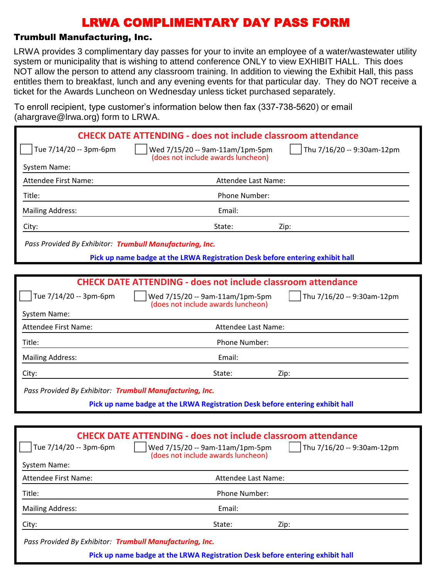### Trumbull Manufacturing, Inc.

LRWA provides 3 complimentary day passes for your to invite an employee of a water/wastewater utility system or municipality that is wishing to attend conference ONLY to view EXHIBIT HALL. This does NOT allow the person to attend any classroom training. In addition to viewing the Exhibit Hall, this pass entitles them to breakfast, lunch and any evening events for that particular day. They do NOT receive a ticket for the Awards Luncheon on Wednesday unless ticket purchased separately.

To enroll recipient, type customer's information below then fax (337-738-5620) or email (abargrave@lrwa.org) form to LRWA

| $($ anargiavo $\otimes$ irwa.org/Tonn to Erversity       |                                                                                                                                                                                             |
|----------------------------------------------------------|---------------------------------------------------------------------------------------------------------------------------------------------------------------------------------------------|
|                                                          | <b>CHECK DATE ATTENDING - does not include classroom attendance</b>                                                                                                                         |
| Tue 7/14/20 -- 3pm-6pm                                   | Thu 7/16/20 -- 9:30am-12pm<br>Wed 7/15/20 -- 9am-11am/1pm-5pm<br>(does not include awards luncheon)                                                                                         |
| System Name:                                             |                                                                                                                                                                                             |
| <b>Attendee First Name:</b>                              | Attendee Last Name:                                                                                                                                                                         |
| Title:                                                   | Phone Number:                                                                                                                                                                               |
| <b>Mailing Address:</b>                                  | Email:                                                                                                                                                                                      |
| City:                                                    | State:<br>Zip:                                                                                                                                                                              |
| Pass Provided By Exhibitor: Trumbull Manufacturing, Inc. |                                                                                                                                                                                             |
|                                                          | Pick up name badge at the LRWA Registration Desk before entering exhibit hall                                                                                                               |
|                                                          |                                                                                                                                                                                             |
|                                                          | <b>CHECK DATE ATTENDING - does not include classroom attendance</b>                                                                                                                         |
| Tue 7/14/20 -- 3pm-6pm                                   | Wed 7/15/20 -- 9am-11am/1pm-5pm<br>Thu 7/16/20 -- 9:30am-12pm<br>(does not include awards luncheon)                                                                                         |
| System Name:                                             |                                                                                                                                                                                             |
| <b>Attendee First Name:</b>                              | Attendee Last Name:                                                                                                                                                                         |
| Title:                                                   | Phone Number:                                                                                                                                                                               |
| <b>Mailing Address:</b>                                  | Email:                                                                                                                                                                                      |
| City:                                                    | State:<br>Zip:                                                                                                                                                                              |
| Pass Provided By Exhibitor: Trumbull Manufacturing, Inc. |                                                                                                                                                                                             |
|                                                          | Pick up name badge at the LRWA Registration Desk before entering exhibit hall                                                                                                               |
|                                                          |                                                                                                                                                                                             |
| Tue 7/14/20 -- 3pm-6pm<br><b>System Name:</b>            | <b>CHECK DATE ATTENDING - does not include classroom attendance</b><br>$\int$ Thu 7/16/20 -- 9:30am-12pm<br>$\vert$   Wed 7/15/20 -- 9am-11am/1pm-5pm<br>(does not include awards luncheon) |
| <b>Attendee First Name:</b>                              | Attendee Last Name:                                                                                                                                                                         |
| Title:                                                   | Phone Number:                                                                                                                                                                               |
| <b>Mailing Address:</b>                                  | Email:                                                                                                                                                                                      |
| City:                                                    | State:<br>Zip:                                                                                                                                                                              |

*Pass Provided By Exhibitor: Trumbull Manufacturing, Inc.*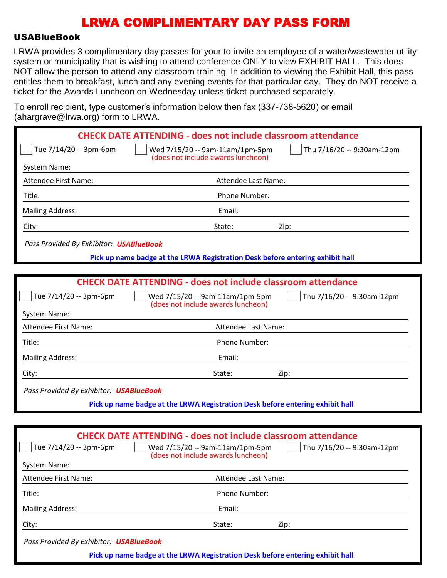#### USABlueBook

LRWA provides 3 complimentary day passes for your to invite an employee of a water/wastewater utility system or municipality that is wishing to attend conference ONLY to view EXHIBIT HALL. This does NOT allow the person to attend any classroom training. In addition to viewing the Exhibit Hall, this pass entitles them to breakfast, lunch and any evening events for that particular day. They do NOT receive a ticket for the Awards Luncheon on Wednesday unless ticket purchased separately.

To enroll recipient, type customer's information below then fax (337-738-5620) or email (abargrave@lrwa.org) form to LRWA

| $($ anargiav $\sigma$ $\approx$ inwa.org/Tonni to Ervey. |                                                                                                                                                                                       |
|----------------------------------------------------------|---------------------------------------------------------------------------------------------------------------------------------------------------------------------------------------|
|                                                          | <b>CHECK DATE ATTENDING - does not include classroom attendance</b>                                                                                                                   |
| Tue 7/14/20 -- 3pm-6pm                                   | Thu 7/16/20 -- 9:30am-12pm<br>Wed 7/15/20 -- 9am-11am/1pm-5pm<br>(does not include awards luncheon)                                                                                   |
| System Name:                                             |                                                                                                                                                                                       |
| <b>Attendee First Name:</b>                              | Attendee Last Name:                                                                                                                                                                   |
| Title:                                                   | Phone Number:                                                                                                                                                                         |
| <b>Mailing Address:</b>                                  | Email:                                                                                                                                                                                |
| City:                                                    | State:<br>Zip:                                                                                                                                                                        |
| Pass Provided By Exhibitor: <b>USABlueBook</b>           |                                                                                                                                                                                       |
|                                                          | Pick up name badge at the LRWA Registration Desk before entering exhibit hall                                                                                                         |
|                                                          |                                                                                                                                                                                       |
|                                                          | <b>CHECK DATE ATTENDING - does not include classroom attendance</b>                                                                                                                   |
| Tue 7/14/20 -- 3pm-6pm                                   | Wed 7/15/20 -- 9am-11am/1pm-5pm<br>Thu 7/16/20 -- 9:30am-12pm<br>(does not include awards luncheon)                                                                                   |
| System Name:                                             |                                                                                                                                                                                       |
| <b>Attendee First Name:</b>                              | Attendee Last Name:                                                                                                                                                                   |
| Title:                                                   | Phone Number:                                                                                                                                                                         |
| <b>Mailing Address:</b>                                  | Email:                                                                                                                                                                                |
| City:                                                    | State:<br>Zip:                                                                                                                                                                        |
| Pass Provided By Exhibitor: <b>USABlueBook</b>           |                                                                                                                                                                                       |
|                                                          | Pick up name badge at the LRWA Registration Desk before entering exhibit hall                                                                                                         |
|                                                          |                                                                                                                                                                                       |
| Tue 7/14/20 -- 3pm-6pm<br><b>System Name:</b>            | <b>CHECK DATE ATTENDING - does not include classroom attendance</b><br>Wed 7/15/20 -- 9am-11am/1pm-5pm<br>$\sqrt{ }$ Thu 7/16/20 -- 9:30am-12pm<br>(does not include awards luncheon) |
| Attendee First Name:                                     | Attendee Last Name:                                                                                                                                                                   |
| Title:                                                   | Phone Number:                                                                                                                                                                         |
| <b>Mailing Address:</b>                                  | Email:                                                                                                                                                                                |
| City:                                                    | State:<br>Zip:                                                                                                                                                                        |

*Pass Provided By Exhibitor: USABlueBook*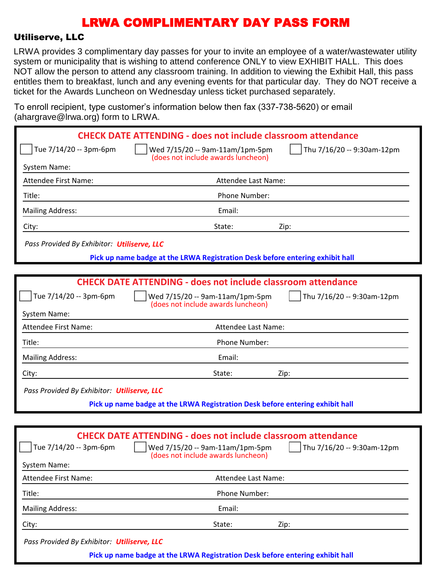#### Utiliserve, LLC

LRWA provides 3 complimentary day passes for your to invite an employee of a water/wastewater utility system or municipality that is wishing to attend conference ONLY to view EXHIBIT HALL. This does NOT allow the person to attend any classroom training. In addition to viewing the Exhibit Hall, this pass entitles them to breakfast, lunch and any evening events for that particular day. They do NOT receive a ticket for the Awards Luncheon on Wednesday unless ticket purchased separately.

To enroll recipient, type customer's information below then fax (337-738-5620) or email (ahargrave@lrwa.org) form to LRWA

| $1.41$ grave $\cup$ $\ldots$ $\ldots$ and $\vdots$ |                                                                                                      |
|----------------------------------------------------|------------------------------------------------------------------------------------------------------|
|                                                    | <b>CHECK DATE ATTENDING - does not include classroom attendance</b>                                  |
| Tue 7/14/20 -- 3pm-6pm                             | Thu 7/16/20 -- 9:30am-12pm<br>Wed 7/15/20 -- 9am-11am/1pm-5pm<br>(does not include awards luncheon)  |
| <b>System Name:</b>                                |                                                                                                      |
| <b>Attendee First Name:</b>                        | Attendee Last Name:                                                                                  |
| Title:                                             | Phone Number:                                                                                        |
| <b>Mailing Address:</b>                            | Email:                                                                                               |
| City:                                              | State:<br>Zip:                                                                                       |
| Pass Provided By Exhibitor: Utiliserve, LLC        |                                                                                                      |
|                                                    | Pick up name badge at the LRWA Registration Desk before entering exhibit hall                        |
|                                                    |                                                                                                      |
|                                                    | <b>CHECK DATE ATTENDING - does not include classroom attendance</b>                                  |
| Tue 7/14/20 -- 3pm-6pm                             | Wed 7/15/20 -- 9am-11am/1pm-5pm<br>Thu 7/16/20 -- 9:30am-12pm<br>(does not include awards luncheon)  |
| System Name:                                       |                                                                                                      |
| Attendee First Name:                               | Attendee Last Name:                                                                                  |
| Title:                                             | Phone Number:                                                                                        |
| <b>Mailing Address:</b>                            | Email:                                                                                               |
| City:                                              | State:<br>Zip:                                                                                       |
| Pass Provided By Exhibitor: Utiliserve, LLC        |                                                                                                      |
|                                                    | Pick up name badge at the LRWA Registration Desk before entering exhibit hall                        |
|                                                    |                                                                                                      |
|                                                    | <b>CHECK DATE ATTENDING - does not include classroom attendance</b>                                  |
| $\int$ Tue 7/14/20 -- 3pm-6pm                      | Wed 7/15/20 -- 9am-11am/1pm-5pm     Thu 7/16/20 -- 9:30am-12pm<br>(does not include awards luncheon) |
| System Name:                                       |                                                                                                      |
| Attendee First Name:                               | Attendee Last Name:                                                                                  |
| Title:                                             | Phone Number:                                                                                        |
| <b>Mailing Address:</b>                            | Email:                                                                                               |
|                                                    |                                                                                                      |

City: State: Zip:

*Pass Provided By Exhibitor: Utiliserve, LLC*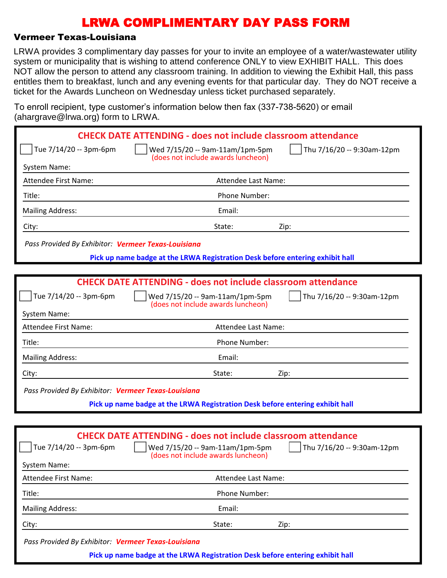### Vermeer Texas-Louisiana

LRWA provides 3 complimentary day passes for your to invite an employee of a water/wastewater utility system or municipality that is wishing to attend conference ONLY to view EXHIBIT HALL. This does NOT allow the person to attend any classroom training. In addition to viewing the Exhibit Hall, this pass entitles them to breakfast, lunch and any evening events for that particular day. They do NOT receive a ticket for the Awards Luncheon on Wednesday unless ticket purchased separately.

To enroll recipient, type customer's information below then fax (337-738-5620) or email  $(abarrarase@lrwa.$  org) form to LRWA

| $($ anargravc $\approx$ n wa.org $\prime$ rommto Erve $\prime$ . |                                                                                                                |
|------------------------------------------------------------------|----------------------------------------------------------------------------------------------------------------|
|                                                                  | <b>CHECK DATE ATTENDING - does not include classroom attendance</b>                                            |
| Tue 7/14/20 -- 3pm-6pm                                           | Thu 7/16/20 -- 9:30am-12pm<br>Wed 7/15/20 -- 9am-11am/1pm-5pm<br>(does not include awards luncheon)            |
| System Name:                                                     |                                                                                                                |
| <b>Attendee First Name:</b>                                      | Attendee Last Name:                                                                                            |
| Title:                                                           | Phone Number:                                                                                                  |
| <b>Mailing Address:</b>                                          | Email:                                                                                                         |
| City:                                                            | State:<br>Zip:                                                                                                 |
| Pass Provided By Exhibitor: Vermeer Texas-Louisiana              |                                                                                                                |
|                                                                  | Pick up name badge at the LRWA Registration Desk before entering exhibit hall                                  |
|                                                                  |                                                                                                                |
|                                                                  | <b>CHECK DATE ATTENDING - does not include classroom attendance</b>                                            |
| Tue 7/14/20 -- 3pm-6pm                                           | Wed 7/15/20 -- 9am-11am/1pm-5pm<br>Thu 7/16/20 -- 9:30am-12pm<br>(does not include awards luncheon)            |
| System Name:                                                     |                                                                                                                |
| <b>Attendee First Name:</b>                                      | Attendee Last Name:                                                                                            |
| Title:                                                           | Phone Number:                                                                                                  |
| <b>Mailing Address:</b>                                          | Email:                                                                                                         |
| City:                                                            | State:<br>Zip:                                                                                                 |
| Pass Provided By Exhibitor: Vermeer Texas-Louisiana              |                                                                                                                |
|                                                                  | Pick up name badge at the LRWA Registration Desk before entering exhibit hall                                  |
|                                                                  |                                                                                                                |
|                                                                  | <b>CHECK DATE ATTENDING - does not include classroom attendance</b>                                            |
| Tue 7/14/20 -- 3pm-6pm                                           | Wed 7/15/20 -- 9am-11am/1pm-5pm<br>$\sqrt{ }$ Thu 7/16/20 -- 9:30am-12pm<br>(does not include awards luncheon) |
| System Name:                                                     |                                                                                                                |
| Attendee First Name:                                             | Attendee Last Name:                                                                                            |
| Title:                                                           | Phone Number:                                                                                                  |
|                                                                  |                                                                                                                |

Mailing Address: The Contract of the Contract of the Email:

City: State: Zip:

*Pass Provided By Exhibitor: Vermeer Texas-Louisiana*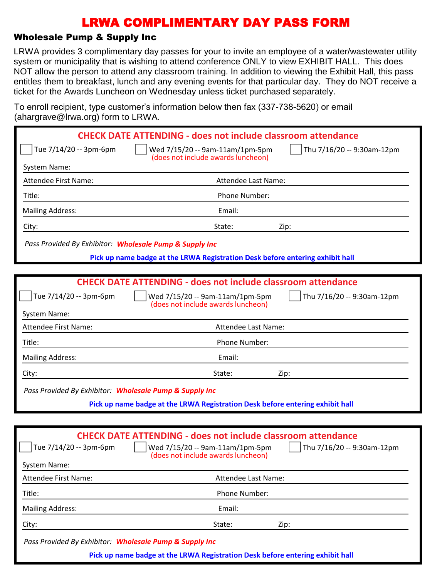### Wholesale Pump & Supply Inc

LRWA provides 3 complimentary day passes for your to invite an employee of a water/wastewater utility system or municipality that is wishing to attend conference ONLY to view EXHIBIT HALL. This does NOT allow the person to attend any classroom training. In addition to viewing the Exhibit Hall, this pass entitles them to breakfast, lunch and any evening events for that particular day. They do NOT receive a ticket for the Awards Luncheon on Wednesday unless ticket purchased separately.

To enroll recipient, type customer's information below then fax (337-738-5620) or email (abargrave@lrwa.org) form to LRWA

| $($ anargravc $\approx$ n wa.org $\prime$ rommto Erve $\prime$ . |                                                                                                                                                                                       |
|------------------------------------------------------------------|---------------------------------------------------------------------------------------------------------------------------------------------------------------------------------------|
|                                                                  | <b>CHECK DATE ATTENDING - does not include classroom attendance</b>                                                                                                                   |
| Tue 7/14/20 -- 3pm-6pm                                           | Thu 7/16/20 -- 9:30am-12pm<br>Wed 7/15/20 -- 9am-11am/1pm-5pm                                                                                                                         |
| System Name:                                                     | (does not include awards luncheon)                                                                                                                                                    |
| <b>Attendee First Name:</b>                                      | Attendee Last Name:                                                                                                                                                                   |
| Title:                                                           | Phone Number:                                                                                                                                                                         |
| <b>Mailing Address:</b>                                          | Email:                                                                                                                                                                                |
| City:                                                            | State:<br>Zip:                                                                                                                                                                        |
| Pass Provided By Exhibitor: Wholesale Pump & Supply Inc          |                                                                                                                                                                                       |
|                                                                  | Pick up name badge at the LRWA Registration Desk before entering exhibit hall                                                                                                         |
|                                                                  |                                                                                                                                                                                       |
|                                                                  | <b>CHECK DATE ATTENDING - does not include classroom attendance</b>                                                                                                                   |
| Tue 7/14/20 -- 3pm-6pm                                           | Wed 7/15/20 -- 9am-11am/1pm-5pm<br>Thu 7/16/20 -- 9:30am-12pm<br>(does not include awards luncheon)                                                                                   |
| System Name:                                                     |                                                                                                                                                                                       |
| <b>Attendee First Name:</b>                                      | Attendee Last Name:                                                                                                                                                                   |
| Title:                                                           | Phone Number:                                                                                                                                                                         |
| <b>Mailing Address:</b>                                          | Email:                                                                                                                                                                                |
| City:                                                            | State:<br>Zip:                                                                                                                                                                        |
| Pass Provided By Exhibitor: Wholesale Pump & Supply Inc          |                                                                                                                                                                                       |
|                                                                  | Pick up name badge at the LRWA Registration Desk before entering exhibit hall                                                                                                         |
|                                                                  |                                                                                                                                                                                       |
| Tue 7/14/20 -- 3pm-6pm<br><b>System Name:</b>                    | <b>CHECK DATE ATTENDING - does not include classroom attendance</b><br>Wed 7/15/20 -- 9am-11am/1pm-5pm<br>$\sqrt{ }$ Thu 7/16/20 -- 9:30am-12pm<br>(does not include awards luncheon) |
| Attendee First Name:                                             | Attendee Last Name:                                                                                                                                                                   |
| Title:                                                           | Phone Number:                                                                                                                                                                         |
| <b>Mailing Address:</b>                                          | Email:                                                                                                                                                                                |
| City:                                                            | State:<br>Zip:                                                                                                                                                                        |

*Pass Provided By Exhibitor: Wholesale Pump & Supply Inc*